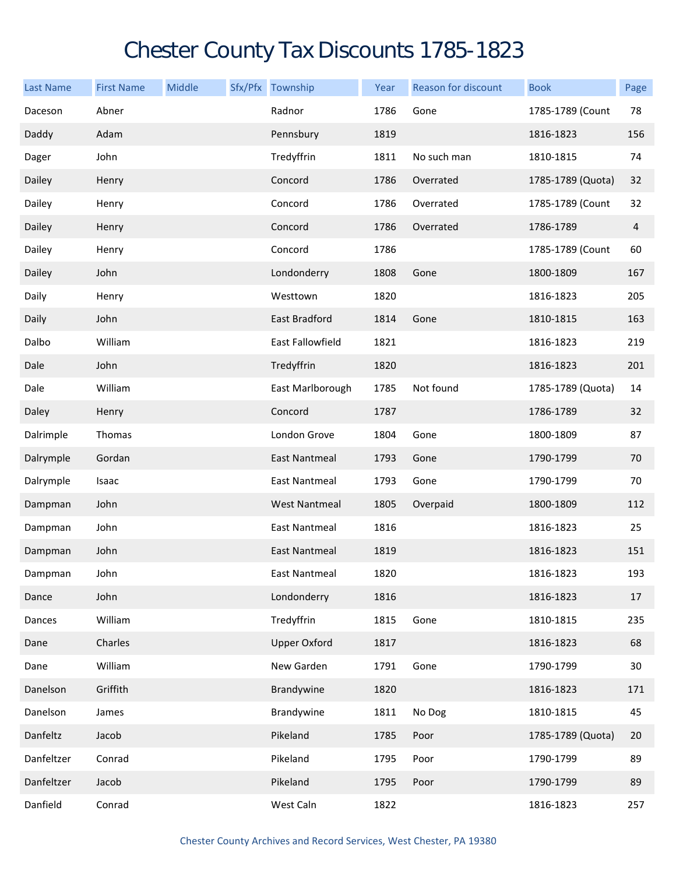## Chester County Tax Discounts 1785-1823

| <b>Last Name</b> | <b>First Name</b> | Middle | Sfx/Pfx Township        | Year | Reason for discount | <b>Book</b>       | Page           |
|------------------|-------------------|--------|-------------------------|------|---------------------|-------------------|----------------|
| Daceson          | Abner             |        | Radnor                  | 1786 | Gone                | 1785-1789 (Count  | 78             |
| Daddy            | Adam              |        | Pennsbury               | 1819 |                     | 1816-1823         | 156            |
| Dager            | John              |        | Tredyffrin              | 1811 | No such man         | 1810-1815         | 74             |
| Dailey           | Henry             |        | Concord                 | 1786 | Overrated           | 1785-1789 (Quota) | 32             |
| Dailey           | Henry             |        | Concord                 | 1786 | Overrated           | 1785-1789 (Count  | 32             |
| Dailey           | Henry             |        | Concord                 | 1786 | Overrated           | 1786-1789         | $\overline{4}$ |
| Dailey           | Henry             |        | Concord                 | 1786 |                     | 1785-1789 (Count  | 60             |
| Dailey           | John              |        | Londonderry             | 1808 | Gone                | 1800-1809         | 167            |
| Daily            | Henry             |        | Westtown                | 1820 |                     | 1816-1823         | 205            |
| Daily            | John              |        | East Bradford           | 1814 | Gone                | 1810-1815         | 163            |
| Dalbo            | William           |        | <b>East Fallowfield</b> | 1821 |                     | 1816-1823         | 219            |
| Dale             | John              |        | Tredyffrin              | 1820 |                     | 1816-1823         | 201            |
| Dale             | William           |        | East Marlborough        | 1785 | Not found           | 1785-1789 (Quota) | 14             |
| Daley            | Henry             |        | Concord                 | 1787 |                     | 1786-1789         | 32             |
| Dalrimple        | Thomas            |        | London Grove            | 1804 | Gone                | 1800-1809         | 87             |
| Dalrymple        | Gordan            |        | <b>East Nantmeal</b>    | 1793 | Gone                | 1790-1799         | 70             |
| Dalrymple        | Isaac             |        | East Nantmeal           | 1793 | Gone                | 1790-1799         | 70             |
| Dampman          | John              |        | <b>West Nantmeal</b>    | 1805 | Overpaid            | 1800-1809         | 112            |
| Dampman          | John              |        | East Nantmeal           | 1816 |                     | 1816-1823         | 25             |
| Dampman          | John              |        | <b>East Nantmeal</b>    | 1819 |                     | 1816-1823         | 151            |
| Dampman          | John              |        | East Nantmeal           | 1820 |                     | 1816-1823         | 193            |
| Dance            | John              |        | Londonderry             | 1816 |                     | 1816-1823         | 17             |
| Dances           | William           |        | Tredyffrin              | 1815 | Gone                | 1810-1815         | 235            |
| Dane             | Charles           |        | <b>Upper Oxford</b>     | 1817 |                     | 1816-1823         | 68             |
| Dane             | William           |        | New Garden              | 1791 | Gone                | 1790-1799         | 30             |
| Danelson         | Griffith          |        | Brandywine              | 1820 |                     | 1816-1823         | 171            |
| Danelson         | James             |        | Brandywine              | 1811 | No Dog              | 1810-1815         | 45             |
| Danfeltz         | Jacob             |        | Pikeland                | 1785 | Poor                | 1785-1789 (Quota) | 20             |
| Danfeltzer       | Conrad            |        | Pikeland                | 1795 | Poor                | 1790-1799         | 89             |
| Danfeltzer       | Jacob             |        | Pikeland                | 1795 | Poor                | 1790-1799         | 89             |
| Danfield         | Conrad            |        | West Caln               | 1822 |                     | 1816-1823         | 257            |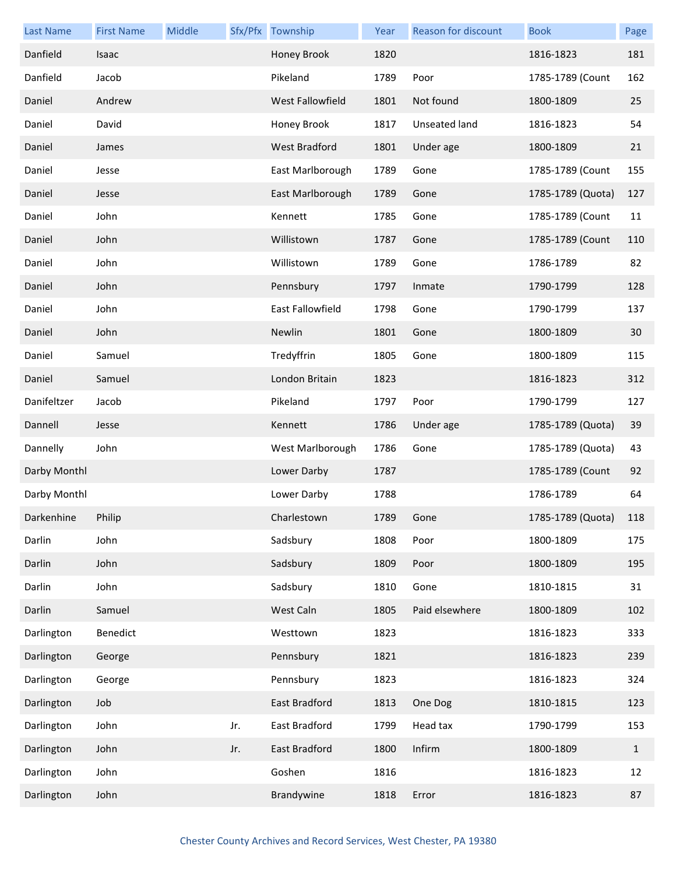| <b>Last Name</b> | <b>First Name</b> | Middle |     | Sfx/Pfx Township        | Year | <b>Reason for discount</b> | <b>Book</b>       | Page         |
|------------------|-------------------|--------|-----|-------------------------|------|----------------------------|-------------------|--------------|
| Danfield         | Isaac             |        |     | Honey Brook             | 1820 |                            | 1816-1823         | 181          |
| Danfield         | Jacob             |        |     | Pikeland                | 1789 | Poor                       | 1785-1789 (Count  | 162          |
| Daniel           | Andrew            |        |     | West Fallowfield        | 1801 | Not found                  | 1800-1809         | 25           |
| Daniel           | David             |        |     | Honey Brook             | 1817 | Unseated land              | 1816-1823         | 54           |
| Daniel           | James             |        |     | <b>West Bradford</b>    | 1801 | Under age                  | 1800-1809         | 21           |
| Daniel           | Jesse             |        |     | East Marlborough        | 1789 | Gone                       | 1785-1789 (Count  | 155          |
| Daniel           | Jesse             |        |     | East Marlborough        | 1789 | Gone                       | 1785-1789 (Quota) | 127          |
| Daniel           | John              |        |     | Kennett                 | 1785 | Gone                       | 1785-1789 (Count  | 11           |
| Daniel           | John              |        |     | Willistown              | 1787 | Gone                       | 1785-1789 (Count  | 110          |
| Daniel           | John              |        |     | Willistown              | 1789 | Gone                       | 1786-1789         | 82           |
| Daniel           | John              |        |     | Pennsbury               | 1797 | Inmate                     | 1790-1799         | 128          |
| Daniel           | John              |        |     | <b>East Fallowfield</b> | 1798 | Gone                       | 1790-1799         | 137          |
| Daniel           | John              |        |     | Newlin                  | 1801 | Gone                       | 1800-1809         | 30           |
| Daniel           | Samuel            |        |     | Tredyffrin              | 1805 | Gone                       | 1800-1809         | 115          |
| Daniel           | Samuel            |        |     | London Britain          | 1823 |                            | 1816-1823         | 312          |
| Danifeltzer      | Jacob             |        |     | Pikeland                | 1797 | Poor                       | 1790-1799         | 127          |
| Dannell          | Jesse             |        |     | Kennett                 | 1786 | Under age                  | 1785-1789 (Quota) | 39           |
| Dannelly         | John              |        |     | West Marlborough        | 1786 | Gone                       | 1785-1789 (Quota) | 43           |
| Darby Monthl     |                   |        |     | Lower Darby             | 1787 |                            | 1785-1789 (Count  | 92           |
| Darby Monthl     |                   |        |     | Lower Darby             | 1788 |                            | 1786-1789         | 64           |
| Darkenhine       | Philip            |        |     | Charlestown             | 1789 | Gone                       | 1785-1789 (Quota) | 118          |
| Darlin           | John              |        |     | Sadsbury                | 1808 | Poor                       | 1800-1809         | 175          |
| Darlin           | John              |        |     | Sadsbury                | 1809 | Poor                       | 1800-1809         | 195          |
| Darlin           | John              |        |     | Sadsbury                | 1810 | Gone                       | 1810-1815         | 31           |
| Darlin           | Samuel            |        |     | West Caln               | 1805 | Paid elsewhere             | 1800-1809         | 102          |
| Darlington       | Benedict          |        |     | Westtown                | 1823 |                            | 1816-1823         | 333          |
| Darlington       | George            |        |     | Pennsbury               | 1821 |                            | 1816-1823         | 239          |
| Darlington       | George            |        |     | Pennsbury               | 1823 |                            | 1816-1823         | 324          |
| Darlington       | Job               |        |     | East Bradford           | 1813 | One Dog                    | 1810-1815         | 123          |
| Darlington       | John              |        | Jr. | East Bradford           | 1799 | Head tax                   | 1790-1799         | 153          |
| Darlington       | John              |        | Jr. | East Bradford           | 1800 | Infirm                     | 1800-1809         | $\mathbf{1}$ |
| Darlington       | John              |        |     | Goshen                  | 1816 |                            | 1816-1823         | 12           |
| Darlington       | John              |        |     | Brandywine              | 1818 | Error                      | 1816-1823         | 87           |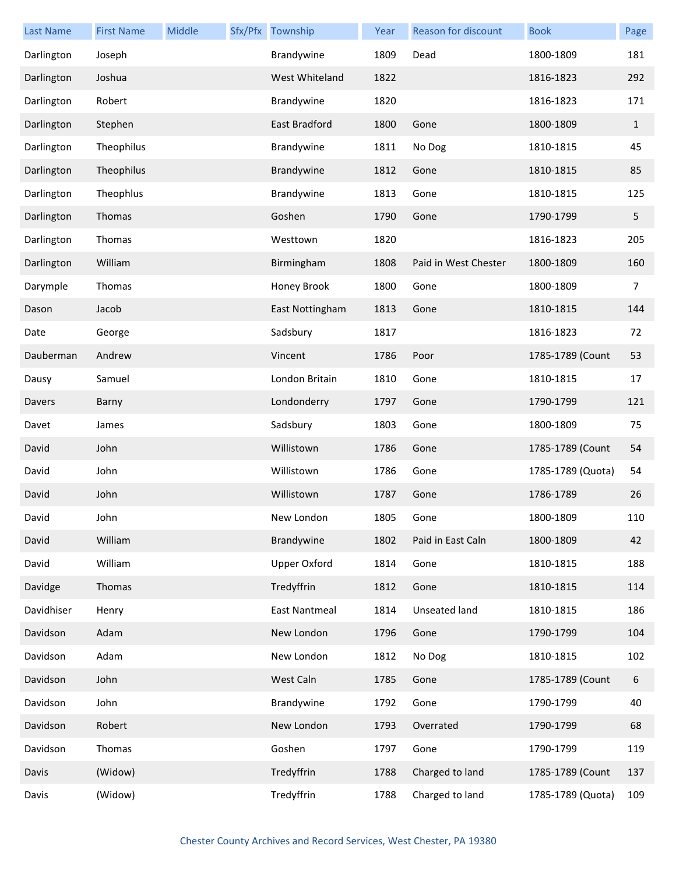| Last Name  | <b>First Name</b> | <b>Middle</b> | Sfx/Pfx Township    | Year | Reason for discount  | <b>Book</b>       | Page         |
|------------|-------------------|---------------|---------------------|------|----------------------|-------------------|--------------|
| Darlington | Joseph            |               | Brandywine          | 1809 | Dead                 | 1800-1809         | 181          |
| Darlington | Joshua            |               | West Whiteland      | 1822 |                      | 1816-1823         | 292          |
| Darlington | Robert            |               | Brandywine          | 1820 |                      | 1816-1823         | 171          |
| Darlington | Stephen           |               | East Bradford       | 1800 | Gone                 | 1800-1809         | $\mathbf{1}$ |
| Darlington | Theophilus        |               | Brandywine          | 1811 | No Dog               | 1810-1815         | 45           |
| Darlington | Theophilus        |               | Brandywine          | 1812 | Gone                 | 1810-1815         | 85           |
| Darlington | Theophlus         |               | Brandywine          | 1813 | Gone                 | 1810-1815         | 125          |
| Darlington | Thomas            |               | Goshen              | 1790 | Gone                 | 1790-1799         | 5            |
| Darlington | Thomas            |               | Westtown            | 1820 |                      | 1816-1823         | 205          |
| Darlington | William           |               | Birmingham          | 1808 | Paid in West Chester | 1800-1809         | 160          |
| Darymple   | Thomas            |               | Honey Brook         | 1800 | Gone                 | 1800-1809         | 7            |
| Dason      | Jacob             |               | East Nottingham     | 1813 | Gone                 | 1810-1815         | 144          |
| Date       | George            |               | Sadsbury            | 1817 |                      | 1816-1823         | 72           |
| Dauberman  | Andrew            |               | Vincent             | 1786 | Poor                 | 1785-1789 (Count  | 53           |
| Dausy      | Samuel            |               | London Britain      | 1810 | Gone                 | 1810-1815         | 17           |
| Davers     | Barny             |               | Londonderry         | 1797 | Gone                 | 1790-1799         | 121          |
| Davet      | James             |               | Sadsbury            | 1803 | Gone                 | 1800-1809         | 75           |
| David      | John              |               | Willistown          | 1786 | Gone                 | 1785-1789 (Count  | 54           |
| David      | John              |               | Willistown          | 1786 | Gone                 | 1785-1789 (Quota) | 54           |
| David      | John              |               | Willistown          | 1787 | Gone                 | 1786-1789         | 26           |
| David      | John              |               | New London          | 1805 | Gone                 | 1800-1809         | 110          |
| David      | William           |               | Brandywine          | 1802 | Paid in East Caln    | 1800-1809         | 42           |
| David      | William           |               | <b>Upper Oxford</b> | 1814 | Gone                 | 1810-1815         | 188          |
| Davidge    | Thomas            |               | Tredyffrin          | 1812 | Gone                 | 1810-1815         | 114          |
| Davidhiser | Henry             |               | East Nantmeal       | 1814 | Unseated land        | 1810-1815         | 186          |
| Davidson   | Adam              |               | New London          | 1796 | Gone                 | 1790-1799         | 104          |
| Davidson   | Adam              |               | New London          | 1812 | No Dog               | 1810-1815         | 102          |
| Davidson   | John              |               | West Caln           | 1785 | Gone                 | 1785-1789 (Count  | 6            |
| Davidson   | John              |               | Brandywine          | 1792 | Gone                 | 1790-1799         | 40           |
| Davidson   | Robert            |               | New London          | 1793 | Overrated            | 1790-1799         | 68           |
| Davidson   | Thomas            |               | Goshen              | 1797 | Gone                 | 1790-1799         | 119          |
| Davis      | (Widow)           |               | Tredyffrin          | 1788 | Charged to land      | 1785-1789 (Count  | 137          |
| Davis      | (Widow)           |               | Tredyffrin          | 1788 | Charged to land      | 1785-1789 (Quota) | 109          |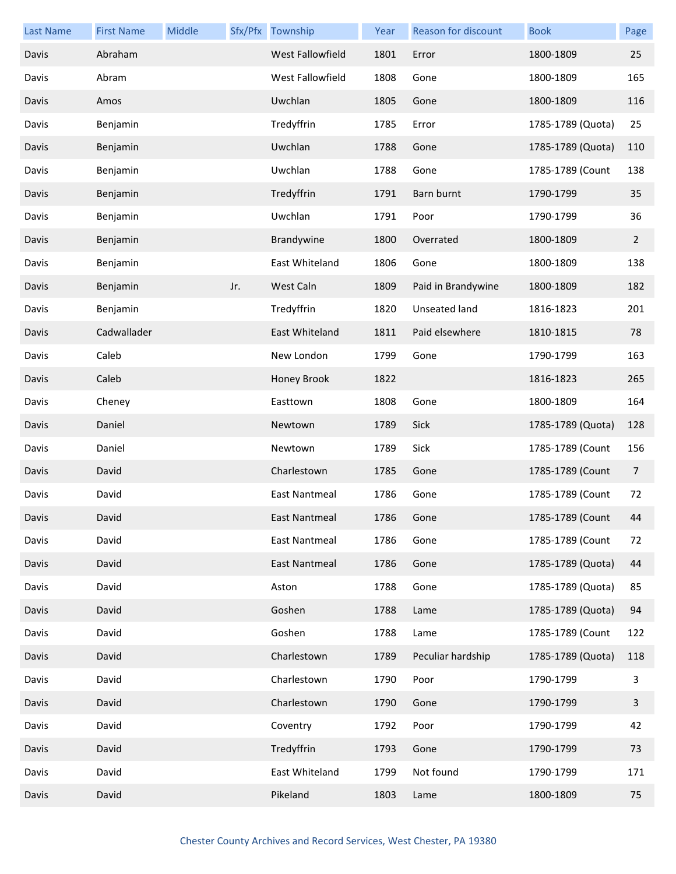| <b>Last Name</b> | <b>First Name</b> | <b>Middle</b> | Sfx/Pfx | Township                | Year | Reason for discount  | <b>Book</b>       | Page           |
|------------------|-------------------|---------------|---------|-------------------------|------|----------------------|-------------------|----------------|
| Davis            | Abraham           |               |         | <b>West Fallowfield</b> | 1801 | Error                | 1800-1809         | 25             |
| Davis            | Abram             |               |         | West Fallowfield        | 1808 | Gone                 | 1800-1809         | 165            |
| Davis            | Amos              |               |         | Uwchlan                 | 1805 | Gone                 | 1800-1809         | 116            |
| Davis            | Benjamin          |               |         | Tredyffrin              | 1785 | Error                | 1785-1789 (Quota) | 25             |
| Davis            | Benjamin          |               |         | Uwchlan                 | 1788 | Gone                 | 1785-1789 (Quota) | 110            |
| Davis            | Benjamin          |               |         | Uwchlan                 | 1788 | Gone                 | 1785-1789 (Count  | 138            |
| Davis            | Benjamin          |               |         | Tredyffrin              | 1791 | Barn burnt           | 1790-1799         | 35             |
| Davis            | Benjamin          |               |         | Uwchlan                 | 1791 | Poor                 | 1790-1799         | 36             |
| Davis            | Benjamin          |               |         | Brandywine              | 1800 | Overrated            | 1800-1809         | $\overline{2}$ |
| Davis            | Benjamin          |               |         | East Whiteland          | 1806 | Gone                 | 1800-1809         | 138            |
| Davis            | Benjamin          |               | Jr.     | West Caln               | 1809 | Paid in Brandywine   | 1800-1809         | 182            |
| Davis            | Benjamin          |               |         | Tredyffrin              | 1820 | <b>Unseated land</b> | 1816-1823         | 201            |
| Davis            | Cadwallader       |               |         | East Whiteland          | 1811 | Paid elsewhere       | 1810-1815         | 78             |
| Davis            | Caleb             |               |         | New London              | 1799 | Gone                 | 1790-1799         | 163            |
| Davis            | Caleb             |               |         | Honey Brook             | 1822 |                      | 1816-1823         | 265            |
| Davis            | Cheney            |               |         | Easttown                | 1808 | Gone                 | 1800-1809         | 164            |
| Davis            | Daniel            |               |         | Newtown                 | 1789 | Sick                 | 1785-1789 (Quota) | 128            |
| Davis            | Daniel            |               |         | Newtown                 | 1789 | Sick                 | 1785-1789 (Count  | 156            |
| Davis            | David             |               |         | Charlestown             | 1785 | Gone                 | 1785-1789 (Count  | 7              |
| Davis            | David             |               |         | <b>East Nantmeal</b>    | 1786 | Gone                 | 1785-1789 (Count  | 72             |
| Davis            | David             |               |         | East Nantmeal           | 1786 | Gone                 | 1785-1789 (Count  | 44             |
| Davis            | David             |               |         | <b>East Nantmeal</b>    | 1786 | Gone                 | 1785-1789 (Count  | 72             |
| Davis            | David             |               |         | <b>East Nantmeal</b>    | 1786 | Gone                 | 1785-1789 (Quota) | 44             |
| Davis            | David             |               |         | Aston                   | 1788 | Gone                 | 1785-1789 (Quota) | 85             |
| Davis            | David             |               |         | Goshen                  | 1788 | Lame                 | 1785-1789 (Quota) | 94             |
| Davis            | David             |               |         | Goshen                  | 1788 | Lame                 | 1785-1789 (Count  | 122            |
| Davis            | David             |               |         | Charlestown             | 1789 | Peculiar hardship    | 1785-1789 (Quota) | 118            |
| Davis            | David             |               |         | Charlestown             | 1790 | Poor                 | 1790-1799         | 3              |
| Davis            | David             |               |         | Charlestown             | 1790 | Gone                 | 1790-1799         | 3              |
| Davis            | David             |               |         | Coventry                | 1792 | Poor                 | 1790-1799         | 42             |
| Davis            | David             |               |         | Tredyffrin              | 1793 | Gone                 | 1790-1799         | 73             |
| Davis            | David             |               |         | East Whiteland          | 1799 | Not found            | 1790-1799         | 171            |
| Davis            | David             |               |         | Pikeland                | 1803 | Lame                 | 1800-1809         | 75             |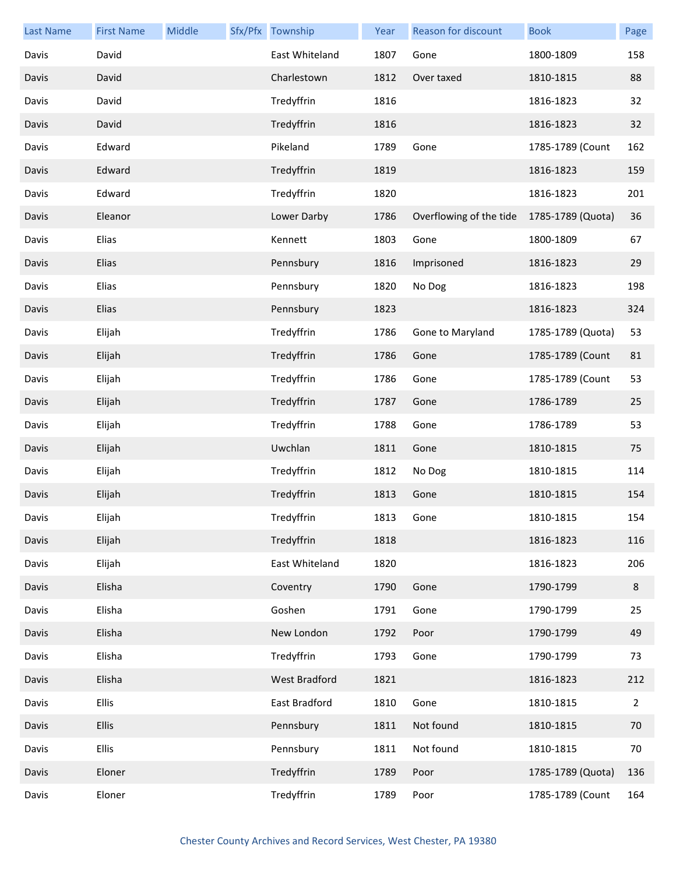| <b>Last Name</b> | <b>First Name</b> | Middle | Sfx/Pfx Township | Year | <b>Reason for discount</b> | <b>Book</b>       | Page           |
|------------------|-------------------|--------|------------------|------|----------------------------|-------------------|----------------|
| Davis            | David             |        | East Whiteland   | 1807 | Gone                       | 1800-1809         | 158            |
| Davis            | David             |        | Charlestown      | 1812 | Over taxed                 | 1810-1815         | 88             |
| Davis            | David             |        | Tredyffrin       | 1816 |                            | 1816-1823         | 32             |
| Davis            | David             |        | Tredyffrin       | 1816 |                            | 1816-1823         | 32             |
| Davis            | Edward            |        | Pikeland         | 1789 | Gone                       | 1785-1789 (Count  | 162            |
| Davis            | Edward            |        | Tredyffrin       | 1819 |                            | 1816-1823         | 159            |
| Davis            | Edward            |        | Tredyffrin       | 1820 |                            | 1816-1823         | 201            |
| Davis            | Eleanor           |        | Lower Darby      | 1786 | Overflowing of the tide    | 1785-1789 (Quota) | 36             |
| Davis            | Elias             |        | Kennett          | 1803 | Gone                       | 1800-1809         | 67             |
| Davis            | Elias             |        | Pennsbury        | 1816 | Imprisoned                 | 1816-1823         | 29             |
| Davis            | Elias             |        | Pennsbury        | 1820 | No Dog                     | 1816-1823         | 198            |
| Davis            | Elias             |        | Pennsbury        | 1823 |                            | 1816-1823         | 324            |
| Davis            | Elijah            |        | Tredyffrin       | 1786 | Gone to Maryland           | 1785-1789 (Quota) | 53             |
| Davis            | Elijah            |        | Tredyffrin       | 1786 | Gone                       | 1785-1789 (Count  | 81             |
| Davis            | Elijah            |        | Tredyffrin       | 1786 | Gone                       | 1785-1789 (Count  | 53             |
| Davis            | Elijah            |        | Tredyffrin       | 1787 | Gone                       | 1786-1789         | 25             |
| Davis            | Elijah            |        | Tredyffrin       | 1788 | Gone                       | 1786-1789         | 53             |
| Davis            | Elijah            |        | Uwchlan          | 1811 | Gone                       | 1810-1815         | 75             |
| Davis            | Elijah            |        | Tredyffrin       | 1812 | No Dog                     | 1810-1815         | 114            |
| Davis            | Elijah            |        | Tredyffrin       | 1813 | Gone                       | 1810-1815         | 154            |
| Davis            | Elijah            |        | Tredyffrin       | 1813 | Gone                       | 1810-1815         | 154            |
| Davis            | Elijah            |        | Tredyffrin       | 1818 |                            | 1816-1823         | 116            |
| Davis            | Elijah            |        | East Whiteland   | 1820 |                            | 1816-1823         | 206            |
| Davis            | Elisha            |        | Coventry         | 1790 | Gone                       | 1790-1799         | 8              |
| Davis            | Elisha            |        | Goshen           | 1791 | Gone                       | 1790-1799         | 25             |
| Davis            | Elisha            |        | New London       | 1792 | Poor                       | 1790-1799         | 49             |
| Davis            | Elisha            |        | Tredyffrin       | 1793 | Gone                       | 1790-1799         | 73             |
| Davis            | Elisha            |        | West Bradford    | 1821 |                            | 1816-1823         | 212            |
| Davis            | <b>Ellis</b>      |        | East Bradford    | 1810 | Gone                       | 1810-1815         | $\overline{2}$ |
| Davis            | Ellis             |        | Pennsbury        | 1811 | Not found                  | 1810-1815         | 70             |
| Davis            | <b>Ellis</b>      |        | Pennsbury        | 1811 | Not found                  | 1810-1815         | 70             |
| Davis            | Eloner            |        | Tredyffrin       | 1789 | Poor                       | 1785-1789 (Quota) | 136            |
| Davis            | Eloner            |        | Tredyffrin       | 1789 | Poor                       | 1785-1789 (Count  | 164            |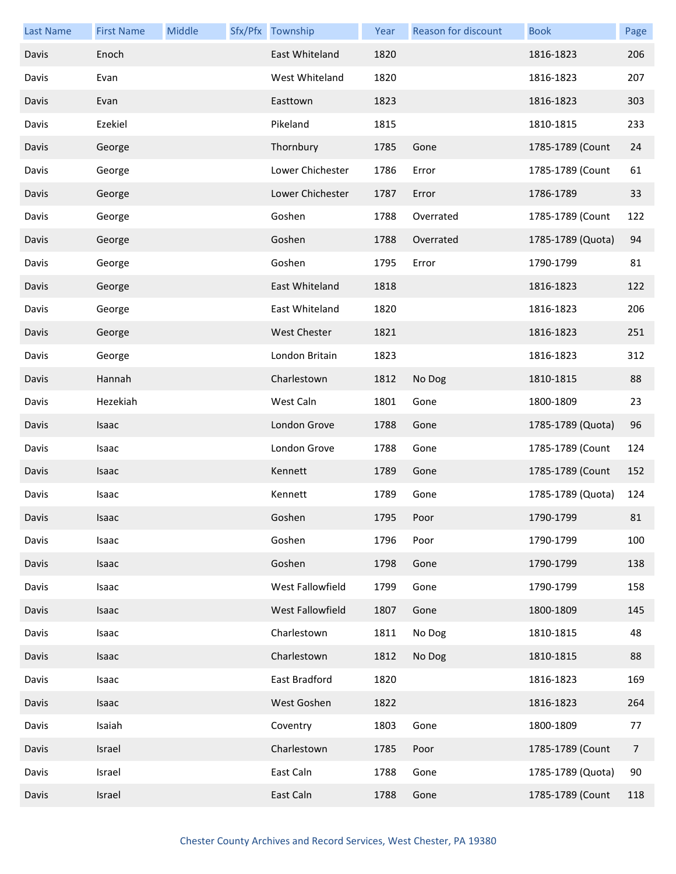| <b>Last Name</b> | <b>First Name</b> | Middle | Sfx/Pfx Township | Year | Reason for discount | <b>Book</b>       | Page           |
|------------------|-------------------|--------|------------------|------|---------------------|-------------------|----------------|
| Davis            | Enoch             |        | East Whiteland   | 1820 |                     | 1816-1823         | 206            |
| Davis            | Evan              |        | West Whiteland   | 1820 |                     | 1816-1823         | 207            |
| Davis            | Evan              |        | Easttown         | 1823 |                     | 1816-1823         | 303            |
| Davis            | Ezekiel           |        | Pikeland         | 1815 |                     | 1810-1815         | 233            |
| Davis            | George            |        | Thornbury        | 1785 | Gone                | 1785-1789 (Count  | 24             |
| Davis            | George            |        | Lower Chichester | 1786 | Error               | 1785-1789 (Count  | 61             |
| Davis            | George            |        | Lower Chichester | 1787 | Error               | 1786-1789         | 33             |
| Davis            | George            |        | Goshen           | 1788 | Overrated           | 1785-1789 (Count  | 122            |
| Davis            | George            |        | Goshen           | 1788 | Overrated           | 1785-1789 (Quota) | 94             |
| Davis            | George            |        | Goshen           | 1795 | Error               | 1790-1799         | 81             |
| Davis            | George            |        | East Whiteland   | 1818 |                     | 1816-1823         | 122            |
| Davis            | George            |        | East Whiteland   | 1820 |                     | 1816-1823         | 206            |
| Davis            | George            |        | West Chester     | 1821 |                     | 1816-1823         | 251            |
| Davis            | George            |        | London Britain   | 1823 |                     | 1816-1823         | 312            |
| Davis            | Hannah            |        | Charlestown      | 1812 | No Dog              | 1810-1815         | 88             |
| Davis            | Hezekiah          |        | West Caln        | 1801 | Gone                | 1800-1809         | 23             |
| Davis            | Isaac             |        | London Grove     | 1788 | Gone                | 1785-1789 (Quota) | 96             |
| Davis            | Isaac             |        | London Grove     | 1788 | Gone                | 1785-1789 (Count  | 124            |
| Davis            | Isaac             |        | Kennett          | 1789 | Gone                | 1785-1789 (Count  | 152            |
| Davis            | Isaac             |        | Kennett          | 1789 | Gone                | 1785-1789 (Quota) | 124            |
| Davis            | Isaac             |        | Goshen           | 1795 | Poor                | 1790-1799         | 81             |
| Davis            | Isaac             |        | Goshen           | 1796 | Poor                | 1790-1799         | 100            |
| Davis            | Isaac             |        | Goshen           | 1798 | Gone                | 1790-1799         | 138            |
| Davis            | Isaac             |        | West Fallowfield | 1799 | Gone                | 1790-1799         | 158            |
| Davis            | Isaac             |        | West Fallowfield | 1807 | Gone                | 1800-1809         | 145            |
| Davis            | Isaac             |        | Charlestown      | 1811 | No Dog              | 1810-1815         | 48             |
| Davis            | Isaac             |        | Charlestown      | 1812 | No Dog              | 1810-1815         | 88             |
| Davis            | Isaac             |        | East Bradford    | 1820 |                     | 1816-1823         | 169            |
| Davis            | Isaac             |        | West Goshen      | 1822 |                     | 1816-1823         | 264            |
| Davis            | Isaiah            |        | Coventry         | 1803 | Gone                | 1800-1809         | 77             |
| Davis            | Israel            |        | Charlestown      | 1785 | Poor                | 1785-1789 (Count  | $\overline{7}$ |
| Davis            | Israel            |        | East Caln        | 1788 | Gone                | 1785-1789 (Quota) | 90             |
| Davis            | Israel            |        | East Caln        | 1788 | Gone                | 1785-1789 (Count  | 118            |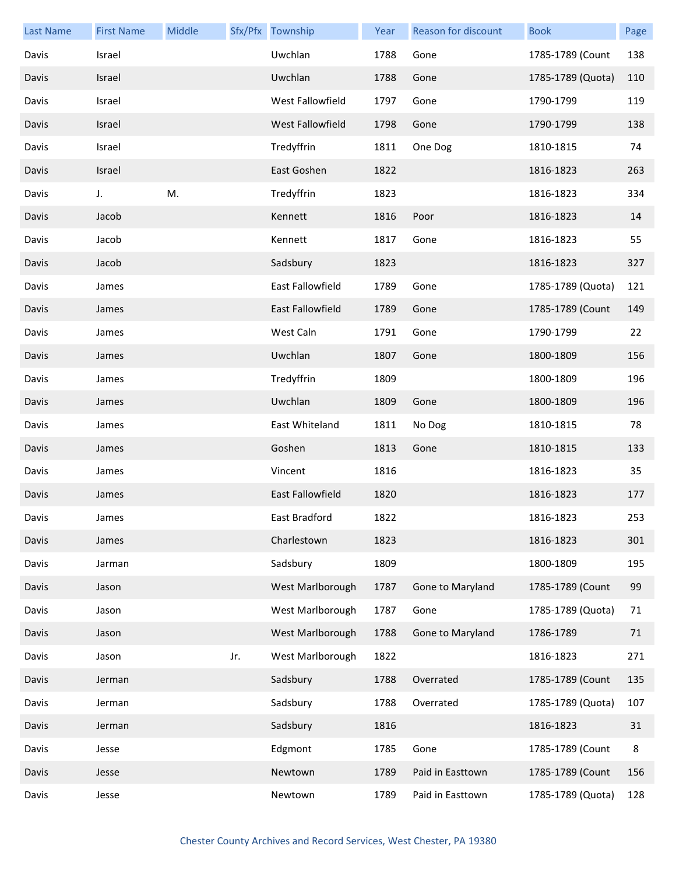| <b>Last Name</b> | <b>First Name</b> | Middle |     | Sfx/Pfx Township        | Year | <b>Reason for discount</b> | <b>Book</b>       | Page |
|------------------|-------------------|--------|-----|-------------------------|------|----------------------------|-------------------|------|
| Davis            | Israel            |        |     | Uwchlan                 | 1788 | Gone                       | 1785-1789 (Count  | 138  |
| Davis            | Israel            |        |     | Uwchlan                 | 1788 | Gone                       | 1785-1789 (Quota) | 110  |
| Davis            | Israel            |        |     | West Fallowfield        | 1797 | Gone                       | 1790-1799         | 119  |
| Davis            | Israel            |        |     | <b>West Fallowfield</b> | 1798 | Gone                       | 1790-1799         | 138  |
| Davis            | Israel            |        |     | Tredyffrin              | 1811 | One Dog                    | 1810-1815         | 74   |
| Davis            | Israel            |        |     | East Goshen             | 1822 |                            | 1816-1823         | 263  |
| Davis            | J.                | M.     |     | Tredyffrin              | 1823 |                            | 1816-1823         | 334  |
| Davis            | Jacob             |        |     | Kennett                 | 1816 | Poor                       | 1816-1823         | 14   |
| Davis            | Jacob             |        |     | Kennett                 | 1817 | Gone                       | 1816-1823         | 55   |
| Davis            | Jacob             |        |     | Sadsbury                | 1823 |                            | 1816-1823         | 327  |
| Davis            | James             |        |     | East Fallowfield        | 1789 | Gone                       | 1785-1789 (Quota) | 121  |
| Davis            | James             |        |     | <b>East Fallowfield</b> | 1789 | Gone                       | 1785-1789 (Count  | 149  |
| Davis            | James             |        |     | West Caln               | 1791 | Gone                       | 1790-1799         | 22   |
| Davis            | James             |        |     | Uwchlan                 | 1807 | Gone                       | 1800-1809         | 156  |
| Davis            | James             |        |     | Tredyffrin              | 1809 |                            | 1800-1809         | 196  |
| Davis            | James             |        |     | Uwchlan                 | 1809 | Gone                       | 1800-1809         | 196  |
| Davis            | James             |        |     | East Whiteland          | 1811 | No Dog                     | 1810-1815         | 78   |
| Davis            | James             |        |     | Goshen                  | 1813 | Gone                       | 1810-1815         | 133  |
| Davis            | James             |        |     | Vincent                 | 1816 |                            | 1816-1823         | 35   |
| Davis            | James             |        |     | East Fallowfield        | 1820 |                            | 1816-1823         | 177  |
| Davis            | James             |        |     | East Bradford           | 1822 |                            | 1816-1823         | 253  |
| Davis            | James             |        |     | Charlestown             | 1823 |                            | 1816-1823         | 301  |
| Davis            | Jarman            |        |     | Sadsbury                | 1809 |                            | 1800-1809         | 195  |
| Davis            | Jason             |        |     | West Marlborough        | 1787 | Gone to Maryland           | 1785-1789 (Count  | 99   |
| Davis            | Jason             |        |     | West Marlborough        | 1787 | Gone                       | 1785-1789 (Quota) | 71   |
| Davis            | Jason             |        |     | West Marlborough        | 1788 | Gone to Maryland           | 1786-1789         | 71   |
| Davis            | Jason             |        | Jr. | West Marlborough        | 1822 |                            | 1816-1823         | 271  |
| Davis            | Jerman            |        |     | Sadsbury                | 1788 | Overrated                  | 1785-1789 (Count  | 135  |
| Davis            | Jerman            |        |     | Sadsbury                | 1788 | Overrated                  | 1785-1789 (Quota) | 107  |
| Davis            | Jerman            |        |     | Sadsbury                | 1816 |                            | 1816-1823         | 31   |
| Davis            | Jesse             |        |     | Edgmont                 | 1785 | Gone                       | 1785-1789 (Count  | 8    |
| Davis            | Jesse             |        |     | Newtown                 | 1789 | Paid in Easttown           | 1785-1789 (Count  | 156  |
| Davis            | Jesse             |        |     | Newtown                 | 1789 | Paid in Easttown           | 1785-1789 (Quota) | 128  |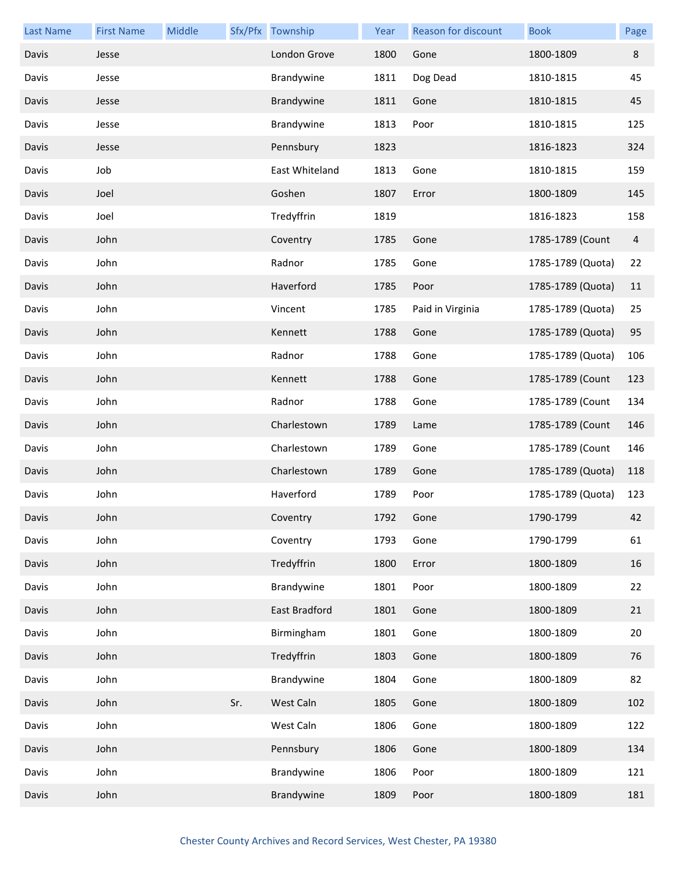| <b>Last Name</b> | <b>First Name</b> | Middle |     | Sfx/Pfx Township | Year | <b>Reason for discount</b> | <b>Book</b>       | Page           |
|------------------|-------------------|--------|-----|------------------|------|----------------------------|-------------------|----------------|
| Davis            | Jesse             |        |     | London Grove     | 1800 | Gone                       | 1800-1809         | $\bf 8$        |
| Davis            | Jesse             |        |     | Brandywine       | 1811 | Dog Dead                   | 1810-1815         | 45             |
| Davis            | Jesse             |        |     | Brandywine       | 1811 | Gone                       | 1810-1815         | 45             |
| Davis            | Jesse             |        |     | Brandywine       | 1813 | Poor                       | 1810-1815         | 125            |
| Davis            | Jesse             |        |     | Pennsbury        | 1823 |                            | 1816-1823         | 324            |
| Davis            | Job               |        |     | East Whiteland   | 1813 | Gone                       | 1810-1815         | 159            |
| Davis            | Joel              |        |     | Goshen           | 1807 | Error                      | 1800-1809         | 145            |
| Davis            | Joel              |        |     | Tredyffrin       | 1819 |                            | 1816-1823         | 158            |
| Davis            | John              |        |     | Coventry         | 1785 | Gone                       | 1785-1789 (Count  | $\overline{4}$ |
| Davis            | John              |        |     | Radnor           | 1785 | Gone                       | 1785-1789 (Quota) | 22             |
| Davis            | John              |        |     | Haverford        | 1785 | Poor                       | 1785-1789 (Quota) | 11             |
| Davis            | John              |        |     | Vincent          | 1785 | Paid in Virginia           | 1785-1789 (Quota) | 25             |
| Davis            | John              |        |     | Kennett          | 1788 | Gone                       | 1785-1789 (Quota) | 95             |
| Davis            | John              |        |     | Radnor           | 1788 | Gone                       | 1785-1789 (Quota) | 106            |
| Davis            | John              |        |     | Kennett          | 1788 | Gone                       | 1785-1789 (Count  | 123            |
| Davis            | John              |        |     | Radnor           | 1788 | Gone                       | 1785-1789 (Count  | 134            |
| Davis            | John              |        |     | Charlestown      | 1789 | Lame                       | 1785-1789 (Count  | 146            |
| Davis            | John              |        |     | Charlestown      | 1789 | Gone                       | 1785-1789 (Count  | 146            |
| Davis            | John              |        |     | Charlestown      | 1789 | Gone                       | 1785-1789 (Quota) | 118            |
| Davis            | John              |        |     | Haverford        | 1789 | Poor                       | 1785-1789 (Quota) | 123            |
| Davis            | John              |        |     | Coventry         | 1792 | Gone                       | 1790-1799         | 42             |
| Davis            | John              |        |     | Coventry         | 1793 | Gone                       | 1790-1799         | 61             |
| Davis            | John              |        |     | Tredyffrin       | 1800 | Error                      | 1800-1809         | 16             |
| Davis            | John              |        |     | Brandywine       | 1801 | Poor                       | 1800-1809         | 22             |
| Davis            | John              |        |     | East Bradford    | 1801 | Gone                       | 1800-1809         | 21             |
| Davis            | John              |        |     | Birmingham       | 1801 | Gone                       | 1800-1809         | 20             |
| Davis            | John              |        |     | Tredyffrin       | 1803 | Gone                       | 1800-1809         | 76             |
| Davis            | John              |        |     | Brandywine       | 1804 | Gone                       | 1800-1809         | 82             |
| Davis            | John              |        | Sr. | West Caln        | 1805 | Gone                       | 1800-1809         | 102            |
| Davis            | John              |        |     | West Caln        | 1806 | Gone                       | 1800-1809         | 122            |
| Davis            | John              |        |     | Pennsbury        | 1806 | Gone                       | 1800-1809         | 134            |
| Davis            | John              |        |     | Brandywine       | 1806 | Poor                       | 1800-1809         | 121            |
| Davis            | John              |        |     | Brandywine       | 1809 | Poor                       | 1800-1809         | 181            |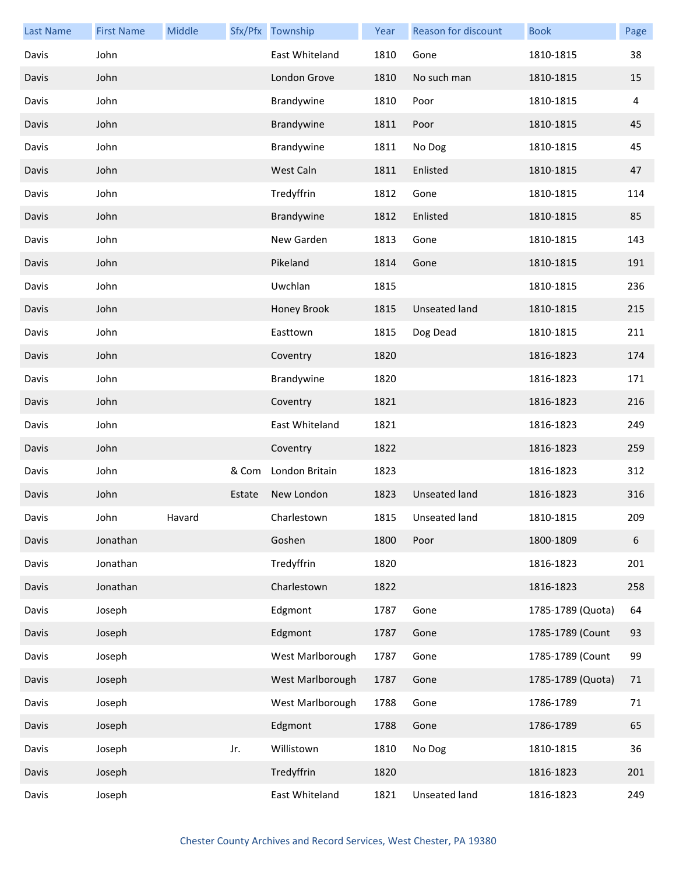| <b>Last Name</b> | <b>First Name</b> | Middle |        | Sfx/Pfx Township | Year | Reason for discount | <b>Book</b>       | Page |
|------------------|-------------------|--------|--------|------------------|------|---------------------|-------------------|------|
| Davis            | John              |        |        | East Whiteland   | 1810 | Gone                | 1810-1815         | 38   |
| Davis            | John              |        |        | London Grove     | 1810 | No such man         | 1810-1815         | 15   |
| Davis            | John              |        |        | Brandywine       | 1810 | Poor                | 1810-1815         | 4    |
| Davis            | John              |        |        | Brandywine       | 1811 | Poor                | 1810-1815         | 45   |
| Davis            | John              |        |        | Brandywine       | 1811 | No Dog              | 1810-1815         | 45   |
| Davis            | John              |        |        | West Caln        | 1811 | Enlisted            | 1810-1815         | 47   |
| Davis            | John              |        |        | Tredyffrin       | 1812 | Gone                | 1810-1815         | 114  |
| Davis            | John              |        |        | Brandywine       | 1812 | Enlisted            | 1810-1815         | 85   |
| Davis            | John              |        |        | New Garden       | 1813 | Gone                | 1810-1815         | 143  |
| Davis            | John              |        |        | Pikeland         | 1814 | Gone                | 1810-1815         | 191  |
| Davis            | John              |        |        | Uwchlan          | 1815 |                     | 1810-1815         | 236  |
| Davis            | John              |        |        | Honey Brook      | 1815 | Unseated land       | 1810-1815         | 215  |
| Davis            | John              |        |        | Easttown         | 1815 | Dog Dead            | 1810-1815         | 211  |
| Davis            | John              |        |        | Coventry         | 1820 |                     | 1816-1823         | 174  |
| Davis            | John              |        |        | Brandywine       | 1820 |                     | 1816-1823         | 171  |
| Davis            | John              |        |        | Coventry         | 1821 |                     | 1816-1823         | 216  |
| Davis            | John              |        |        | East Whiteland   | 1821 |                     | 1816-1823         | 249  |
| Davis            | John              |        |        | Coventry         | 1822 |                     | 1816-1823         | 259  |
| Davis            | John              |        | & Com  | London Britain   | 1823 |                     | 1816-1823         | 312  |
| Davis            | John              |        | Estate | New London       | 1823 | Unseated land       | 1816-1823         | 316  |
| Davis            | John              | Havard |        | Charlestown      |      | 1815 Unseated land  | 1810-1815         | 209  |
| Davis            | Jonathan          |        |        | Goshen           | 1800 | Poor                | 1800-1809         | 6    |
| Davis            | Jonathan          |        |        | Tredyffrin       | 1820 |                     | 1816-1823         | 201  |
| Davis            | Jonathan          |        |        | Charlestown      | 1822 |                     | 1816-1823         | 258  |
| Davis            | Joseph            |        |        | Edgmont          | 1787 | Gone                | 1785-1789 (Quota) | 64   |
| Davis            | Joseph            |        |        | Edgmont          | 1787 | Gone                | 1785-1789 (Count  | 93   |
| Davis            | Joseph            |        |        | West Marlborough | 1787 | Gone                | 1785-1789 (Count  | 99   |
| Davis            | Joseph            |        |        | West Marlborough | 1787 | Gone                | 1785-1789 (Quota) | 71   |
| Davis            | Joseph            |        |        | West Marlborough | 1788 | Gone                | 1786-1789         | 71   |
| Davis            | Joseph            |        |        | Edgmont          | 1788 | Gone                | 1786-1789         | 65   |
| Davis            | Joseph            |        | Jr.    | Willistown       | 1810 | No Dog              | 1810-1815         | 36   |
| Davis            | Joseph            |        |        | Tredyffrin       | 1820 |                     | 1816-1823         | 201  |
| Davis            | Joseph            |        |        | East Whiteland   | 1821 | Unseated land       | 1816-1823         | 249  |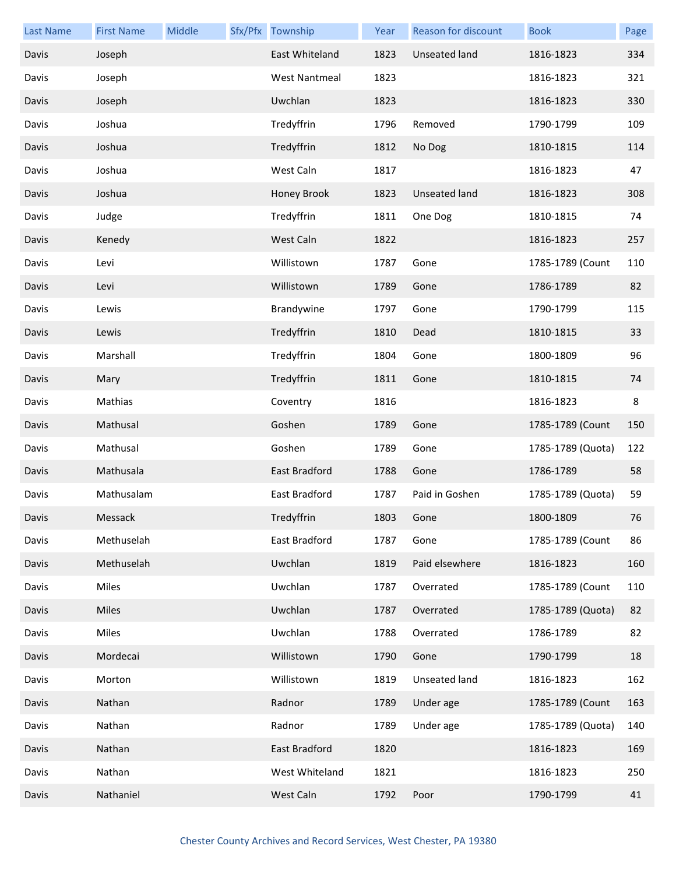| <b>Last Name</b> | <b>First Name</b> | Middle | Sfx/Pfx Township     | Year | Reason for discount  | <b>Book</b>       | Page |
|------------------|-------------------|--------|----------------------|------|----------------------|-------------------|------|
| Davis            | Joseph            |        | East Whiteland       | 1823 | <b>Unseated land</b> | 1816-1823         | 334  |
| Davis            | Joseph            |        | <b>West Nantmeal</b> | 1823 |                      | 1816-1823         | 321  |
| Davis            | Joseph            |        | Uwchlan              | 1823 |                      | 1816-1823         | 330  |
| Davis            | Joshua            |        | Tredyffrin           | 1796 | Removed              | 1790-1799         | 109  |
| Davis            | Joshua            |        | Tredyffrin           | 1812 | No Dog               | 1810-1815         | 114  |
| Davis            | Joshua            |        | West Caln            | 1817 |                      | 1816-1823         | 47   |
| Davis            | Joshua            |        | Honey Brook          | 1823 | <b>Unseated land</b> | 1816-1823         | 308  |
| Davis            | Judge             |        | Tredyffrin           | 1811 | One Dog              | 1810-1815         | 74   |
| Davis            | Kenedy            |        | West Caln            | 1822 |                      | 1816-1823         | 257  |
| Davis            | Levi              |        | Willistown           | 1787 | Gone                 | 1785-1789 (Count  | 110  |
| Davis            | Levi              |        | Willistown           | 1789 | Gone                 | 1786-1789         | 82   |
| Davis            | Lewis             |        | Brandywine           | 1797 | Gone                 | 1790-1799         | 115  |
| Davis            | Lewis             |        | Tredyffrin           | 1810 | Dead                 | 1810-1815         | 33   |
| Davis            | Marshall          |        | Tredyffrin           | 1804 | Gone                 | 1800-1809         | 96   |
| Davis            | Mary              |        | Tredyffrin           | 1811 | Gone                 | 1810-1815         | 74   |
| Davis            | Mathias           |        | Coventry             | 1816 |                      | 1816-1823         | 8    |
| Davis            | Mathusal          |        | Goshen               | 1789 | Gone                 | 1785-1789 (Count  | 150  |
| Davis            | Mathusal          |        | Goshen               | 1789 | Gone                 | 1785-1789 (Quota) | 122  |
| Davis            | Mathusala         |        | East Bradford        | 1788 | Gone                 | 1786-1789         | 58   |
| Davis            | Mathusalam        |        | East Bradford        | 1787 | Paid in Goshen       | 1785-1789 (Quota) | 59   |
| Davis            | Messack           |        | Tredyffrin           | 1803 | Gone                 | 1800-1809         | 76   |
| Davis            | Methuselah        |        | East Bradford        | 1787 | Gone                 | 1785-1789 (Count  | 86   |
| Davis            | Methuselah        |        | Uwchlan              | 1819 | Paid elsewhere       | 1816-1823         | 160  |
| Davis            | Miles             |        | Uwchlan              | 1787 | Overrated            | 1785-1789 (Count  | 110  |
| Davis            | Miles             |        | Uwchlan              | 1787 | Overrated            | 1785-1789 (Quota) | 82   |
| Davis            | Miles             |        | Uwchlan              | 1788 | Overrated            | 1786-1789         | 82   |
| Davis            | Mordecai          |        | Willistown           | 1790 | Gone                 | 1790-1799         | 18   |
| Davis            | Morton            |        | Willistown           | 1819 | Unseated land        | 1816-1823         | 162  |
| Davis            | Nathan            |        | Radnor               | 1789 | Under age            | 1785-1789 (Count  | 163  |
| Davis            | Nathan            |        | Radnor               | 1789 | Under age            | 1785-1789 (Quota) | 140  |
| Davis            | Nathan            |        | East Bradford        | 1820 |                      | 1816-1823         | 169  |
| Davis            | Nathan            |        | West Whiteland       | 1821 |                      | 1816-1823         | 250  |
| Davis            | Nathaniel         |        | West Caln            | 1792 | Poor                 | 1790-1799         | 41   |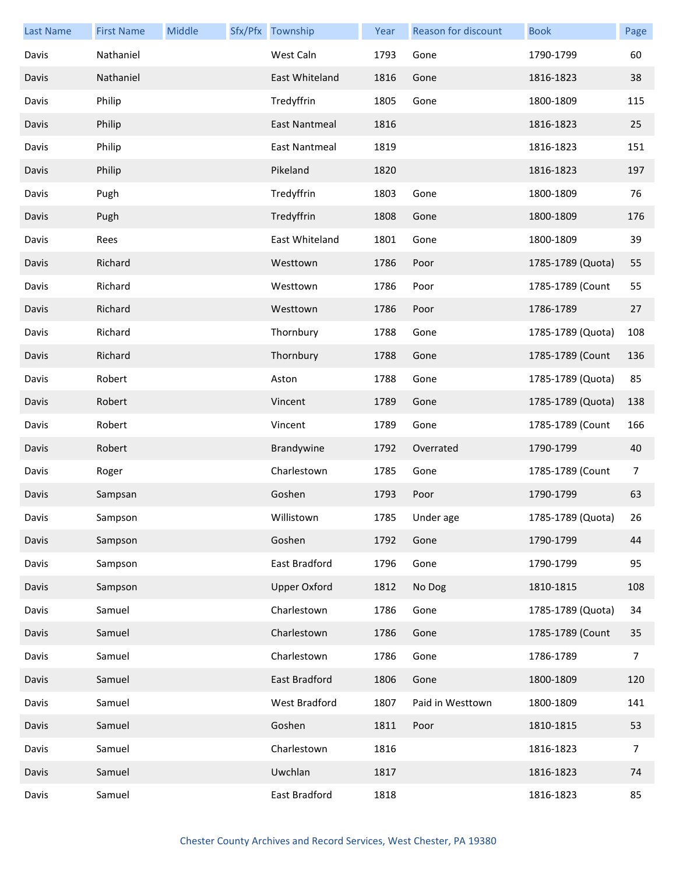| <b>Last Name</b> | <b>First Name</b> | Middle | Sfx/Pfx Township     | Year | Reason for discount | <b>Book</b>       | Page |
|------------------|-------------------|--------|----------------------|------|---------------------|-------------------|------|
| Davis            | Nathaniel         |        | West Caln            | 1793 | Gone                | 1790-1799         | 60   |
| Davis            | Nathaniel         |        | East Whiteland       | 1816 | Gone                | 1816-1823         | 38   |
| Davis            | Philip            |        | Tredyffrin           | 1805 | Gone                | 1800-1809         | 115  |
| Davis            | Philip            |        | East Nantmeal        | 1816 |                     | 1816-1823         | 25   |
| Davis            | Philip            |        | <b>East Nantmeal</b> | 1819 |                     | 1816-1823         | 151  |
| Davis            | Philip            |        | Pikeland             | 1820 |                     | 1816-1823         | 197  |
| Davis            | Pugh              |        | Tredyffrin           | 1803 | Gone                | 1800-1809         | 76   |
| Davis            | Pugh              |        | Tredyffrin           | 1808 | Gone                | 1800-1809         | 176  |
| Davis            | Rees              |        | East Whiteland       | 1801 | Gone                | 1800-1809         | 39   |
| Davis            | Richard           |        | Westtown             | 1786 | Poor                | 1785-1789 (Quota) | 55   |
| Davis            | Richard           |        | Westtown             | 1786 | Poor                | 1785-1789 (Count  | 55   |
| Davis            | Richard           |        | Westtown             | 1786 | Poor                | 1786-1789         | 27   |
| Davis            | Richard           |        | Thornbury            | 1788 | Gone                | 1785-1789 (Quota) | 108  |
| Davis            | Richard           |        | Thornbury            | 1788 | Gone                | 1785-1789 (Count  | 136  |
| Davis            | Robert            |        | Aston                | 1788 | Gone                | 1785-1789 (Quota) | 85   |
| Davis            | Robert            |        | Vincent              | 1789 | Gone                | 1785-1789 (Quota) | 138  |
| Davis            | Robert            |        | Vincent              | 1789 | Gone                | 1785-1789 (Count  | 166  |
| Davis            | Robert            |        | Brandywine           | 1792 | Overrated           | 1790-1799         | 40   |
| Davis            | Roger             |        | Charlestown          | 1785 | Gone                | 1785-1789 (Count  | 7    |
| Davis            | Sampsan           |        | Goshen               | 1793 | Poor                | 1790-1799         | 63   |
| Davis            | Sampson           |        | Willistown           |      | 1785 Under age      | 1785-1789 (Quota) | 26   |
| Davis            | Sampson           |        | Goshen               | 1792 | Gone                | 1790-1799         | 44   |
| Davis            | Sampson           |        | East Bradford        | 1796 | Gone                | 1790-1799         | 95   |
| Davis            | Sampson           |        | <b>Upper Oxford</b>  | 1812 | No Dog              | 1810-1815         | 108  |
| Davis            | Samuel            |        | Charlestown          | 1786 | Gone                | 1785-1789 (Quota) | 34   |
| Davis            | Samuel            |        | Charlestown          | 1786 | Gone                | 1785-1789 (Count  | 35   |
| Davis            | Samuel            |        | Charlestown          | 1786 | Gone                | 1786-1789         | 7    |
| Davis            | Samuel            |        | East Bradford        | 1806 | Gone                | 1800-1809         | 120  |
| Davis            | Samuel            |        | West Bradford        | 1807 | Paid in Westtown    | 1800-1809         | 141  |
| Davis            | Samuel            |        | Goshen               | 1811 | Poor                | 1810-1815         | 53   |
| Davis            | Samuel            |        | Charlestown          | 1816 |                     | 1816-1823         | 7    |
| Davis            | Samuel            |        | Uwchlan              | 1817 |                     | 1816-1823         | 74   |
| Davis            | Samuel            |        | East Bradford        | 1818 |                     | 1816-1823         | 85   |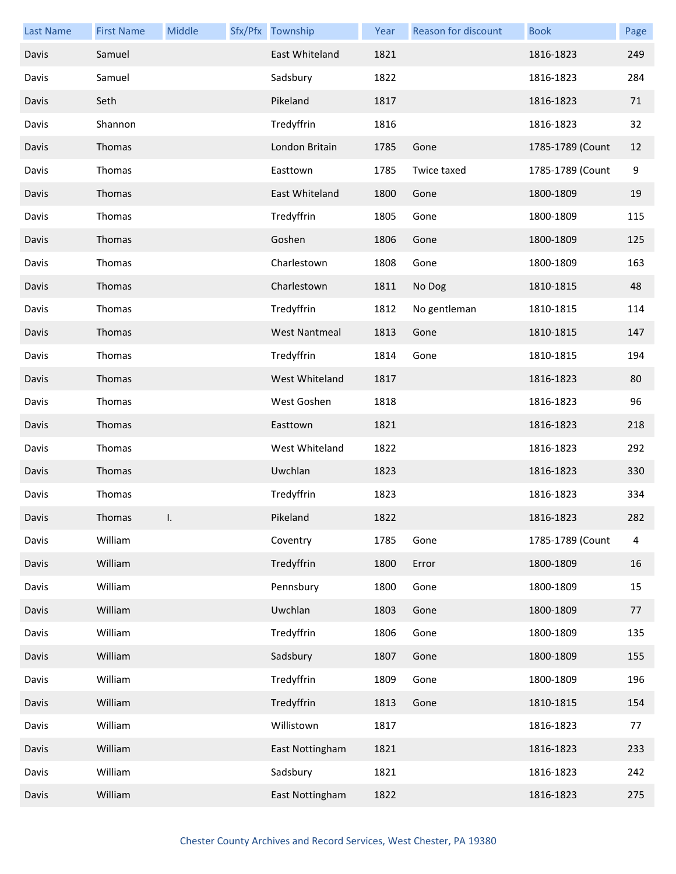| <b>Last Name</b> | <b>First Name</b> | Middle | Sfx/Pfx Township | Year | Reason for discount | <b>Book</b>      | Page |
|------------------|-------------------|--------|------------------|------|---------------------|------------------|------|
| Davis            | Samuel            |        | East Whiteland   | 1821 |                     | 1816-1823        | 249  |
| Davis            | Samuel            |        | Sadsbury         | 1822 |                     | 1816-1823        | 284  |
| Davis            | Seth              |        | Pikeland         | 1817 |                     | 1816-1823        | 71   |
| Davis            | Shannon           |        | Tredyffrin       | 1816 |                     | 1816-1823        | 32   |
| Davis            | <b>Thomas</b>     |        | London Britain   | 1785 | Gone                | 1785-1789 (Count | 12   |
| Davis            | Thomas            |        | Easttown         | 1785 | Twice taxed         | 1785-1789 (Count | 9    |
| Davis            | Thomas            |        | East Whiteland   | 1800 | Gone                | 1800-1809        | 19   |
| Davis            | Thomas            |        | Tredyffrin       | 1805 | Gone                | 1800-1809        | 115  |
| Davis            | Thomas            |        | Goshen           | 1806 | Gone                | 1800-1809        | 125  |
| Davis            | Thomas            |        | Charlestown      | 1808 | Gone                | 1800-1809        | 163  |
| Davis            | Thomas            |        | Charlestown      | 1811 | No Dog              | 1810-1815        | 48   |
| Davis            | Thomas            |        | Tredyffrin       | 1812 | No gentleman        | 1810-1815        | 114  |
| Davis            | Thomas            |        | West Nantmeal    | 1813 | Gone                | 1810-1815        | 147  |
| Davis            | Thomas            |        | Tredyffrin       | 1814 | Gone                | 1810-1815        | 194  |
| Davis            | Thomas            |        | West Whiteland   | 1817 |                     | 1816-1823        | 80   |
| Davis            | Thomas            |        | West Goshen      | 1818 |                     | 1816-1823        | 96   |
| Davis            | Thomas            |        | Easttown         | 1821 |                     | 1816-1823        | 218  |
| Davis            | Thomas            |        | West Whiteland   | 1822 |                     | 1816-1823        | 292  |
| Davis            | Thomas            |        | Uwchlan          | 1823 |                     | 1816-1823        | 330  |
| Davis            | Thomas            |        | Tredyffrin       | 1823 |                     | 1816-1823        | 334  |
| Davis            | Thomas            |        | Pikeland         | 1822 |                     | 1816-1823        | 282  |
| Davis            | William           |        | Coventry         | 1785 | Gone                | 1785-1789 (Count | 4    |
| Davis            | William           |        | Tredyffrin       | 1800 | Error               | 1800-1809        | 16   |
| Davis            | William           |        | Pennsbury        | 1800 | Gone                | 1800-1809        | 15   |
| Davis            | William           |        | Uwchlan          | 1803 | Gone                | 1800-1809        | 77   |
| Davis            | William           |        | Tredyffrin       | 1806 | Gone                | 1800-1809        | 135  |
| Davis            | William           |        | Sadsbury         | 1807 | Gone                | 1800-1809        | 155  |
| Davis            | William           |        | Tredyffrin       | 1809 | Gone                | 1800-1809        | 196  |
| Davis            | William           |        | Tredyffrin       | 1813 | Gone                | 1810-1815        | 154  |
| Davis            | William           |        | Willistown       | 1817 |                     | 1816-1823        | 77   |
| Davis            | William           |        | East Nottingham  | 1821 |                     | 1816-1823        | 233  |
| Davis            | William           |        | Sadsbury         | 1821 |                     | 1816-1823        | 242  |
| Davis            | William           |        | East Nottingham  | 1822 |                     | 1816-1823        | 275  |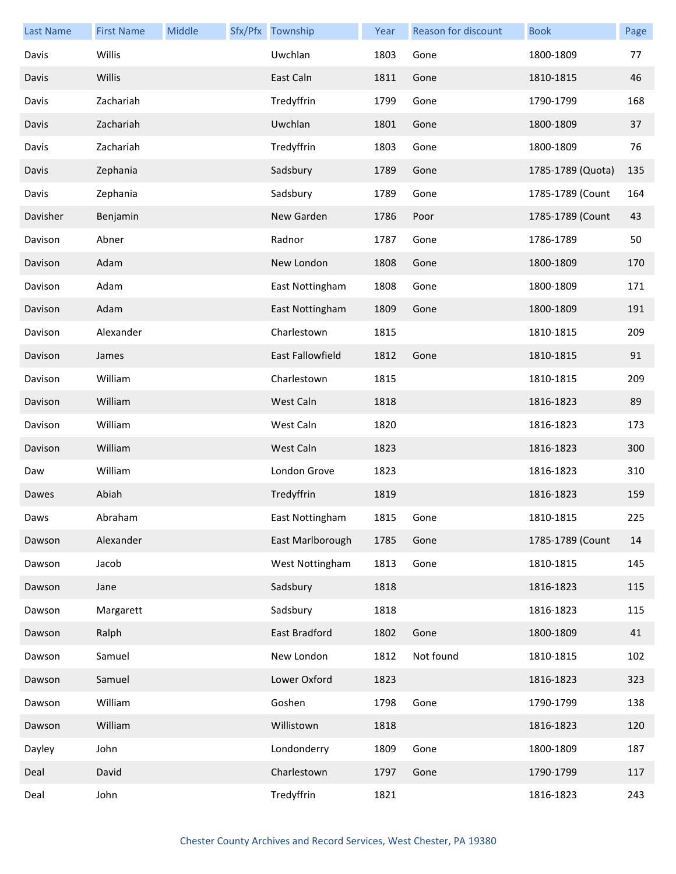| <b>Last Name</b> | <b>First Name</b> | Middle | Sfx/Pfx Township        | Year | Reason for discount | <b>Book</b>       | Page |
|------------------|-------------------|--------|-------------------------|------|---------------------|-------------------|------|
| Davis            | Willis            |        | Uwchlan                 | 1803 | Gone                | 1800-1809         | 77   |
| Davis            | Willis            |        | East Caln               | 1811 | Gone                | 1810-1815         | 46   |
| Davis            | Zachariah         |        | Tredyffrin              | 1799 | Gone                | 1790-1799         | 168  |
| Davis            | Zachariah         |        | Uwchlan                 | 1801 | Gone                | 1800-1809         | 37   |
| Davis            | Zachariah         |        | Tredyffrin              | 1803 | Gone                | 1800-1809         | 76   |
| Davis            | Zephania          |        | Sadsbury                | 1789 | Gone                | 1785-1789 (Quota) | 135  |
| Davis            | Zephania          |        | Sadsbury                | 1789 | Gone                | 1785-1789 (Count  | 164  |
| Davisher         | Benjamin          |        | New Garden              | 1786 | Poor                | 1785-1789 (Count  | 43   |
| Davison          | Abner             |        | Radnor                  | 1787 | Gone                | 1786-1789         | 50   |
| Davison          | Adam              |        | New London              | 1808 | Gone                | 1800-1809         | 170  |
| Davison          | Adam              |        | East Nottingham         | 1808 | Gone                | 1800-1809         | 171  |
| Davison          | Adam              |        | East Nottingham         | 1809 | Gone                | 1800-1809         | 191  |
| Davison          | Alexander         |        | Charlestown             | 1815 |                     | 1810-1815         | 209  |
| Davison          | James             |        | <b>East Fallowfield</b> | 1812 | Gone                | 1810-1815         | 91   |
| Davison          | William           |        | Charlestown             | 1815 |                     | 1810-1815         | 209  |
| Davison          | William           |        | West Caln               | 1818 |                     | 1816-1823         | 89   |
| Davison          | William           |        | West Caln               | 1820 |                     | 1816-1823         | 173  |
| Davison          | William           |        | West Caln               | 1823 |                     | 1816-1823         | 300  |
| Daw              | William           |        | London Grove            | 1823 |                     | 1816-1823         | 310  |
| Dawes            | Abiah             |        | Tredyffrin              | 1819 |                     | 1816-1823         | 159  |
| Daws             | Abraham           |        | East Nottingham         | 1815 | Gone                | 1810-1815         | 225  |
| Dawson           | Alexander         |        | East Marlborough        | 1785 | Gone                | 1785-1789 (Count  | 14   |
| Dawson           | Jacob             |        | West Nottingham         | 1813 | Gone                | 1810-1815         | 145  |
| Dawson           | Jane              |        | Sadsbury                | 1818 |                     | 1816-1823         | 115  |
| Dawson           | Margarett         |        | Sadsbury                | 1818 |                     | 1816-1823         | 115  |
| Dawson           | Ralph             |        | East Bradford           | 1802 | Gone                | 1800-1809         | 41   |
| Dawson           | Samuel            |        | New London              | 1812 | Not found           | 1810-1815         | 102  |
| Dawson           | Samuel            |        | Lower Oxford            | 1823 |                     | 1816-1823         | 323  |
| Dawson           | William           |        | Goshen                  | 1798 | Gone                | 1790-1799         | 138  |
| Dawson           | William           |        | Willistown              | 1818 |                     | 1816-1823         | 120  |
| Dayley           | John              |        | Londonderry             | 1809 | Gone                | 1800-1809         | 187  |
| Deal             | David             |        | Charlestown             | 1797 | Gone                | 1790-1799         | 117  |
| Deal             | John              |        | Tredyffrin              | 1821 |                     | 1816-1823         | 243  |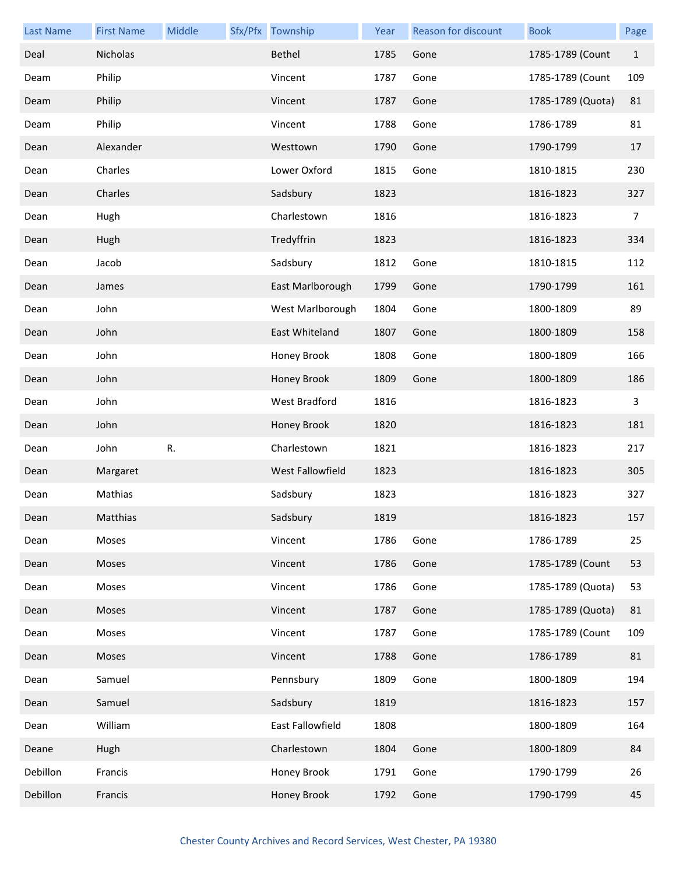| <b>Last Name</b> | <b>First Name</b> | Middle | Sfx/Pfx Township     | Year | Reason for discount | <b>Book</b>       | Page           |
|------------------|-------------------|--------|----------------------|------|---------------------|-------------------|----------------|
| Deal             | Nicholas          |        | Bethel               | 1785 | Gone                | 1785-1789 (Count  | $\mathbf{1}$   |
| Deam             | Philip            |        | Vincent              | 1787 | Gone                | 1785-1789 (Count  | 109            |
| Deam             | Philip            |        | Vincent              | 1787 | Gone                | 1785-1789 (Quota) | 81             |
| Deam             | Philip            |        | Vincent              | 1788 | Gone                | 1786-1789         | 81             |
| Dean             | Alexander         |        | Westtown             | 1790 | Gone                | 1790-1799         | 17             |
| Dean             | Charles           |        | Lower Oxford         | 1815 | Gone                | 1810-1815         | 230            |
| Dean             | Charles           |        | Sadsbury             | 1823 |                     | 1816-1823         | 327            |
| Dean             | Hugh              |        | Charlestown          | 1816 |                     | 1816-1823         | $\overline{7}$ |
| Dean             | Hugh              |        | Tredyffrin           | 1823 |                     | 1816-1823         | 334            |
| Dean             | Jacob             |        | Sadsbury             | 1812 | Gone                | 1810-1815         | 112            |
| Dean             | James             |        | East Marlborough     | 1799 | Gone                | 1790-1799         | 161            |
| Dean             | John              |        | West Marlborough     | 1804 | Gone                | 1800-1809         | 89             |
| Dean             | John              |        | East Whiteland       | 1807 | Gone                | 1800-1809         | 158            |
| Dean             | John              |        | Honey Brook          | 1808 | Gone                | 1800-1809         | 166            |
| Dean             | John              |        | Honey Brook          | 1809 | Gone                | 1800-1809         | 186            |
| Dean             | John              |        | <b>West Bradford</b> | 1816 |                     | 1816-1823         | 3              |
| Dean             | John              |        | Honey Brook          | 1820 |                     | 1816-1823         | 181            |
| Dean             | John              | R.     | Charlestown          | 1821 |                     | 1816-1823         | 217            |
| Dean             | Margaret          |        | West Fallowfield     | 1823 |                     | 1816-1823         | 305            |
| Dean             | Mathias           |        | Sadsbury             | 1823 |                     | 1816-1823         | 327            |
| Dean             | Matthias          |        | Sadsbury             | 1819 |                     | 1816-1823         | 157            |
| Dean             | Moses             |        | Vincent              | 1786 | Gone                | 1786-1789         | 25             |
| Dean             | Moses             |        | Vincent              | 1786 | Gone                | 1785-1789 (Count  | 53             |
| Dean             | Moses             |        | Vincent              | 1786 | Gone                | 1785-1789 (Quota) | 53             |
| Dean             | Moses             |        | Vincent              | 1787 | Gone                | 1785-1789 (Quota) | 81             |
| Dean             | Moses             |        | Vincent              | 1787 | Gone                | 1785-1789 (Count  | 109            |
| Dean             | Moses             |        | Vincent              | 1788 | Gone                | 1786-1789         | 81             |
| Dean             | Samuel            |        | Pennsbury            | 1809 | Gone                | 1800-1809         | 194            |
| Dean             | Samuel            |        | Sadsbury             | 1819 |                     | 1816-1823         | 157            |
| Dean             | William           |        | East Fallowfield     | 1808 |                     | 1800-1809         | 164            |
| Deane            | Hugh              |        | Charlestown          | 1804 | Gone                | 1800-1809         | 84             |
| Debillon         | Francis           |        | Honey Brook          | 1791 | Gone                | 1790-1799         | 26             |
| Debillon         | Francis           |        | Honey Brook          | 1792 | Gone                | 1790-1799         | 45             |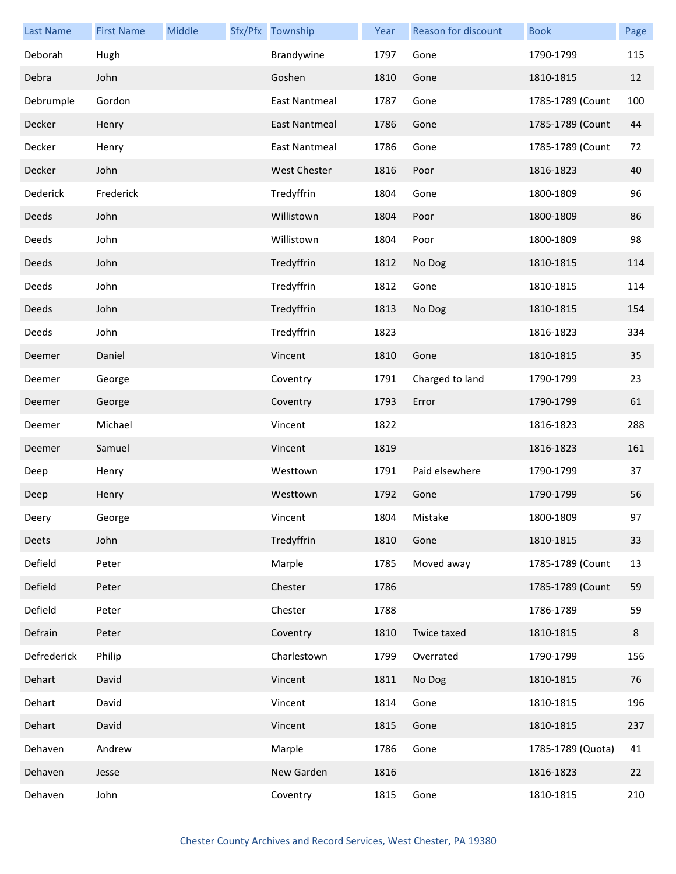| <b>Last Name</b> | <b>First Name</b> | Middle | Sfx/Pfx Township     | Year | Reason for discount | <b>Book</b>       | Page |
|------------------|-------------------|--------|----------------------|------|---------------------|-------------------|------|
| Deborah          | Hugh              |        | Brandywine           | 1797 | Gone                | 1790-1799         | 115  |
| Debra            | John              |        | Goshen               | 1810 | Gone                | 1810-1815         | 12   |
| Debrumple        | Gordon            |        | <b>East Nantmeal</b> | 1787 | Gone                | 1785-1789 (Count  | 100  |
| Decker           | Henry             |        | East Nantmeal        | 1786 | Gone                | 1785-1789 (Count  | 44   |
| Decker           | Henry             |        | East Nantmeal        | 1786 | Gone                | 1785-1789 (Count  | 72   |
| Decker           | John              |        | <b>West Chester</b>  | 1816 | Poor                | 1816-1823         | 40   |
| Dederick         | Frederick         |        | Tredyffrin           | 1804 | Gone                | 1800-1809         | 96   |
| Deeds            | John              |        | Willistown           | 1804 | Poor                | 1800-1809         | 86   |
| Deeds            | John              |        | Willistown           | 1804 | Poor                | 1800-1809         | 98   |
| Deeds            | John              |        | Tredyffrin           | 1812 | No Dog              | 1810-1815         | 114  |
| Deeds            | John              |        | Tredyffrin           | 1812 | Gone                | 1810-1815         | 114  |
| Deeds            | John              |        | Tredyffrin           | 1813 | No Dog              | 1810-1815         | 154  |
| Deeds            | John              |        | Tredyffrin           | 1823 |                     | 1816-1823         | 334  |
| Deemer           | Daniel            |        | Vincent              | 1810 | Gone                | 1810-1815         | 35   |
| Deemer           | George            |        | Coventry             | 1791 | Charged to land     | 1790-1799         | 23   |
| Deemer           | George            |        | Coventry             | 1793 | Error               | 1790-1799         | 61   |
| Deemer           | Michael           |        | Vincent              | 1822 |                     | 1816-1823         | 288  |
| Deemer           | Samuel            |        | Vincent              | 1819 |                     | 1816-1823         | 161  |
| Deep             | Henry             |        | Westtown             | 1791 | Paid elsewhere      | 1790-1799         | 37   |
| Deep             | Henry             |        | Westtown             | 1792 | Gone                | 1790-1799         | 56   |
| Deery            | George            |        | Vincent              | 1804 | Mistake             | 1800-1809         | 97   |
| Deets            | John              |        | Tredyffrin           | 1810 | Gone                | 1810-1815         | 33   |
| Defield          | Peter             |        | Marple               | 1785 | Moved away          | 1785-1789 (Count  | 13   |
| Defield          | Peter             |        | Chester              | 1786 |                     | 1785-1789 (Count  | 59   |
| Defield          | Peter             |        | Chester              | 1788 |                     | 1786-1789         | 59   |
| Defrain          | Peter             |        | Coventry             | 1810 | Twice taxed         | 1810-1815         | 8    |
| Defrederick      | Philip            |        | Charlestown          | 1799 | Overrated           | 1790-1799         | 156  |
| Dehart           | David             |        | Vincent              | 1811 | No Dog              | 1810-1815         | 76   |
| Dehart           | David             |        | Vincent              | 1814 | Gone                | 1810-1815         | 196  |
| Dehart           | David             |        | Vincent              | 1815 | Gone                | 1810-1815         | 237  |
| Dehaven          | Andrew            |        | Marple               | 1786 | Gone                | 1785-1789 (Quota) | 41   |
| Dehaven          | Jesse             |        | New Garden           | 1816 |                     | 1816-1823         | 22   |
| Dehaven          | John              |        | Coventry             | 1815 | Gone                | 1810-1815         | 210  |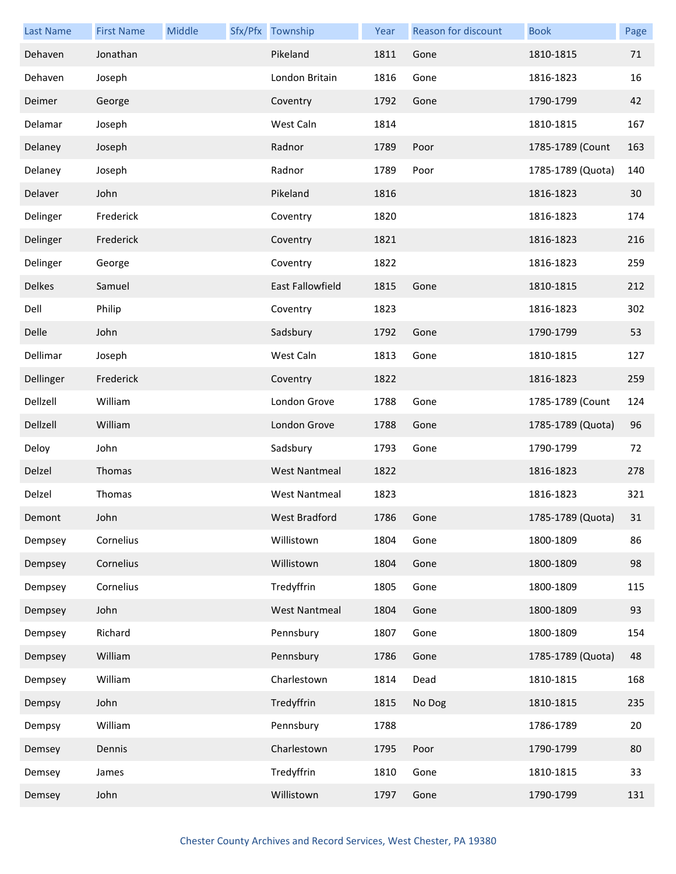| <b>Last Name</b> | <b>First Name</b> | Middle | Sfx/Pfx Township        | Year | Reason for discount | <b>Book</b>       | Page |
|------------------|-------------------|--------|-------------------------|------|---------------------|-------------------|------|
| Dehaven          | Jonathan          |        | Pikeland                | 1811 | Gone                | 1810-1815         | 71   |
| Dehaven          | Joseph            |        | London Britain          | 1816 | Gone                | 1816-1823         | 16   |
| Deimer           | George            |        | Coventry                | 1792 | Gone                | 1790-1799         | 42   |
| Delamar          | Joseph            |        | West Caln               | 1814 |                     | 1810-1815         | 167  |
| Delaney          | Joseph            |        | Radnor                  | 1789 | Poor                | 1785-1789 (Count  | 163  |
| Delaney          | Joseph            |        | Radnor                  | 1789 | Poor                | 1785-1789 (Quota) | 140  |
| Delaver          | John              |        | Pikeland                | 1816 |                     | 1816-1823         | 30   |
| Delinger         | Frederick         |        | Coventry                | 1820 |                     | 1816-1823         | 174  |
| Delinger         | Frederick         |        | Coventry                | 1821 |                     | 1816-1823         | 216  |
| Delinger         | George            |        | Coventry                | 1822 |                     | 1816-1823         | 259  |
| <b>Delkes</b>    | Samuel            |        | <b>East Fallowfield</b> | 1815 | Gone                | 1810-1815         | 212  |
| Dell             | Philip            |        | Coventry                | 1823 |                     | 1816-1823         | 302  |
| Delle            | John              |        | Sadsbury                | 1792 | Gone                | 1790-1799         | 53   |
| Dellimar         | Joseph            |        | West Caln               | 1813 | Gone                | 1810-1815         | 127  |
| Dellinger        | Frederick         |        | Coventry                | 1822 |                     | 1816-1823         | 259  |
| Dellzell         | William           |        | London Grove            | 1788 | Gone                | 1785-1789 (Count  | 124  |
| Dellzell         | William           |        | London Grove            | 1788 | Gone                | 1785-1789 (Quota) | 96   |
| Deloy            | John              |        | Sadsbury                | 1793 | Gone                | 1790-1799         | 72   |
| Delzel           | Thomas            |        | <b>West Nantmeal</b>    | 1822 |                     | 1816-1823         | 278  |
| Delzel           | Thomas            |        | <b>West Nantmeal</b>    | 1823 |                     | 1816-1823         | 321  |
| Demont           | John              |        | West Bradford           | 1786 | Gone                | 1785-1789 (Quota) | 31   |
| Dempsey          | Cornelius         |        | Willistown              | 1804 | Gone                | 1800-1809         | 86   |
| Dempsey          | Cornelius         |        | Willistown              | 1804 | Gone                | 1800-1809         | 98   |
| Dempsey          | Cornelius         |        | Tredyffrin              | 1805 | Gone                | 1800-1809         | 115  |
| Dempsey          | John              |        | <b>West Nantmeal</b>    | 1804 | Gone                | 1800-1809         | 93   |
| Dempsey          | Richard           |        | Pennsbury               | 1807 | Gone                | 1800-1809         | 154  |
| Dempsey          | William           |        | Pennsbury               | 1786 | Gone                | 1785-1789 (Quota) | 48   |
| Dempsey          | William           |        | Charlestown             | 1814 | Dead                | 1810-1815         | 168  |
| Dempsy           | John              |        | Tredyffrin              | 1815 | No Dog              | 1810-1815         | 235  |
| Dempsy           | William           |        | Pennsbury               | 1788 |                     | 1786-1789         | 20   |
| Demsey           | Dennis            |        | Charlestown             | 1795 | Poor                | 1790-1799         | 80   |
| Demsey           | James             |        | Tredyffrin              | 1810 | Gone                | 1810-1815         | 33   |
| Demsey           | John              |        | Willistown              | 1797 | Gone                | 1790-1799         | 131  |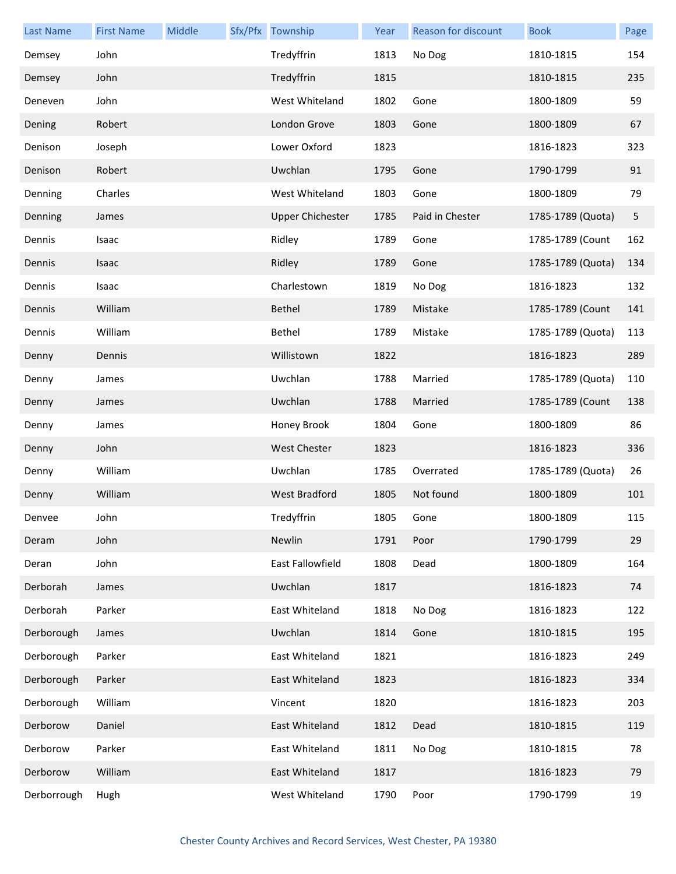| <b>Last Name</b> | <b>First Name</b> | Middle | Sfx/Pfx Township        | Year | <b>Reason for discount</b> | <b>Book</b>       | Page |
|------------------|-------------------|--------|-------------------------|------|----------------------------|-------------------|------|
| Demsey           | John              |        | Tredyffrin              | 1813 | No Dog                     | 1810-1815         | 154  |
| Demsey           | John              |        | Tredyffrin              | 1815 |                            | 1810-1815         | 235  |
| Deneven          | John              |        | West Whiteland          | 1802 | Gone                       | 1800-1809         | 59   |
| Dening           | Robert            |        | London Grove            | 1803 | Gone                       | 1800-1809         | 67   |
| Denison          | Joseph            |        | Lower Oxford            | 1823 |                            | 1816-1823         | 323  |
| Denison          | Robert            |        | Uwchlan                 | 1795 | Gone                       | 1790-1799         | 91   |
| Denning          | Charles           |        | West Whiteland          | 1803 | Gone                       | 1800-1809         | 79   |
| Denning          | James             |        | <b>Upper Chichester</b> | 1785 | Paid in Chester            | 1785-1789 (Quota) | 5    |
| Dennis           | Isaac             |        | Ridley                  | 1789 | Gone                       | 1785-1789 (Count  | 162  |
| Dennis           | Isaac             |        | Ridley                  | 1789 | Gone                       | 1785-1789 (Quota) | 134  |
| Dennis           | Isaac             |        | Charlestown             | 1819 | No Dog                     | 1816-1823         | 132  |
| Dennis           | William           |        | Bethel                  | 1789 | Mistake                    | 1785-1789 (Count  | 141  |
| Dennis           | William           |        | Bethel                  | 1789 | Mistake                    | 1785-1789 (Quota) | 113  |
| Denny            | Dennis            |        | Willistown              | 1822 |                            | 1816-1823         | 289  |
| Denny            | James             |        | Uwchlan                 | 1788 | Married                    | 1785-1789 (Quota) | 110  |
| Denny            | James             |        | Uwchlan                 | 1788 | Married                    | 1785-1789 (Count  | 138  |
| Denny            | James             |        | Honey Brook             | 1804 | Gone                       | 1800-1809         | 86   |
| Denny            | John              |        | West Chester            | 1823 |                            | 1816-1823         | 336  |
| Denny            | William           |        | Uwchlan                 | 1785 | Overrated                  | 1785-1789 (Quota) | 26   |
| Denny            | William           |        | <b>West Bradford</b>    | 1805 | Not found                  | 1800-1809         | 101  |
| Denvee           | John              |        | Tredyffrin              | 1805 | Gone                       | 1800-1809         | 115  |
| Deram            | John              |        | Newlin                  | 1791 | Poor                       | 1790-1799         | 29   |
| Deran            | John              |        | East Fallowfield        | 1808 | Dead                       | 1800-1809         | 164  |
| Derborah         | James             |        | Uwchlan                 | 1817 |                            | 1816-1823         | 74   |
| Derborah         | Parker            |        | East Whiteland          | 1818 | No Dog                     | 1816-1823         | 122  |
| Derborough       | James             |        | Uwchlan                 | 1814 | Gone                       | 1810-1815         | 195  |
| Derborough       | Parker            |        | East Whiteland          | 1821 |                            | 1816-1823         | 249  |
| Derborough       | Parker            |        | East Whiteland          | 1823 |                            | 1816-1823         | 334  |
| Derborough       | William           |        | Vincent                 | 1820 |                            | 1816-1823         | 203  |
| Derborow         | Daniel            |        | East Whiteland          | 1812 | Dead                       | 1810-1815         | 119  |
| Derborow         | Parker            |        | East Whiteland          | 1811 | No Dog                     | 1810-1815         | 78   |
| Derborow         | William           |        | East Whiteland          | 1817 |                            | 1816-1823         | 79   |
| Derborrough      | Hugh              |        | West Whiteland          | 1790 | Poor                       | 1790-1799         | 19   |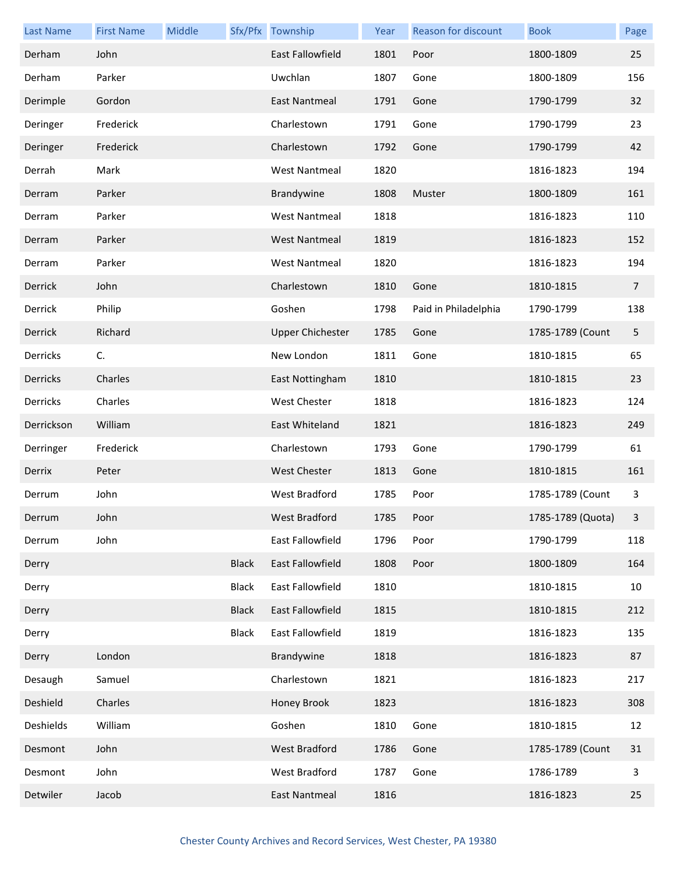| <b>Last Name</b> | <b>First Name</b> | Middle |              | Sfx/Pfx Township        | Year | Reason for discount  | <b>Book</b>       | Page           |
|------------------|-------------------|--------|--------------|-------------------------|------|----------------------|-------------------|----------------|
| Derham           | John              |        |              | <b>East Fallowfield</b> | 1801 | Poor                 | 1800-1809         | 25             |
| Derham           | Parker            |        |              | Uwchlan                 | 1807 | Gone                 | 1800-1809         | 156            |
| Derimple         | Gordon            |        |              | <b>East Nantmeal</b>    | 1791 | Gone                 | 1790-1799         | 32             |
| Deringer         | Frederick         |        |              | Charlestown             | 1791 | Gone                 | 1790-1799         | 23             |
| Deringer         | Frederick         |        |              | Charlestown             | 1792 | Gone                 | 1790-1799         | 42             |
| Derrah           | Mark              |        |              | <b>West Nantmeal</b>    | 1820 |                      | 1816-1823         | 194            |
| Derram           | Parker            |        |              | Brandywine              | 1808 | Muster               | 1800-1809         | 161            |
| Derram           | Parker            |        |              | <b>West Nantmeal</b>    | 1818 |                      | 1816-1823         | 110            |
| Derram           | Parker            |        |              | <b>West Nantmeal</b>    | 1819 |                      | 1816-1823         | 152            |
| Derram           | Parker            |        |              | <b>West Nantmeal</b>    | 1820 |                      | 1816-1823         | 194            |
| Derrick          | John              |        |              | Charlestown             | 1810 | Gone                 | 1810-1815         | $\overline{7}$ |
| Derrick          | Philip            |        |              | Goshen                  | 1798 | Paid in Philadelphia | 1790-1799         | 138            |
| Derrick          | Richard           |        |              | <b>Upper Chichester</b> | 1785 | Gone                 | 1785-1789 (Count  | 5              |
| Derricks         | C.                |        |              | New London              | 1811 | Gone                 | 1810-1815         | 65             |
| Derricks         | Charles           |        |              | East Nottingham         | 1810 |                      | 1810-1815         | 23             |
| Derricks         | Charles           |        |              | West Chester            | 1818 |                      | 1816-1823         | 124            |
| Derrickson       | William           |        |              | East Whiteland          | 1821 |                      | 1816-1823         | 249            |
| Derringer        | Frederick         |        |              | Charlestown             | 1793 | Gone                 | 1790-1799         | 61             |
| Derrix           | Peter             |        |              | <b>West Chester</b>     | 1813 | Gone                 | 1810-1815         | 161            |
| Derrum           | John              |        |              | West Bradford           | 1785 | Poor                 | 1785-1789 (Count  | 3              |
| Derrum           | John              |        |              | West Bradford           | 1785 | Poor                 | 1785-1789 (Quota) | $\mathbf{3}$   |
| Derrum           | John              |        |              | East Fallowfield        | 1796 | Poor                 | 1790-1799         | 118            |
| Derry            |                   |        | <b>Black</b> | <b>East Fallowfield</b> | 1808 | Poor                 | 1800-1809         | 164            |
| Derry            |                   |        | <b>Black</b> | East Fallowfield        | 1810 |                      | 1810-1815         | 10             |
| Derry            |                   |        | <b>Black</b> | East Fallowfield        | 1815 |                      | 1810-1815         | 212            |
| Derry            |                   |        | <b>Black</b> | East Fallowfield        | 1819 |                      | 1816-1823         | 135            |
| Derry            | London            |        |              | Brandywine              | 1818 |                      | 1816-1823         | 87             |
| Desaugh          | Samuel            |        |              | Charlestown             | 1821 |                      | 1816-1823         | 217            |
| Deshield         | Charles           |        |              | Honey Brook             | 1823 |                      | 1816-1823         | 308            |
| Deshields        | William           |        |              | Goshen                  | 1810 | Gone                 | 1810-1815         | 12             |
| Desmont          | John              |        |              | West Bradford           | 1786 | Gone                 | 1785-1789 (Count  | 31             |
| Desmont          | John              |        |              | West Bradford           | 1787 | Gone                 | 1786-1789         | 3              |
| Detwiler         | Jacob             |        |              | East Nantmeal           | 1816 |                      | 1816-1823         | 25             |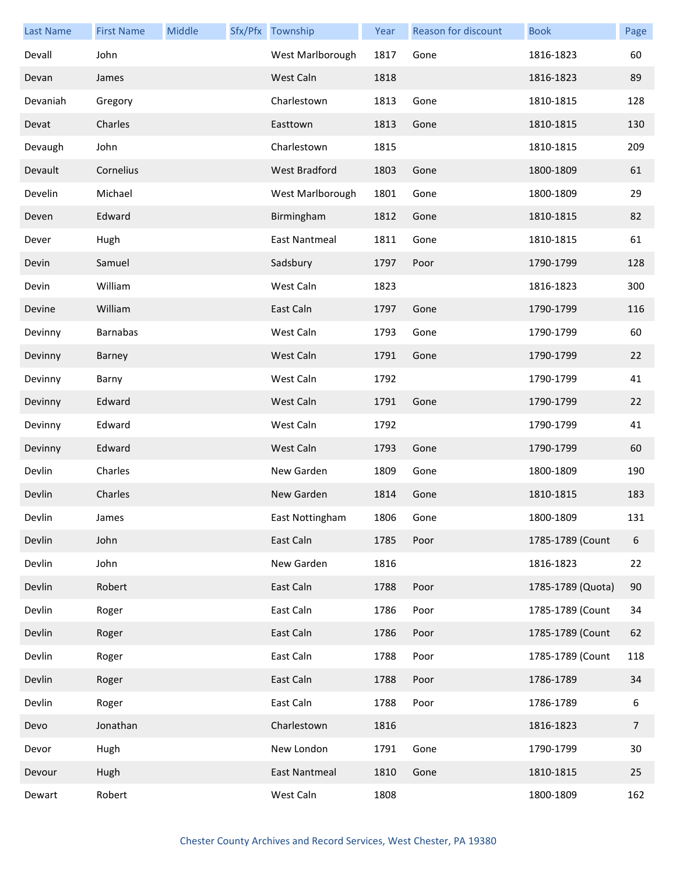| <b>Last Name</b> | <b>First Name</b> | Middle | Sfx/Pfx Township     | Year | <b>Reason for discount</b> | <b>Book</b>       | Page           |
|------------------|-------------------|--------|----------------------|------|----------------------------|-------------------|----------------|
| Devall           | John              |        | West Marlborough     | 1817 | Gone                       | 1816-1823         | 60             |
| Devan            | James             |        | West Caln            | 1818 |                            | 1816-1823         | 89             |
| Devaniah         | Gregory           |        | Charlestown          | 1813 | Gone                       | 1810-1815         | 128            |
| Devat            | Charles           |        | Easttown             | 1813 | Gone                       | 1810-1815         | 130            |
| Devaugh          | John              |        | Charlestown          | 1815 |                            | 1810-1815         | 209            |
| Devault          | Cornelius         |        | <b>West Bradford</b> | 1803 | Gone                       | 1800-1809         | 61             |
| Develin          | Michael           |        | West Marlborough     | 1801 | Gone                       | 1800-1809         | 29             |
| Deven            | Edward            |        | Birmingham           | 1812 | Gone                       | 1810-1815         | 82             |
| Dever            | Hugh              |        | East Nantmeal        | 1811 | Gone                       | 1810-1815         | 61             |
| Devin            | Samuel            |        | Sadsbury             | 1797 | Poor                       | 1790-1799         | 128            |
| Devin            | William           |        | West Caln            | 1823 |                            | 1816-1823         | 300            |
| Devine           | William           |        | East Caln            | 1797 | Gone                       | 1790-1799         | 116            |
| Devinny          | <b>Barnabas</b>   |        | West Caln            | 1793 | Gone                       | 1790-1799         | 60             |
| Devinny          | Barney            |        | West Caln            | 1791 | Gone                       | 1790-1799         | 22             |
| Devinny          | Barny             |        | West Caln            | 1792 |                            | 1790-1799         | 41             |
| Devinny          | Edward            |        | West Caln            | 1791 | Gone                       | 1790-1799         | 22             |
| Devinny          | Edward            |        | West Caln            | 1792 |                            | 1790-1799         | 41             |
| Devinny          | Edward            |        | West Caln            | 1793 | Gone                       | 1790-1799         | 60             |
| Devlin           | Charles           |        | New Garden           | 1809 | Gone                       | 1800-1809         | 190            |
| Devlin           | Charles           |        | New Garden           | 1814 | Gone                       | 1810-1815         | 183            |
| Devlin           | James             |        | East Nottingham      | 1806 | Gone                       | 1800-1809         | 131            |
| Devlin           | John              |        | East Caln            | 1785 | Poor                       | 1785-1789 (Count  | 6              |
| Devlin           | John              |        | New Garden           | 1816 |                            | 1816-1823         | 22             |
| Devlin           | Robert            |        | East Caln            | 1788 | Poor                       | 1785-1789 (Quota) | 90             |
| Devlin           | Roger             |        | East Caln            | 1786 | Poor                       | 1785-1789 (Count  | 34             |
| Devlin           | Roger             |        | East Caln            | 1786 | Poor                       | 1785-1789 (Count  | 62             |
| Devlin           | Roger             |        | East Caln            | 1788 | Poor                       | 1785-1789 (Count  | 118            |
| Devlin           | Roger             |        | East Caln            | 1788 | Poor                       | 1786-1789         | 34             |
| Devlin           | Roger             |        | East Caln            | 1788 | Poor                       | 1786-1789         | 6              |
| Devo             | Jonathan          |        | Charlestown          | 1816 |                            | 1816-1823         | $\overline{7}$ |
| Devor            | Hugh              |        | New London           | 1791 | Gone                       | 1790-1799         | 30             |
| Devour           | Hugh              |        | East Nantmeal        | 1810 | Gone                       | 1810-1815         | 25             |
| Dewart           | Robert            |        | West Caln            | 1808 |                            | 1800-1809         | 162            |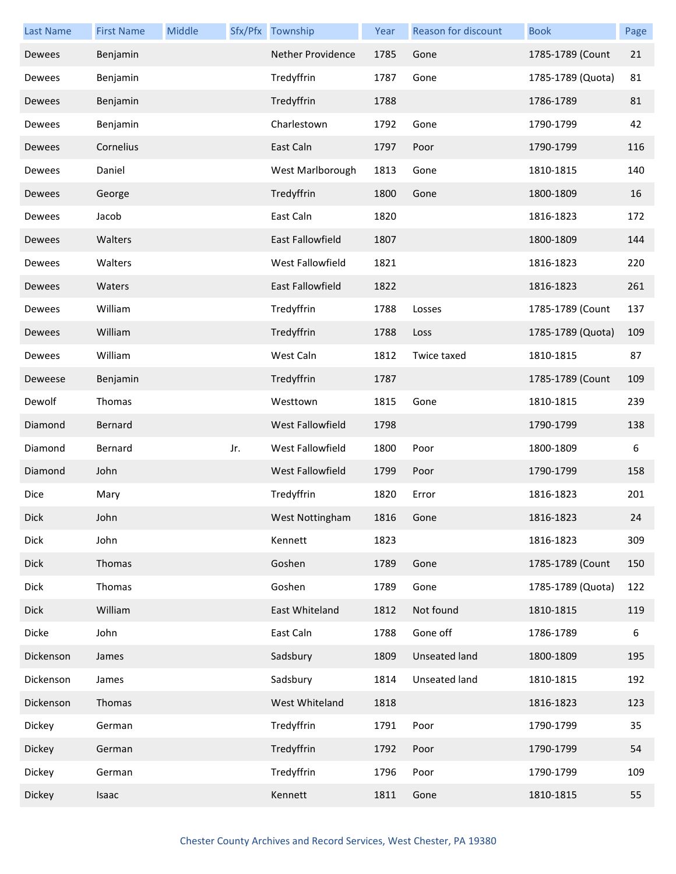| <b>Last Name</b> | <b>First Name</b> | Middle |     | Sfx/Pfx Township         | Year | Reason for discount | <b>Book</b>       | Page |
|------------------|-------------------|--------|-----|--------------------------|------|---------------------|-------------------|------|
| Dewees           | Benjamin          |        |     | <b>Nether Providence</b> | 1785 | Gone                | 1785-1789 (Count  | 21   |
| Dewees           | Benjamin          |        |     | Tredyffrin               | 1787 | Gone                | 1785-1789 (Quota) | 81   |
| Dewees           | Benjamin          |        |     | Tredyffrin               | 1788 |                     | 1786-1789         | 81   |
| Dewees           | Benjamin          |        |     | Charlestown              | 1792 | Gone                | 1790-1799         | 42   |
| Dewees           | Cornelius         |        |     | East Caln                | 1797 | Poor                | 1790-1799         | 116  |
| Dewees           | Daniel            |        |     | West Marlborough         | 1813 | Gone                | 1810-1815         | 140  |
| Dewees           | George            |        |     | Tredyffrin               | 1800 | Gone                | 1800-1809         | 16   |
| Dewees           | Jacob             |        |     | East Caln                | 1820 |                     | 1816-1823         | 172  |
| Dewees           | Walters           |        |     | East Fallowfield         | 1807 |                     | 1800-1809         | 144  |
| Dewees           | Walters           |        |     | West Fallowfield         | 1821 |                     | 1816-1823         | 220  |
| Dewees           | Waters            |        |     | East Fallowfield         | 1822 |                     | 1816-1823         | 261  |
| Dewees           | William           |        |     | Tredyffrin               | 1788 | Losses              | 1785-1789 (Count  | 137  |
| Dewees           | William           |        |     | Tredyffrin               | 1788 | Loss                | 1785-1789 (Quota) | 109  |
| Dewees           | William           |        |     | West Caln                | 1812 | Twice taxed         | 1810-1815         | 87   |
| Deweese          | Benjamin          |        |     | Tredyffrin               | 1787 |                     | 1785-1789 (Count  | 109  |
| Dewolf           | Thomas            |        |     | Westtown                 | 1815 | Gone                | 1810-1815         | 239  |
| Diamond          | Bernard           |        |     | West Fallowfield         | 1798 |                     | 1790-1799         | 138  |
| Diamond          | Bernard           |        | Jr. | West Fallowfield         | 1800 | Poor                | 1800-1809         | 6    |
| Diamond          | John              |        |     | West Fallowfield         | 1799 | Poor                | 1790-1799         | 158  |
| Dice             | Mary              |        |     | Tredyffrin               | 1820 | Error               | 1816-1823         | 201  |
| <b>Dick</b>      | John              |        |     | West Nottingham          | 1816 | Gone                | 1816-1823         | 24   |
| <b>Dick</b>      | John              |        |     | Kennett                  | 1823 |                     | 1816-1823         | 309  |
| Dick             | Thomas            |        |     | Goshen                   | 1789 | Gone                | 1785-1789 (Count  | 150  |
| <b>Dick</b>      | Thomas            |        |     | Goshen                   | 1789 | Gone                | 1785-1789 (Quota) | 122  |
| <b>Dick</b>      | William           |        |     | East Whiteland           | 1812 | Not found           | 1810-1815         | 119  |
| Dicke            | John              |        |     | East Caln                | 1788 | Gone off            | 1786-1789         | 6    |
| Dickenson        | James             |        |     | Sadsbury                 | 1809 | Unseated land       | 1800-1809         | 195  |
| Dickenson        | James             |        |     | Sadsbury                 | 1814 | Unseated land       | 1810-1815         | 192  |
| Dickenson        | Thomas            |        |     | West Whiteland           | 1818 |                     | 1816-1823         | 123  |
| Dickey           | German            |        |     | Tredyffrin               | 1791 | Poor                | 1790-1799         | 35   |
| Dickey           | German            |        |     | Tredyffrin               | 1792 | Poor                | 1790-1799         | 54   |
| Dickey           | German            |        |     | Tredyffrin               | 1796 | Poor                | 1790-1799         | 109  |
| Dickey           | Isaac             |        |     | Kennett                  | 1811 | Gone                | 1810-1815         | 55   |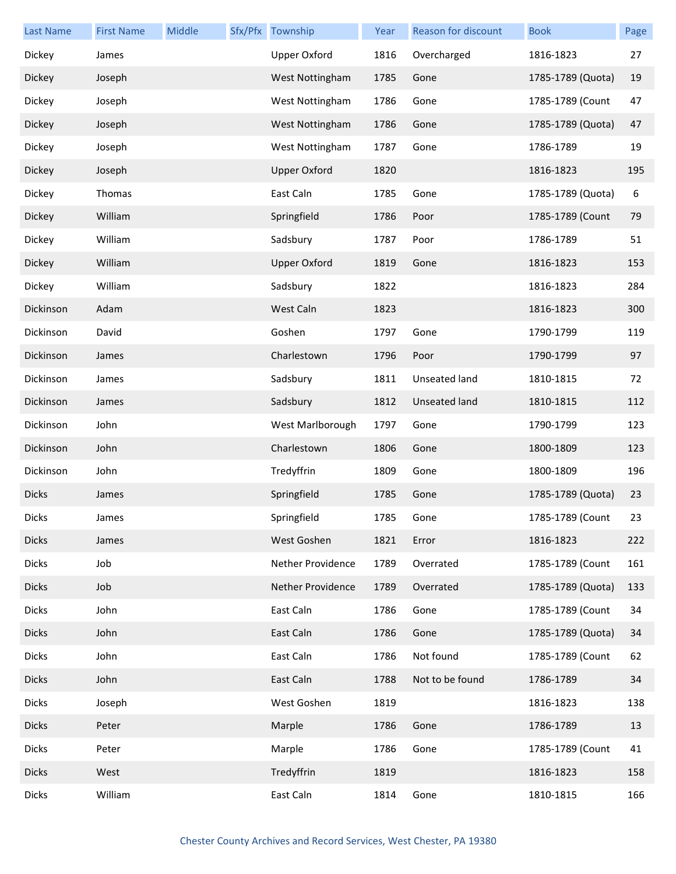| <b>Last Name</b> | <b>First Name</b> | Middle | Sfx/Pfx Township    | Year | <b>Reason for discount</b> | <b>Book</b>       | Page |
|------------------|-------------------|--------|---------------------|------|----------------------------|-------------------|------|
| Dickey           | James             |        | <b>Upper Oxford</b> | 1816 | Overcharged                | 1816-1823         | 27   |
| Dickey           | Joseph            |        | West Nottingham     | 1785 | Gone                       | 1785-1789 (Quota) | 19   |
| Dickey           | Joseph            |        | West Nottingham     | 1786 | Gone                       | 1785-1789 (Count  | 47   |
| Dickey           | Joseph            |        | West Nottingham     | 1786 | Gone                       | 1785-1789 (Quota) | 47   |
| Dickey           | Joseph            |        | West Nottingham     | 1787 | Gone                       | 1786-1789         | 19   |
| Dickey           | Joseph            |        | <b>Upper Oxford</b> | 1820 |                            | 1816-1823         | 195  |
| Dickey           | Thomas            |        | East Caln           | 1785 | Gone                       | 1785-1789 (Quota) | 6    |
| Dickey           | William           |        | Springfield         | 1786 | Poor                       | 1785-1789 (Count  | 79   |
| Dickey           | William           |        | Sadsbury            | 1787 | Poor                       | 1786-1789         | 51   |
| Dickey           | William           |        | <b>Upper Oxford</b> | 1819 | Gone                       | 1816-1823         | 153  |
| Dickey           | William           |        | Sadsbury            | 1822 |                            | 1816-1823         | 284  |
| Dickinson        | Adam              |        | West Caln           | 1823 |                            | 1816-1823         | 300  |
| Dickinson        | David             |        | Goshen              | 1797 | Gone                       | 1790-1799         | 119  |
| Dickinson        | James             |        | Charlestown         | 1796 | Poor                       | 1790-1799         | 97   |
| Dickinson        | James             |        | Sadsbury            | 1811 | Unseated land              | 1810-1815         | 72   |
| Dickinson        | James             |        | Sadsbury            | 1812 | Unseated land              | 1810-1815         | 112  |
| Dickinson        | John              |        | West Marlborough    | 1797 | Gone                       | 1790-1799         | 123  |
| Dickinson        | John              |        | Charlestown         | 1806 | Gone                       | 1800-1809         | 123  |
| Dickinson        | John              |        | Tredyffrin          | 1809 | Gone                       | 1800-1809         | 196  |
| <b>Dicks</b>     | James             |        | Springfield         | 1785 | Gone                       | 1785-1789 (Quota) | 23   |
| <b>Dicks</b>     | James             |        | Springfield         | 1785 | Gone                       | 1785-1789 (Count  | 23   |
| <b>Dicks</b>     | James             |        | West Goshen         | 1821 | Error                      | 1816-1823         | 222  |
| <b>Dicks</b>     | Job               |        | Nether Providence   | 1789 | Overrated                  | 1785-1789 (Count  | 161  |
| <b>Dicks</b>     | Job               |        | Nether Providence   | 1789 | Overrated                  | 1785-1789 (Quota) | 133  |
| <b>Dicks</b>     | John              |        | East Caln           | 1786 | Gone                       | 1785-1789 (Count  | 34   |
| <b>Dicks</b>     | John              |        | East Caln           | 1786 | Gone                       | 1785-1789 (Quota) | 34   |
| <b>Dicks</b>     | John              |        | East Caln           | 1786 | Not found                  | 1785-1789 (Count  | 62   |
| <b>Dicks</b>     | John              |        | East Caln           | 1788 | Not to be found            | 1786-1789         | 34   |
| <b>Dicks</b>     | Joseph            |        | West Goshen         | 1819 |                            | 1816-1823         | 138  |
| <b>Dicks</b>     | Peter             |        | Marple              | 1786 | Gone                       | 1786-1789         | 13   |
| <b>Dicks</b>     | Peter             |        | Marple              | 1786 | Gone                       | 1785-1789 (Count  | 41   |
| <b>Dicks</b>     | West              |        | Tredyffrin          | 1819 |                            | 1816-1823         | 158  |
| <b>Dicks</b>     | William           |        | East Caln           | 1814 | Gone                       | 1810-1815         | 166  |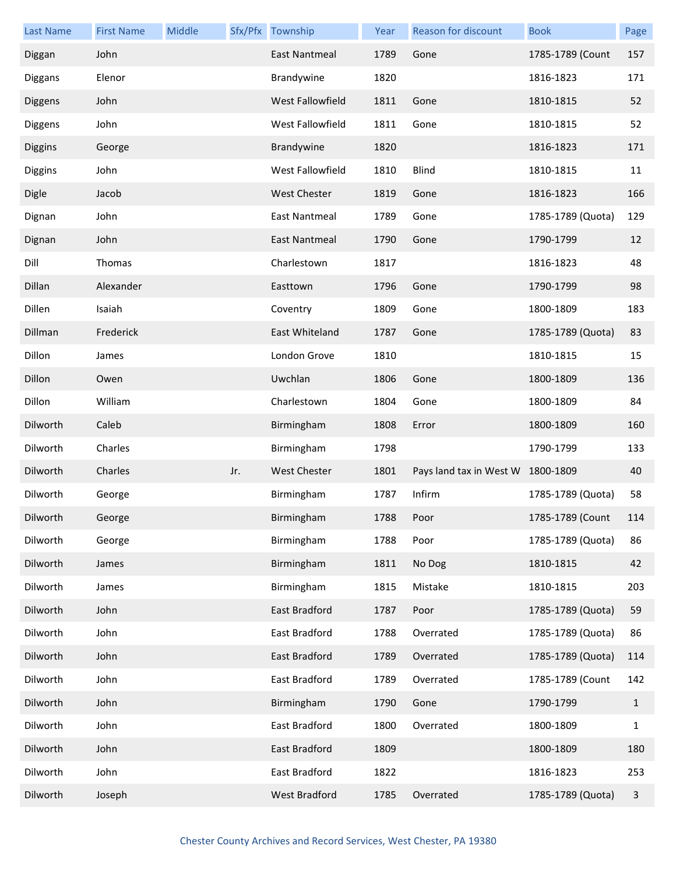| Last Name      | <b>First Name</b> | Middle |     | Sfx/Pfx Township        | Year | Reason for discount               | <b>Book</b>       | Page         |
|----------------|-------------------|--------|-----|-------------------------|------|-----------------------------------|-------------------|--------------|
| Diggan         | John              |        |     | <b>East Nantmeal</b>    | 1789 | Gone                              | 1785-1789 (Count  | 157          |
| Diggans        | Elenor            |        |     | Brandywine              | 1820 |                                   | 1816-1823         | 171          |
| Diggens        | John              |        |     | <b>West Fallowfield</b> | 1811 | Gone                              | 1810-1815         | 52           |
| Diggens        | John              |        |     | West Fallowfield        | 1811 | Gone                              | 1810-1815         | 52           |
| <b>Diggins</b> | George            |        |     | Brandywine              | 1820 |                                   | 1816-1823         | 171          |
| Diggins        | John              |        |     | <b>West Fallowfield</b> | 1810 | <b>Blind</b>                      | 1810-1815         | 11           |
| <b>Digle</b>   | Jacob             |        |     | West Chester            | 1819 | Gone                              | 1816-1823         | 166          |
| Dignan         | John              |        |     | East Nantmeal           | 1789 | Gone                              | 1785-1789 (Quota) | 129          |
| Dignan         | John              |        |     | East Nantmeal           | 1790 | Gone                              | 1790-1799         | 12           |
| Dill           | Thomas            |        |     | Charlestown             | 1817 |                                   | 1816-1823         | 48           |
| Dillan         | Alexander         |        |     | Easttown                | 1796 | Gone                              | 1790-1799         | 98           |
| Dillen         | Isaiah            |        |     | Coventry                | 1809 | Gone                              | 1800-1809         | 183          |
| Dillman        | Frederick         |        |     | East Whiteland          | 1787 | Gone                              | 1785-1789 (Quota) | 83           |
| Dillon         | James             |        |     | London Grove            | 1810 |                                   | 1810-1815         | 15           |
| Dillon         | Owen              |        |     | Uwchlan                 | 1806 | Gone                              | 1800-1809         | 136          |
| Dillon         | William           |        |     | Charlestown             | 1804 | Gone                              | 1800-1809         | 84           |
| Dilworth       | Caleb             |        |     | Birmingham              | 1808 | Error                             | 1800-1809         | 160          |
| Dilworth       | Charles           |        |     | Birmingham              | 1798 |                                   | 1790-1799         | 133          |
| Dilworth       | Charles           |        | Jr. | <b>West Chester</b>     | 1801 | Pays land tax in West W 1800-1809 |                   | 40           |
| Dilworth       | George            |        |     | Birmingham              | 1787 | Infirm                            | 1785-1789 (Quota) | 58           |
| Dilworth       | George            |        |     | Birmingham              | 1788 | Poor                              | 1785-1789 (Count  | 114          |
| Dilworth       | George            |        |     | Birmingham              | 1788 | Poor                              | 1785-1789 (Quota) | 86           |
| Dilworth       | James             |        |     | Birmingham              | 1811 | No Dog                            | 1810-1815         | 42           |
| Dilworth       | James             |        |     | Birmingham              | 1815 | Mistake                           | 1810-1815         | 203          |
| Dilworth       | John              |        |     | East Bradford           | 1787 | Poor                              | 1785-1789 (Quota) | 59           |
| Dilworth       | John              |        |     | East Bradford           | 1788 | Overrated                         | 1785-1789 (Quota) | 86           |
| Dilworth       | John              |        |     | East Bradford           | 1789 | Overrated                         | 1785-1789 (Quota) | 114          |
| Dilworth       | John              |        |     | East Bradford           | 1789 | Overrated                         | 1785-1789 (Count  | 142          |
| Dilworth       | John              |        |     | Birmingham              | 1790 | Gone                              | 1790-1799         | $\mathbf{1}$ |
| Dilworth       | John              |        |     | East Bradford           | 1800 | Overrated                         | 1800-1809         | $\mathbf{1}$ |
| Dilworth       | John              |        |     | East Bradford           | 1809 |                                   | 1800-1809         | 180          |
| Dilworth       | John              |        |     | East Bradford           | 1822 |                                   | 1816-1823         | 253          |
| Dilworth       | Joseph            |        |     | West Bradford           | 1785 | Overrated                         | 1785-1789 (Quota) | 3            |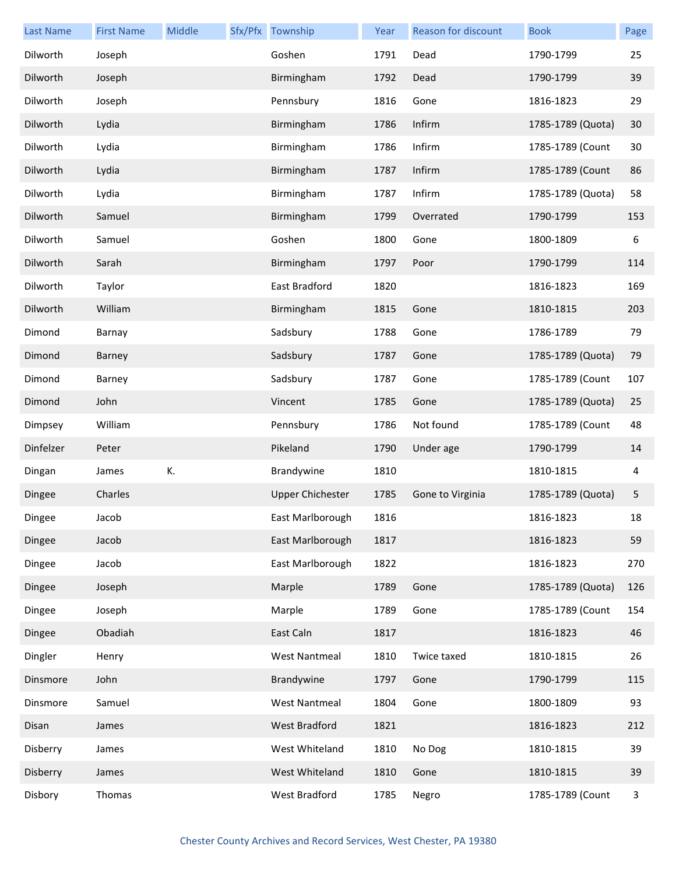| <b>Last Name</b> | <b>First Name</b> | Middle | Sfx/Pfx Township        | Year | Reason for discount | <b>Book</b>       | Page |
|------------------|-------------------|--------|-------------------------|------|---------------------|-------------------|------|
| Dilworth         | Joseph            |        | Goshen                  | 1791 | Dead                | 1790-1799         | 25   |
| Dilworth         | Joseph            |        | Birmingham              | 1792 | Dead                | 1790-1799         | 39   |
| Dilworth         | Joseph            |        | Pennsbury               | 1816 | Gone                | 1816-1823         | 29   |
| Dilworth         | Lydia             |        | Birmingham              | 1786 | Infirm              | 1785-1789 (Quota) | 30   |
| Dilworth         | Lydia             |        | Birmingham              | 1786 | Infirm              | 1785-1789 (Count  | 30   |
| Dilworth         | Lydia             |        | Birmingham              | 1787 | Infirm              | 1785-1789 (Count  | 86   |
| Dilworth         | Lydia             |        | Birmingham              | 1787 | Infirm              | 1785-1789 (Quota) | 58   |
| Dilworth         | Samuel            |        | Birmingham              | 1799 | Overrated           | 1790-1799         | 153  |
| Dilworth         | Samuel            |        | Goshen                  | 1800 | Gone                | 1800-1809         | 6    |
| Dilworth         | Sarah             |        | Birmingham              | 1797 | Poor                | 1790-1799         | 114  |
| Dilworth         | Taylor            |        | East Bradford           | 1820 |                     | 1816-1823         | 169  |
| Dilworth         | William           |        | Birmingham              | 1815 | Gone                | 1810-1815         | 203  |
| Dimond           | Barnay            |        | Sadsbury                | 1788 | Gone                | 1786-1789         | 79   |
| Dimond           | Barney            |        | Sadsbury                | 1787 | Gone                | 1785-1789 (Quota) | 79   |
| Dimond           | Barney            |        | Sadsbury                | 1787 | Gone                | 1785-1789 (Count  | 107  |
| Dimond           | John              |        | Vincent                 | 1785 | Gone                | 1785-1789 (Quota) | 25   |
| Dimpsey          | William           |        | Pennsbury               | 1786 | Not found           | 1785-1789 (Count  | 48   |
| Dinfelzer        | Peter             |        | Pikeland                | 1790 | Under age           | 1790-1799         | 14   |
| Dingan           | James             | К.     | Brandywine              | 1810 |                     | 1810-1815         | 4    |
| Dingee           | Charles           |        | <b>Upper Chichester</b> | 1785 | Gone to Virginia    | 1785-1789 (Quota) | 5    |
| Dingee           | Jacob             |        | East Marlborough        | 1816 |                     | 1816-1823         | 18   |
| Dingee           | Jacob             |        | East Marlborough        | 1817 |                     | 1816-1823         | 59   |
| Dingee           | Jacob             |        | East Marlborough        | 1822 |                     | 1816-1823         | 270  |
| Dingee           | Joseph            |        | Marple                  | 1789 | Gone                | 1785-1789 (Quota) | 126  |
| Dingee           | Joseph            |        | Marple                  | 1789 | Gone                | 1785-1789 (Count  | 154  |
| Dingee           | Obadiah           |        | East Caln               | 1817 |                     | 1816-1823         | 46   |
| Dingler          | Henry             |        | <b>West Nantmeal</b>    | 1810 | Twice taxed         | 1810-1815         | 26   |
| Dinsmore         | John              |        | Brandywine              | 1797 | Gone                | 1790-1799         | 115  |
| Dinsmore         | Samuel            |        | <b>West Nantmeal</b>    | 1804 | Gone                | 1800-1809         | 93   |
| Disan            | James             |        | West Bradford           | 1821 |                     | 1816-1823         | 212  |
| Disberry         | James             |        | West Whiteland          | 1810 | No Dog              | 1810-1815         | 39   |
| Disberry         | James             |        | West Whiteland          | 1810 | Gone                | 1810-1815         | 39   |
| Disbory          | Thomas            |        | West Bradford           | 1785 | Negro               | 1785-1789 (Count  | 3    |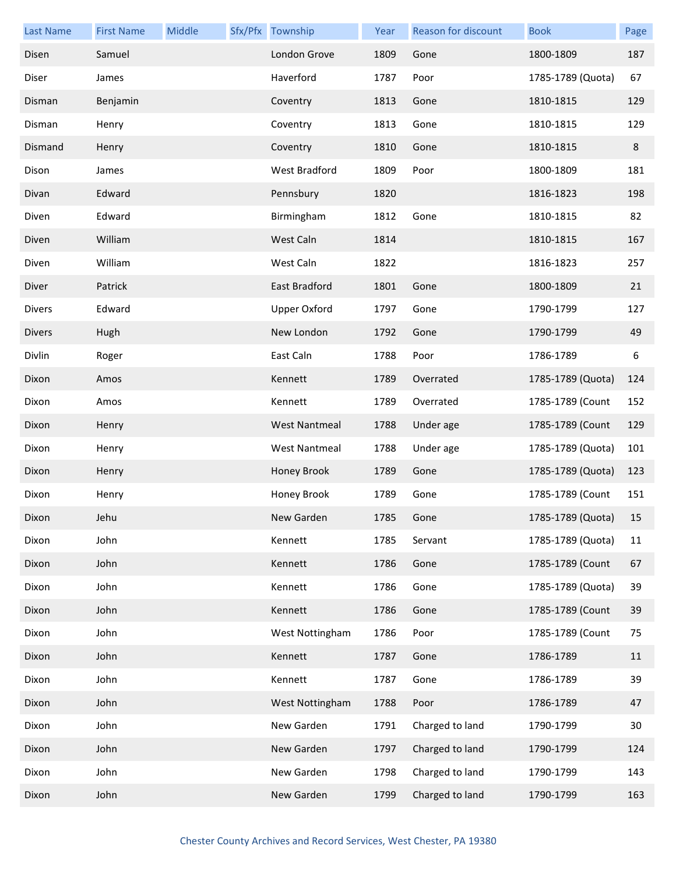| <b>Last Name</b> | <b>First Name</b> | Middle | Sfx/Pfx Township     | Year | <b>Reason for discount</b> | <b>Book</b>       | Page |
|------------------|-------------------|--------|----------------------|------|----------------------------|-------------------|------|
| Disen            | Samuel            |        | London Grove         | 1809 | Gone                       | 1800-1809         | 187  |
| Diser            | James             |        | Haverford            | 1787 | Poor                       | 1785-1789 (Quota) | 67   |
| Disman           | Benjamin          |        | Coventry             | 1813 | Gone                       | 1810-1815         | 129  |
| Disman           | Henry             |        | Coventry             | 1813 | Gone                       | 1810-1815         | 129  |
| Dismand          | Henry             |        | Coventry             | 1810 | Gone                       | 1810-1815         | 8    |
| Dison            | James             |        | West Bradford        | 1809 | Poor                       | 1800-1809         | 181  |
| Divan            | Edward            |        | Pennsbury            | 1820 |                            | 1816-1823         | 198  |
| Diven            | Edward            |        | Birmingham           | 1812 | Gone                       | 1810-1815         | 82   |
| Diven            | William           |        | West Caln            | 1814 |                            | 1810-1815         | 167  |
| Diven            | William           |        | West Caln            | 1822 |                            | 1816-1823         | 257  |
| Diver            | Patrick           |        | East Bradford        | 1801 | Gone                       | 1800-1809         | 21   |
| Divers           | Edward            |        | <b>Upper Oxford</b>  | 1797 | Gone                       | 1790-1799         | 127  |
| <b>Divers</b>    | Hugh              |        | New London           | 1792 | Gone                       | 1790-1799         | 49   |
| Divlin           | Roger             |        | East Caln            | 1788 | Poor                       | 1786-1789         | 6    |
| Dixon            | Amos              |        | Kennett              | 1789 | Overrated                  | 1785-1789 (Quota) | 124  |
| Dixon            | Amos              |        | Kennett              | 1789 | Overrated                  | 1785-1789 (Count  | 152  |
| Dixon            | Henry             |        | <b>West Nantmeal</b> | 1788 | Under age                  | 1785-1789 (Count  | 129  |
| Dixon            | Henry             |        | <b>West Nantmeal</b> | 1788 | Under age                  | 1785-1789 (Quota) | 101  |
| Dixon            | Henry             |        | Honey Brook          | 1789 | Gone                       | 1785-1789 (Quota) | 123  |
| Dixon            | Henry             |        | Honey Brook          | 1789 | Gone                       | 1785-1789 (Count  | 151  |
| Dixon            | Jehu              |        | New Garden           | 1785 | Gone                       | 1785-1789 (Quota) | 15   |
| Dixon            | John              |        | Kennett              | 1785 | Servant                    | 1785-1789 (Quota) | 11   |
| Dixon            | John              |        | Kennett              | 1786 | Gone                       | 1785-1789 (Count  | 67   |
| Dixon            | John              |        | Kennett              | 1786 | Gone                       | 1785-1789 (Quota) | 39   |
| Dixon            | John              |        | Kennett              | 1786 | Gone                       | 1785-1789 (Count  | 39   |
| Dixon            | John              |        | West Nottingham      | 1786 | Poor                       | 1785-1789 (Count  | 75   |
| Dixon            | John              |        | Kennett              | 1787 | Gone                       | 1786-1789         | 11   |
| Dixon            | John              |        | Kennett              | 1787 | Gone                       | 1786-1789         | 39   |
| Dixon            | John              |        | West Nottingham      | 1788 | Poor                       | 1786-1789         | 47   |
| Dixon            | John              |        | New Garden           | 1791 | Charged to land            | 1790-1799         | 30   |
| Dixon            | John              |        | New Garden           | 1797 | Charged to land            | 1790-1799         | 124  |
| Dixon            | John              |        | New Garden           | 1798 | Charged to land            | 1790-1799         | 143  |
| Dixon            | John              |        | New Garden           | 1799 | Charged to land            | 1790-1799         | 163  |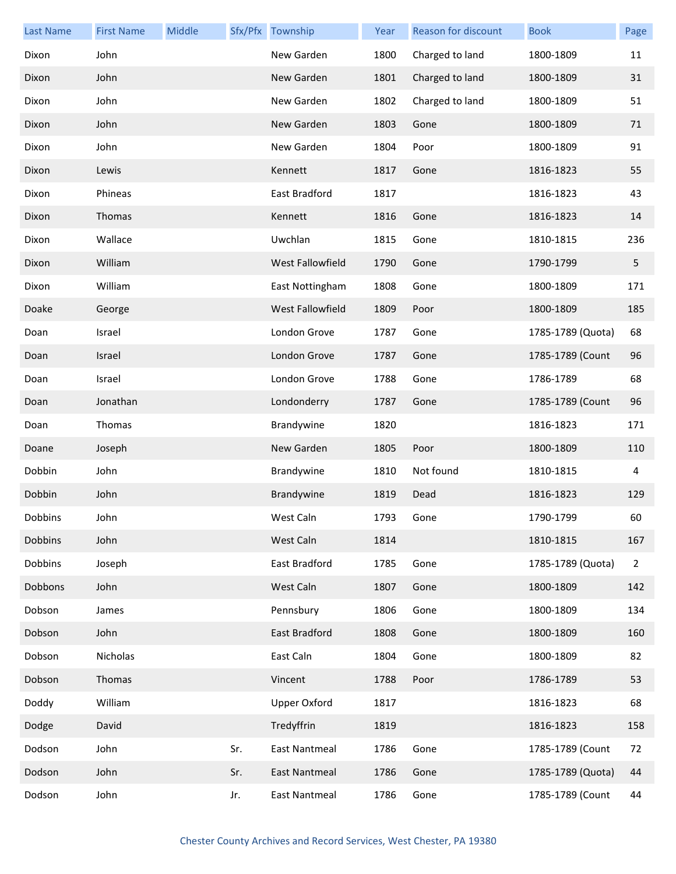| <b>Last Name</b> | <b>First Name</b> | Middle |     | Sfx/Pfx Township        | Year | <b>Reason for discount</b> | <b>Book</b>       | Page           |
|------------------|-------------------|--------|-----|-------------------------|------|----------------------------|-------------------|----------------|
| Dixon            | John              |        |     | New Garden              | 1800 | Charged to land            | 1800-1809         | 11             |
| Dixon            | John              |        |     | New Garden              | 1801 | Charged to land            | 1800-1809         | 31             |
| Dixon            | John              |        |     | New Garden              | 1802 | Charged to land            | 1800-1809         | 51             |
| Dixon            | John              |        |     | New Garden              | 1803 | Gone                       | 1800-1809         | 71             |
| Dixon            | John              |        |     | New Garden              | 1804 | Poor                       | 1800-1809         | 91             |
| Dixon            | Lewis             |        |     | Kennett                 | 1817 | Gone                       | 1816-1823         | 55             |
| Dixon            | Phineas           |        |     | East Bradford           | 1817 |                            | 1816-1823         | 43             |
| Dixon            | Thomas            |        |     | Kennett                 | 1816 | Gone                       | 1816-1823         | 14             |
| Dixon            | Wallace           |        |     | Uwchlan                 | 1815 | Gone                       | 1810-1815         | 236            |
| Dixon            | William           |        |     | West Fallowfield        | 1790 | Gone                       | 1790-1799         | 5              |
| Dixon            | William           |        |     | East Nottingham         | 1808 | Gone                       | 1800-1809         | 171            |
| Doake            | George            |        |     | <b>West Fallowfield</b> | 1809 | Poor                       | 1800-1809         | 185            |
| Doan             | Israel            |        |     | London Grove            | 1787 | Gone                       | 1785-1789 (Quota) | 68             |
| Doan             | Israel            |        |     | London Grove            | 1787 | Gone                       | 1785-1789 (Count  | 96             |
| Doan             | Israel            |        |     | London Grove            | 1788 | Gone                       | 1786-1789         | 68             |
| Doan             | Jonathan          |        |     | Londonderry             | 1787 | Gone                       | 1785-1789 (Count  | 96             |
| Doan             | Thomas            |        |     | Brandywine              | 1820 |                            | 1816-1823         | 171            |
| Doane            | Joseph            |        |     | New Garden              | 1805 | Poor                       | 1800-1809         | 110            |
| Dobbin           | John              |        |     | Brandywine              | 1810 | Not found                  | 1810-1815         | 4              |
| Dobbin           | John              |        |     | Brandywine              | 1819 | Dead                       | 1816-1823         | 129            |
| Dobbins          | John              |        |     | West Caln               | 1793 | Gone                       | 1790-1799         | 60             |
| Dobbins          | John              |        |     | West Caln               | 1814 |                            | 1810-1815         | 167            |
| Dobbins          | Joseph            |        |     | East Bradford           | 1785 | Gone                       | 1785-1789 (Quota) | $\overline{2}$ |
| Dobbons          | John              |        |     | West Caln               | 1807 | Gone                       | 1800-1809         | 142            |
| Dobson           | James             |        |     | Pennsbury               | 1806 | Gone                       | 1800-1809         | 134            |
| Dobson           | John              |        |     | East Bradford           | 1808 | Gone                       | 1800-1809         | 160            |
| Dobson           | Nicholas          |        |     | East Caln               | 1804 | Gone                       | 1800-1809         | 82             |
| Dobson           | Thomas            |        |     | Vincent                 | 1788 | Poor                       | 1786-1789         | 53             |
| Doddy            | William           |        |     | <b>Upper Oxford</b>     | 1817 |                            | 1816-1823         | 68             |
| Dodge            | David             |        |     | Tredyffrin              | 1819 |                            | 1816-1823         | 158            |
| Dodson           | John              |        | Sr. | East Nantmeal           | 1786 | Gone                       | 1785-1789 (Count  | 72             |
| Dodson           | John              |        | Sr. | East Nantmeal           | 1786 | Gone                       | 1785-1789 (Quota) | 44             |
| Dodson           | John              |        | Jr. | East Nantmeal           | 1786 | Gone                       | 1785-1789 (Count  | 44             |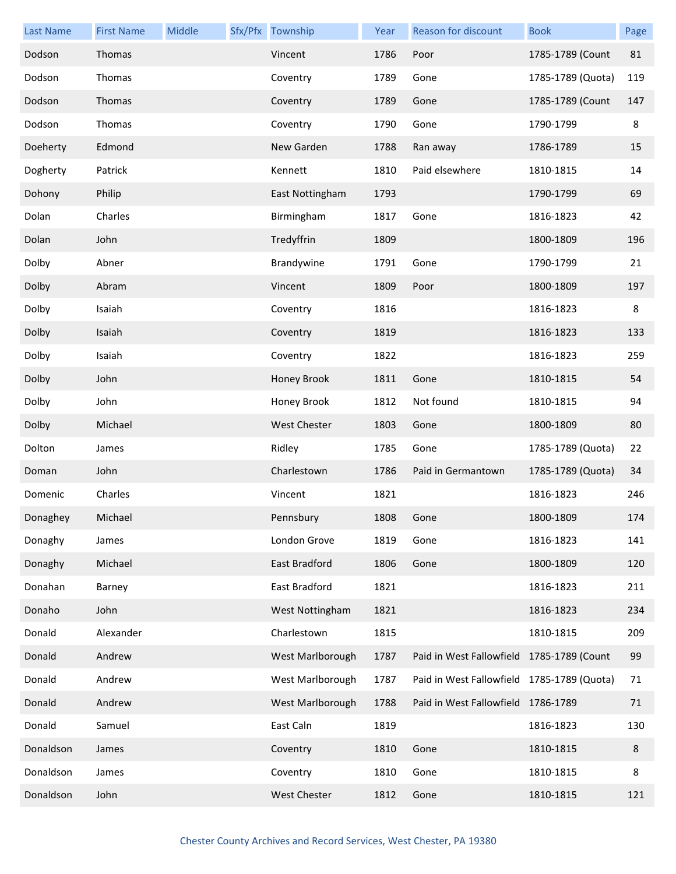| <b>Last Name</b> | <b>First Name</b> | Middle | Sfx/Pfx Township    | Year | Reason for discount                        | <b>Book</b>       | Page |
|------------------|-------------------|--------|---------------------|------|--------------------------------------------|-------------------|------|
| Dodson           | Thomas            |        | Vincent             | 1786 | Poor                                       | 1785-1789 (Count  | 81   |
| Dodson           | Thomas            |        | Coventry            | 1789 | Gone                                       | 1785-1789 (Quota) | 119  |
| Dodson           | Thomas            |        | Coventry            | 1789 | Gone                                       | 1785-1789 (Count  | 147  |
| Dodson           | Thomas            |        | Coventry            | 1790 | Gone                                       | 1790-1799         | 8    |
| Doeherty         | Edmond            |        | New Garden          | 1788 | Ran away                                   | 1786-1789         | 15   |
| Dogherty         | Patrick           |        | Kennett             | 1810 | Paid elsewhere                             | 1810-1815         | 14   |
| Dohony           | Philip            |        | East Nottingham     | 1793 |                                            | 1790-1799         | 69   |
| Dolan            | Charles           |        | Birmingham          | 1817 | Gone                                       | 1816-1823         | 42   |
| Dolan            | John              |        | Tredyffrin          | 1809 |                                            | 1800-1809         | 196  |
| Dolby            | Abner             |        | Brandywine          | 1791 | Gone                                       | 1790-1799         | 21   |
| Dolby            | Abram             |        | Vincent             | 1809 | Poor                                       | 1800-1809         | 197  |
| Dolby            | Isaiah            |        | Coventry            | 1816 |                                            | 1816-1823         | 8    |
| Dolby            | Isaiah            |        | Coventry            | 1819 |                                            | 1816-1823         | 133  |
| Dolby            | Isaiah            |        | Coventry            | 1822 |                                            | 1816-1823         | 259  |
| Dolby            | John              |        | Honey Brook         | 1811 | Gone                                       | 1810-1815         | 54   |
| Dolby            | John              |        | Honey Brook         | 1812 | Not found                                  | 1810-1815         | 94   |
| Dolby            | Michael           |        | <b>West Chester</b> | 1803 | Gone                                       | 1800-1809         | 80   |
| Dolton           | James             |        | Ridley              | 1785 | Gone                                       | 1785-1789 (Quota) | 22   |
| Doman            | John              |        | Charlestown         | 1786 | Paid in Germantown                         | 1785-1789 (Quota) | 34   |
| Domenic          | Charles           |        | Vincent             | 1821 |                                            | 1816-1823         | 246  |
| Donaghey         | Michael           |        | Pennsbury           | 1808 | Gone                                       | 1800-1809         | 174  |
| Donaghy          | James             |        | London Grove        | 1819 | Gone                                       | 1816-1823         | 141  |
| Donaghy          | Michael           |        | East Bradford       | 1806 | Gone                                       | 1800-1809         | 120  |
| Donahan          | Barney            |        | East Bradford       | 1821 |                                            | 1816-1823         | 211  |
| Donaho           | John              |        | West Nottingham     | 1821 |                                            | 1816-1823         | 234  |
| Donald           | Alexander         |        | Charlestown         | 1815 |                                            | 1810-1815         | 209  |
| Donald           | Andrew            |        | West Marlborough    | 1787 | Paid in West Fallowfield 1785-1789 (Count  |                   | 99   |
| Donald           | Andrew            |        | West Marlborough    | 1787 | Paid in West Fallowfield 1785-1789 (Quota) |                   | 71   |
| Donald           | Andrew            |        | West Marlborough    | 1788 | Paid in West Fallowfield 1786-1789         |                   | 71   |
| Donald           | Samuel            |        | East Caln           | 1819 |                                            | 1816-1823         | 130  |
| Donaldson        | James             |        | Coventry            | 1810 | Gone                                       | 1810-1815         | 8    |
| Donaldson        | James             |        | Coventry            | 1810 | Gone                                       | 1810-1815         | 8    |
| Donaldson        | John              |        | West Chester        | 1812 | Gone                                       | 1810-1815         | 121  |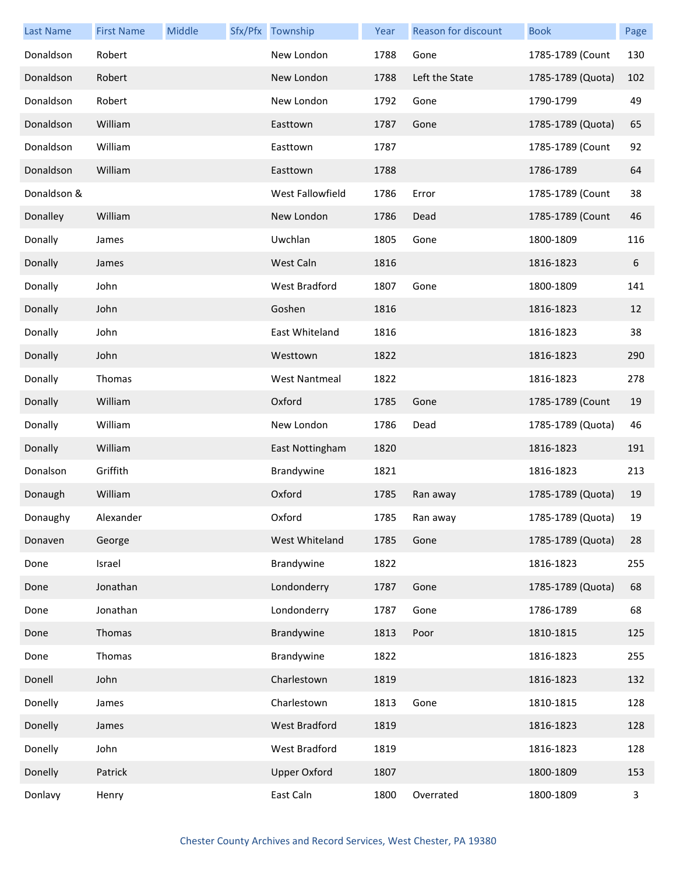| <b>Last Name</b> | <b>First Name</b> | Middle | Sfx/Pfx Township     | Year | Reason for discount | <b>Book</b>       | Page |
|------------------|-------------------|--------|----------------------|------|---------------------|-------------------|------|
| Donaldson        | Robert            |        | New London           | 1788 | Gone                | 1785-1789 (Count  | 130  |
| Donaldson        | Robert            |        | New London           | 1788 | Left the State      | 1785-1789 (Quota) | 102  |
| Donaldson        | Robert            |        | New London           | 1792 | Gone                | 1790-1799         | 49   |
| Donaldson        | William           |        | Easttown             | 1787 | Gone                | 1785-1789 (Quota) | 65   |
| Donaldson        | William           |        | Easttown             | 1787 |                     | 1785-1789 (Count  | 92   |
| Donaldson        | William           |        | Easttown             | 1788 |                     | 1786-1789         | 64   |
| Donaldson &      |                   |        | West Fallowfield     | 1786 | Error               | 1785-1789 (Count  | 38   |
| Donalley         | William           |        | New London           | 1786 | Dead                | 1785-1789 (Count  | 46   |
| Donally          | James             |        | Uwchlan              | 1805 | Gone                | 1800-1809         | 116  |
| Donally          | James             |        | West Caln            | 1816 |                     | 1816-1823         | 6    |
| Donally          | John              |        | West Bradford        | 1807 | Gone                | 1800-1809         | 141  |
| Donally          | John              |        | Goshen               | 1816 |                     | 1816-1823         | 12   |
| Donally          | John              |        | East Whiteland       | 1816 |                     | 1816-1823         | 38   |
| Donally          | John              |        | Westtown             | 1822 |                     | 1816-1823         | 290  |
| Donally          | Thomas            |        | <b>West Nantmeal</b> | 1822 |                     | 1816-1823         | 278  |
| Donally          | William           |        | Oxford               | 1785 | Gone                | 1785-1789 (Count  | 19   |
| Donally          | William           |        | New London           | 1786 | Dead                | 1785-1789 (Quota) | 46   |
| Donally          | William           |        | East Nottingham      | 1820 |                     | 1816-1823         | 191  |
| Donalson         | Griffith          |        | Brandywine           | 1821 |                     | 1816-1823         | 213  |
| Donaugh          | William           |        | Oxford               | 1785 | Ran away            | 1785-1789 (Quota) | 19   |
| Donaughy         | Alexander         |        | Oxford               | 1785 | Ran away            | 1785-1789 (Quota) | 19   |
| Donaven          | George            |        | West Whiteland       | 1785 | Gone                | 1785-1789 (Quota) | 28   |
| Done             | Israel            |        | Brandywine           | 1822 |                     | 1816-1823         | 255  |
| Done             | Jonathan          |        | Londonderry          | 1787 | Gone                | 1785-1789 (Quota) | 68   |
| Done             | Jonathan          |        | Londonderry          | 1787 | Gone                | 1786-1789         | 68   |
| Done             | Thomas            |        | Brandywine           | 1813 | Poor                | 1810-1815         | 125  |
| Done             | Thomas            |        | Brandywine           | 1822 |                     | 1816-1823         | 255  |
| Donell           | John              |        | Charlestown          | 1819 |                     | 1816-1823         | 132  |
| Donelly          | James             |        | Charlestown          | 1813 | Gone                | 1810-1815         | 128  |
| Donelly          | James             |        | West Bradford        | 1819 |                     | 1816-1823         | 128  |
| Donelly          | John              |        | West Bradford        | 1819 |                     | 1816-1823         | 128  |
| Donelly          | Patrick           |        | <b>Upper Oxford</b>  | 1807 |                     | 1800-1809         | 153  |
| Donlavy          | Henry             |        | East Caln            | 1800 | Overrated           | 1800-1809         | 3    |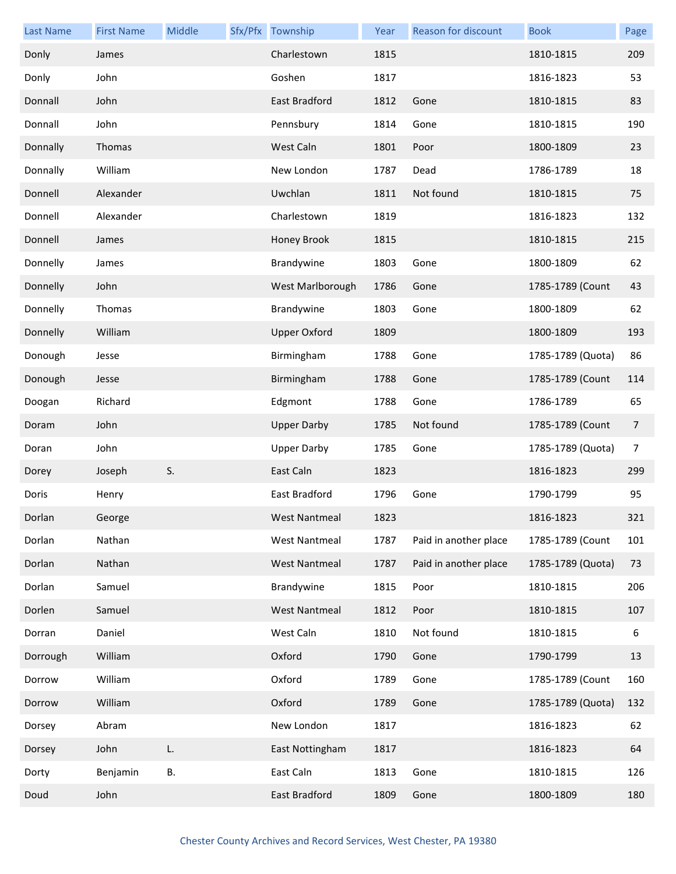| <b>Last Name</b> | <b>First Name</b> | Middle | Sfx/Pfx Township     | Year | Reason for discount   | <b>Book</b>       | Page           |
|------------------|-------------------|--------|----------------------|------|-----------------------|-------------------|----------------|
| Donly            | James             |        | Charlestown          | 1815 |                       | 1810-1815         | 209            |
| Donly            | John              |        | Goshen               | 1817 |                       | 1816-1823         | 53             |
| Donnall          | John              |        | <b>East Bradford</b> | 1812 | Gone                  | 1810-1815         | 83             |
| Donnall          | John              |        | Pennsbury            | 1814 | Gone                  | 1810-1815         | 190            |
| Donnally         | Thomas            |        | West Caln            | 1801 | Poor                  | 1800-1809         | 23             |
| Donnally         | William           |        | New London           | 1787 | Dead                  | 1786-1789         | 18             |
| Donnell          | Alexander         |        | Uwchlan              | 1811 | Not found             | 1810-1815         | 75             |
| Donnell          | Alexander         |        | Charlestown          | 1819 |                       | 1816-1823         | 132            |
| Donnell          | James             |        | Honey Brook          | 1815 |                       | 1810-1815         | 215            |
| Donnelly         | James             |        | Brandywine           | 1803 | Gone                  | 1800-1809         | 62             |
| Donnelly         | John              |        | West Marlborough     | 1786 | Gone                  | 1785-1789 (Count  | 43             |
| Donnelly         | Thomas            |        | Brandywine           | 1803 | Gone                  | 1800-1809         | 62             |
| Donnelly         | William           |        | <b>Upper Oxford</b>  | 1809 |                       | 1800-1809         | 193            |
| Donough          | Jesse             |        | Birmingham           | 1788 | Gone                  | 1785-1789 (Quota) | 86             |
| Donough          | Jesse             |        | Birmingham           | 1788 | Gone                  | 1785-1789 (Count  | 114            |
| Doogan           | Richard           |        | Edgmont              | 1788 | Gone                  | 1786-1789         | 65             |
| Doram            | John              |        | <b>Upper Darby</b>   | 1785 | Not found             | 1785-1789 (Count  | $\overline{7}$ |
| Doran            | John              |        | <b>Upper Darby</b>   | 1785 | Gone                  | 1785-1789 (Quota) | $\overline{7}$ |
| Dorey            | Joseph            | S.     | East Caln            | 1823 |                       | 1816-1823         | 299            |
| Doris            | Henry             |        | East Bradford        | 1796 | Gone                  | 1790-1799         | 95             |
| Dorlan           | George            |        | West Nantmeal        | 1823 |                       | 1816-1823         | 321            |
| Dorlan           | Nathan            |        | <b>West Nantmeal</b> | 1787 | Paid in another place | 1785-1789 (Count  | 101            |
| Dorlan           | Nathan            |        | <b>West Nantmeal</b> | 1787 | Paid in another place | 1785-1789 (Quota) | 73             |
| Dorlan           | Samuel            |        | Brandywine           | 1815 | Poor                  | 1810-1815         | 206            |
| Dorlen           | Samuel            |        | <b>West Nantmeal</b> | 1812 | Poor                  | 1810-1815         | 107            |
| Dorran           | Daniel            |        | West Caln            | 1810 | Not found             | 1810-1815         | 6              |
| Dorrough         | William           |        | Oxford               | 1790 | Gone                  | 1790-1799         | 13             |
| Dorrow           | William           |        | Oxford               | 1789 | Gone                  | 1785-1789 (Count  | 160            |
| Dorrow           | William           |        | Oxford               | 1789 | Gone                  | 1785-1789 (Quota) | 132            |
| Dorsey           | Abram             |        | New London           | 1817 |                       | 1816-1823         | 62             |
| Dorsey           | John              | L.     | East Nottingham      | 1817 |                       | 1816-1823         | 64             |
| Dorty            | Benjamin          | В.     | East Caln            | 1813 | Gone                  | 1810-1815         | 126            |
| Doud             | John              |        | East Bradford        | 1809 | Gone                  | 1800-1809         | 180            |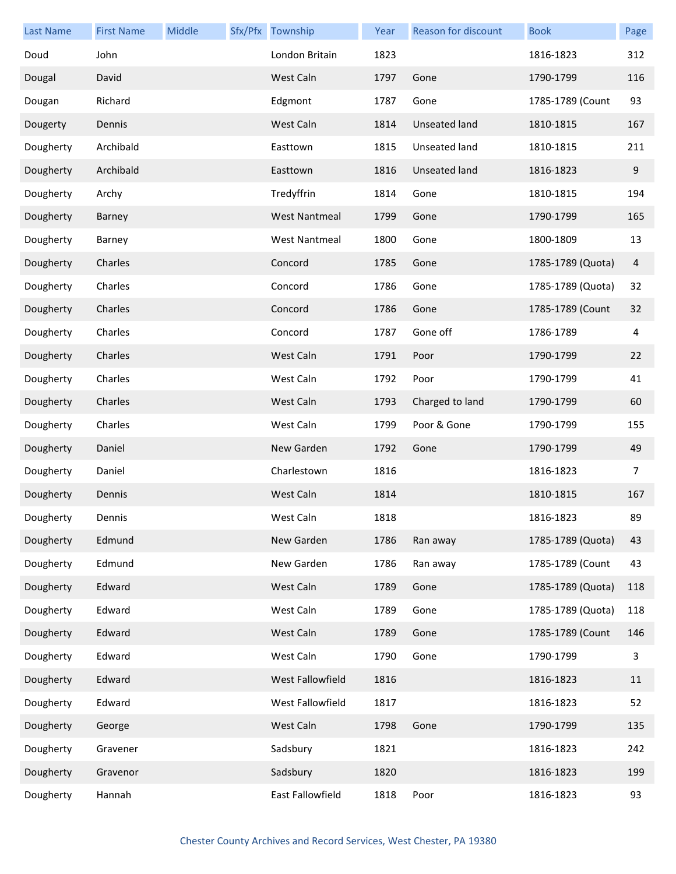| <b>Last Name</b> | <b>First Name</b> | Middle | Sfx/Pfx Township     | Year | Reason for discount  | <b>Book</b>       | Page |
|------------------|-------------------|--------|----------------------|------|----------------------|-------------------|------|
| Doud             | John              |        | London Britain       | 1823 |                      | 1816-1823         | 312  |
| Dougal           | David             |        | West Caln            | 1797 | Gone                 | 1790-1799         | 116  |
| Dougan           | Richard           |        | Edgmont              | 1787 | Gone                 | 1785-1789 (Count  | 93   |
| Dougerty         | Dennis            |        | West Caln            | 1814 | <b>Unseated land</b> | 1810-1815         | 167  |
| Dougherty        | Archibald         |        | Easttown             | 1815 | Unseated land        | 1810-1815         | 211  |
| Dougherty        | Archibald         |        | Easttown             | 1816 | Unseated land        | 1816-1823         | 9    |
| Dougherty        | Archy             |        | Tredyffrin           | 1814 | Gone                 | 1810-1815         | 194  |
| Dougherty        | Barney            |        | <b>West Nantmeal</b> | 1799 | Gone                 | 1790-1799         | 165  |
| Dougherty        | Barney            |        | <b>West Nantmeal</b> | 1800 | Gone                 | 1800-1809         | 13   |
| Dougherty        | Charles           |        | Concord              | 1785 | Gone                 | 1785-1789 (Quota) | 4    |
| Dougherty        | Charles           |        | Concord              | 1786 | Gone                 | 1785-1789 (Quota) | 32   |
| Dougherty        | Charles           |        | Concord              | 1786 | Gone                 | 1785-1789 (Count  | 32   |
| Dougherty        | Charles           |        | Concord              | 1787 | Gone off             | 1786-1789         | 4    |
| Dougherty        | Charles           |        | West Caln            | 1791 | Poor                 | 1790-1799         | 22   |
| Dougherty        | Charles           |        | West Caln            | 1792 | Poor                 | 1790-1799         | 41   |
| Dougherty        | Charles           |        | West Caln            | 1793 | Charged to land      | 1790-1799         | 60   |
| Dougherty        | Charles           |        | West Caln            | 1799 | Poor & Gone          | 1790-1799         | 155  |
| Dougherty        | Daniel            |        | New Garden           | 1792 | Gone                 | 1790-1799         | 49   |
| Dougherty        | Daniel            |        | Charlestown          | 1816 |                      | 1816-1823         | 7    |
| Dougherty        | Dennis            |        | West Caln            | 1814 |                      | 1810-1815         | 167  |
| Dougherty        | Dennis            |        | West Caln            | 1818 |                      | 1816-1823         | 89   |
| Dougherty        | Edmund            |        | New Garden           | 1786 | Ran away             | 1785-1789 (Quota) | 43   |
| Dougherty        | Edmund            |        | New Garden           | 1786 | Ran away             | 1785-1789 (Count  | 43   |
| Dougherty        | Edward            |        | West Caln            | 1789 | Gone                 | 1785-1789 (Quota) | 118  |
| Dougherty        | Edward            |        | West Caln            | 1789 | Gone                 | 1785-1789 (Quota) | 118  |
| Dougherty        | Edward            |        | West Caln            | 1789 | Gone                 | 1785-1789 (Count  | 146  |
| Dougherty        | Edward            |        | West Caln            | 1790 | Gone                 | 1790-1799         | 3    |
| Dougherty        | Edward            |        | West Fallowfield     | 1816 |                      | 1816-1823         | 11   |
| Dougherty        | Edward            |        | West Fallowfield     | 1817 |                      | 1816-1823         | 52   |
| Dougherty        | George            |        | West Caln            | 1798 | Gone                 | 1790-1799         | 135  |
| Dougherty        | Gravener          |        | Sadsbury             | 1821 |                      | 1816-1823         | 242  |
| Dougherty        | Gravenor          |        | Sadsbury             | 1820 |                      | 1816-1823         | 199  |
| Dougherty        | Hannah            |        | East Fallowfield     | 1818 | Poor                 | 1816-1823         | 93   |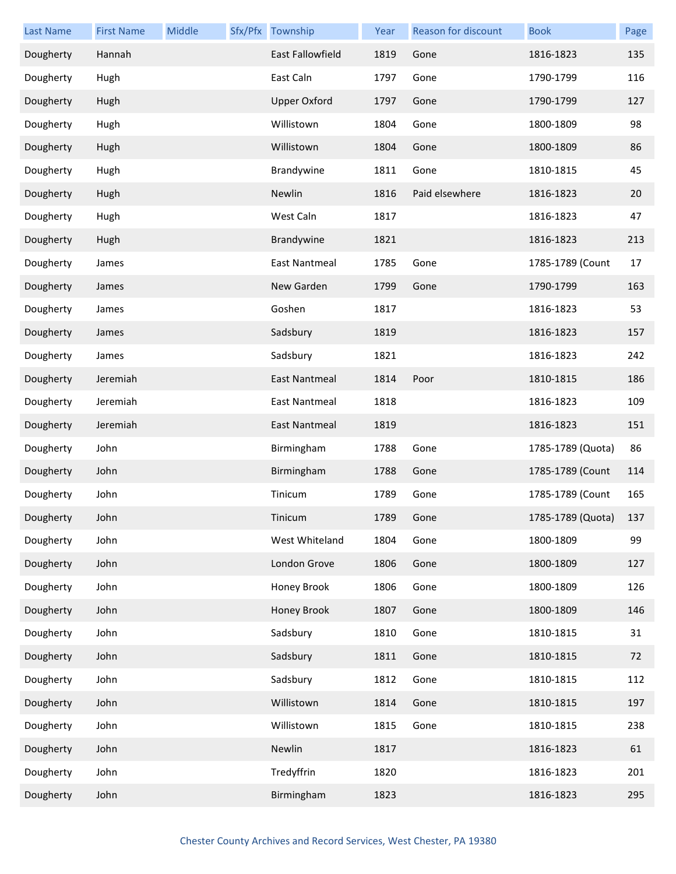| <b>Last Name</b> | <b>First Name</b> | Middle | Sfx/Pfx Township        | Year | Reason for discount | <b>Book</b>       | Page |
|------------------|-------------------|--------|-------------------------|------|---------------------|-------------------|------|
| Dougherty        | Hannah            |        | <b>East Fallowfield</b> | 1819 | Gone                | 1816-1823         | 135  |
| Dougherty        | Hugh              |        | East Caln               | 1797 | Gone                | 1790-1799         | 116  |
| Dougherty        | Hugh              |        | <b>Upper Oxford</b>     | 1797 | Gone                | 1790-1799         | 127  |
| Dougherty        | Hugh              |        | Willistown              | 1804 | Gone                | 1800-1809         | 98   |
| Dougherty        | Hugh              |        | Willistown              | 1804 | Gone                | 1800-1809         | 86   |
| Dougherty        | Hugh              |        | Brandywine              | 1811 | Gone                | 1810-1815         | 45   |
| Dougherty        | Hugh              |        | Newlin                  | 1816 | Paid elsewhere      | 1816-1823         | 20   |
| Dougherty        | Hugh              |        | West Caln               | 1817 |                     | 1816-1823         | 47   |
| Dougherty        | Hugh              |        | Brandywine              | 1821 |                     | 1816-1823         | 213  |
| Dougherty        | James             |        | East Nantmeal           | 1785 | Gone                | 1785-1789 (Count  | 17   |
| Dougherty        | James             |        | New Garden              | 1799 | Gone                | 1790-1799         | 163  |
| Dougherty        | James             |        | Goshen                  | 1817 |                     | 1816-1823         | 53   |
| Dougherty        | James             |        | Sadsbury                | 1819 |                     | 1816-1823         | 157  |
| Dougherty        | James             |        | Sadsbury                | 1821 |                     | 1816-1823         | 242  |
| Dougherty        | Jeremiah          |        | <b>East Nantmeal</b>    | 1814 | Poor                | 1810-1815         | 186  |
| Dougherty        | Jeremiah          |        | <b>East Nantmeal</b>    | 1818 |                     | 1816-1823         | 109  |
| Dougherty        | Jeremiah          |        | East Nantmeal           | 1819 |                     | 1816-1823         | 151  |
| Dougherty        | John              |        | Birmingham              | 1788 | Gone                | 1785-1789 (Quota) | 86   |
| Dougherty        | John              |        | Birmingham              | 1788 | Gone                | 1785-1789 (Count  | 114  |
| Dougherty        | John              |        | Tinicum                 | 1789 | Gone                | 1785-1789 (Count  | 165  |
| Dougherty        | John              |        | Tinicum                 | 1789 | Gone                | 1785-1789 (Quota) | 137  |
| Dougherty        | John              |        | West Whiteland          | 1804 | Gone                | 1800-1809         | 99   |
| Dougherty        | John              |        | London Grove            | 1806 | Gone                | 1800-1809         | 127  |
| Dougherty        | John              |        | Honey Brook             | 1806 | Gone                | 1800-1809         | 126  |
| Dougherty        | John              |        | Honey Brook             | 1807 | Gone                | 1800-1809         | 146  |
| Dougherty        | John              |        | Sadsbury                | 1810 | Gone                | 1810-1815         | 31   |
| Dougherty        | John              |        | Sadsbury                | 1811 | Gone                | 1810-1815         | 72   |
| Dougherty        | John              |        | Sadsbury                | 1812 | Gone                | 1810-1815         | 112  |
| Dougherty        | John              |        | Willistown              | 1814 | Gone                | 1810-1815         | 197  |
| Dougherty        | John              |        | Willistown              | 1815 | Gone                | 1810-1815         | 238  |
| Dougherty        | John              |        | Newlin                  | 1817 |                     | 1816-1823         | 61   |
| Dougherty        | John              |        | Tredyffrin              | 1820 |                     | 1816-1823         | 201  |
| Dougherty        | John              |        | Birmingham              | 1823 |                     | 1816-1823         | 295  |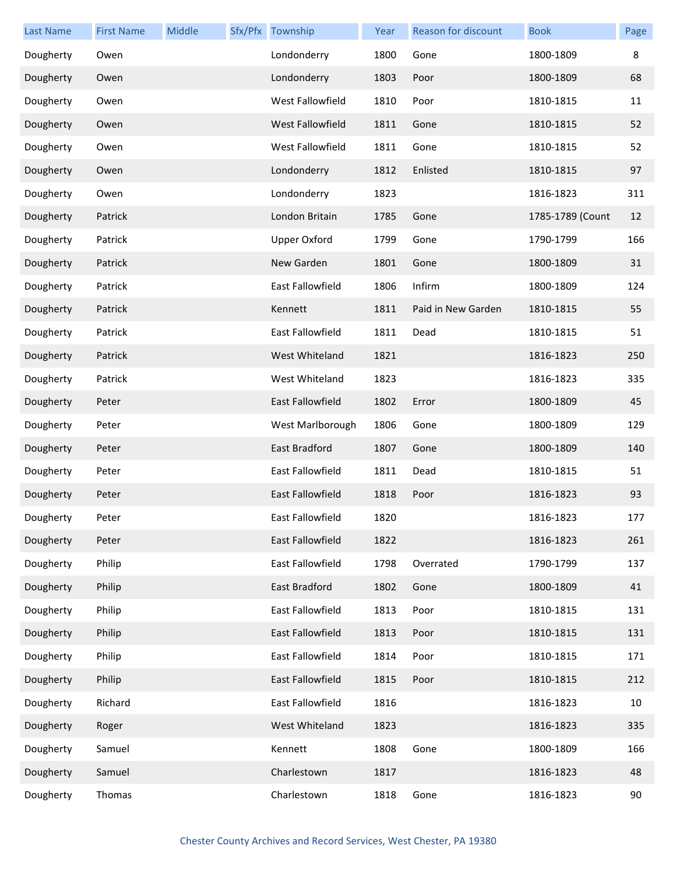| Last Name | <b>First Name</b> | Middle | Sfx/Pfx Township    | Year | Reason for discount | <b>Book</b>      | Page |
|-----------|-------------------|--------|---------------------|------|---------------------|------------------|------|
| Dougherty | Owen              |        | Londonderry         | 1800 | Gone                | 1800-1809        | 8    |
| Dougherty | Owen              |        | Londonderry         | 1803 | Poor                | 1800-1809        | 68   |
| Dougherty | Owen              |        | West Fallowfield    | 1810 | Poor                | 1810-1815        | 11   |
| Dougherty | Owen              |        | West Fallowfield    | 1811 | Gone                | 1810-1815        | 52   |
| Dougherty | Owen              |        | West Fallowfield    | 1811 | Gone                | 1810-1815        | 52   |
| Dougherty | Owen              |        | Londonderry         | 1812 | Enlisted            | 1810-1815        | 97   |
| Dougherty | Owen              |        | Londonderry         | 1823 |                     | 1816-1823        | 311  |
| Dougherty | Patrick           |        | London Britain      | 1785 | Gone                | 1785-1789 (Count | 12   |
| Dougherty | Patrick           |        | <b>Upper Oxford</b> | 1799 | Gone                | 1790-1799        | 166  |
| Dougherty | Patrick           |        | New Garden          | 1801 | Gone                | 1800-1809        | 31   |
| Dougherty | Patrick           |        | East Fallowfield    | 1806 | Infirm              | 1800-1809        | 124  |
| Dougherty | Patrick           |        | Kennett             | 1811 | Paid in New Garden  | 1810-1815        | 55   |
| Dougherty | Patrick           |        | East Fallowfield    | 1811 | Dead                | 1810-1815        | 51   |
| Dougherty | Patrick           |        | West Whiteland      | 1821 |                     | 1816-1823        | 250  |
| Dougherty | Patrick           |        | West Whiteland      | 1823 |                     | 1816-1823        | 335  |
| Dougherty | Peter             |        | East Fallowfield    | 1802 | Error               | 1800-1809        | 45   |
| Dougherty | Peter             |        | West Marlborough    | 1806 | Gone                | 1800-1809        | 129  |
| Dougherty | Peter             |        | East Bradford       | 1807 | Gone                | 1800-1809        | 140  |
| Dougherty | Peter             |        | East Fallowfield    | 1811 | Dead                | 1810-1815        | 51   |
| Dougherty | Peter             |        | East Fallowfield    | 1818 | Poor                | 1816-1823        | 93   |
| Dougherty | Peter             |        | East Fallowfield    | 1820 |                     | 1816-1823        | 177  |
| Dougherty | Peter             |        | East Fallowfield    | 1822 |                     | 1816-1823        | 261  |
| Dougherty | Philip            |        | East Fallowfield    | 1798 | Overrated           | 1790-1799        | 137  |
| Dougherty | Philip            |        | East Bradford       | 1802 | Gone                | 1800-1809        | 41   |
| Dougherty | Philip            |        | East Fallowfield    | 1813 | Poor                | 1810-1815        | 131  |
| Dougherty | Philip            |        | East Fallowfield    | 1813 | Poor                | 1810-1815        | 131  |
| Dougherty | Philip            |        | East Fallowfield    | 1814 | Poor                | 1810-1815        | 171  |
| Dougherty | Philip            |        | East Fallowfield    | 1815 | Poor                | 1810-1815        | 212  |
| Dougherty | Richard           |        | East Fallowfield    | 1816 |                     | 1816-1823        | 10   |
| Dougherty | Roger             |        | West Whiteland      | 1823 |                     | 1816-1823        | 335  |
| Dougherty | Samuel            |        | Kennett             | 1808 | Gone                | 1800-1809        | 166  |
| Dougherty | Samuel            |        | Charlestown         | 1817 |                     | 1816-1823        | 48   |
| Dougherty | Thomas            |        | Charlestown         | 1818 | Gone                | 1816-1823        | 90   |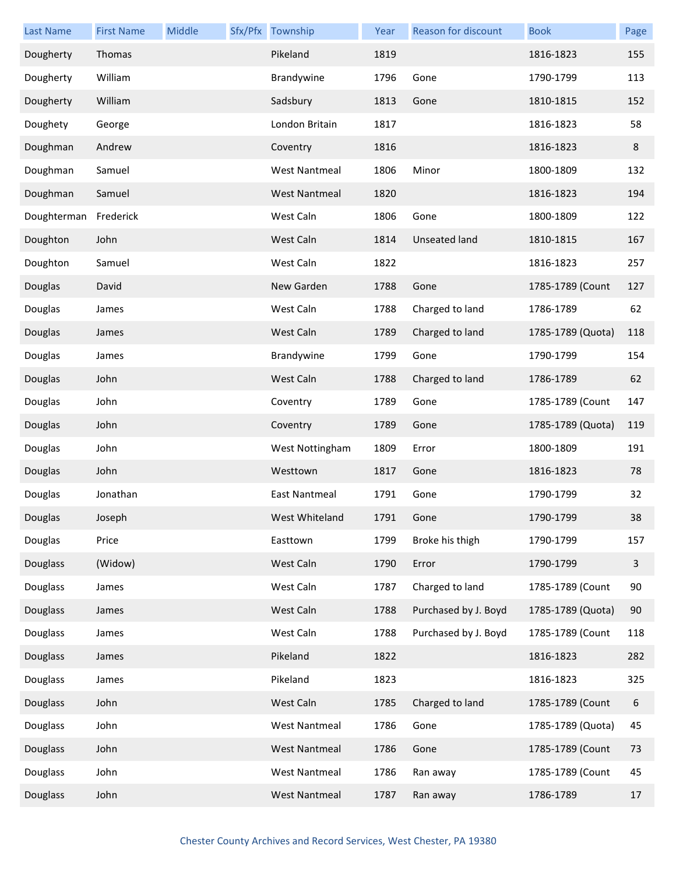| <b>Last Name</b> | <b>First Name</b> | Middle | Sfx/Pfx Township     | Year | Reason for discount  | <b>Book</b>       | Page |
|------------------|-------------------|--------|----------------------|------|----------------------|-------------------|------|
| Dougherty        | Thomas            |        | Pikeland             | 1819 |                      | 1816-1823         | 155  |
| Dougherty        | William           |        | Brandywine           | 1796 | Gone                 | 1790-1799         | 113  |
| Dougherty        | William           |        | Sadsbury             | 1813 | Gone                 | 1810-1815         | 152  |
| Doughety         | George            |        | London Britain       | 1817 |                      | 1816-1823         | 58   |
| Doughman         | Andrew            |        | Coventry             | 1816 |                      | 1816-1823         | 8    |
| Doughman         | Samuel            |        | <b>West Nantmeal</b> | 1806 | Minor                | 1800-1809         | 132  |
| Doughman         | Samuel            |        | <b>West Nantmeal</b> | 1820 |                      | 1816-1823         | 194  |
| Doughterman      | Frederick         |        | West Caln            | 1806 | Gone                 | 1800-1809         | 122  |
| Doughton         | John              |        | West Caln            | 1814 | <b>Unseated land</b> | 1810-1815         | 167  |
| Doughton         | Samuel            |        | West Caln            | 1822 |                      | 1816-1823         | 257  |
| Douglas          | David             |        | New Garden           | 1788 | Gone                 | 1785-1789 (Count  | 127  |
| Douglas          | James             |        | West Caln            | 1788 | Charged to land      | 1786-1789         | 62   |
| Douglas          | James             |        | West Caln            | 1789 | Charged to land      | 1785-1789 (Quota) | 118  |
| Douglas          | James             |        | Brandywine           | 1799 | Gone                 | 1790-1799         | 154  |
| Douglas          | John              |        | West Caln            | 1788 | Charged to land      | 1786-1789         | 62   |
| Douglas          | John              |        | Coventry             | 1789 | Gone                 | 1785-1789 (Count  | 147  |
| Douglas          | John              |        | Coventry             | 1789 | Gone                 | 1785-1789 (Quota) | 119  |
| Douglas          | John              |        | West Nottingham      | 1809 | Error                | 1800-1809         | 191  |
| Douglas          | John              |        | Westtown             | 1817 | Gone                 | 1816-1823         | 78   |
| Douglas          | Jonathan          |        | East Nantmeal        | 1791 | Gone                 | 1790-1799         | 32   |
| Douglas          | Joseph            |        | West Whiteland       | 1791 | Gone                 | 1790-1799         | 38   |
| Douglas          | Price             |        | Easttown             | 1799 | Broke his thigh      | 1790-1799         | 157  |
| Douglass         | (Widow)           |        | West Caln            | 1790 | Error                | 1790-1799         | 3    |
| Douglass         | James             |        | West Caln            | 1787 | Charged to land      | 1785-1789 (Count  | 90   |
| Douglass         | James             |        | West Caln            | 1788 | Purchased by J. Boyd | 1785-1789 (Quota) | 90   |
| Douglass         | James             |        | West Caln            | 1788 | Purchased by J. Boyd | 1785-1789 (Count  | 118  |
| Douglass         | James             |        | Pikeland             | 1822 |                      | 1816-1823         | 282  |
| Douglass         | James             |        | Pikeland             | 1823 |                      | 1816-1823         | 325  |
| Douglass         | John              |        | West Caln            | 1785 | Charged to land      | 1785-1789 (Count  | 6    |
| Douglass         | John              |        | <b>West Nantmeal</b> | 1786 | Gone                 | 1785-1789 (Quota) | 45   |
| Douglass         | John              |        | <b>West Nantmeal</b> | 1786 | Gone                 | 1785-1789 (Count  | 73   |
| Douglass         | John              |        | <b>West Nantmeal</b> | 1786 | Ran away             | 1785-1789 (Count  | 45   |
| Douglass         | John              |        | West Nantmeal        | 1787 | Ran away             | 1786-1789         | 17   |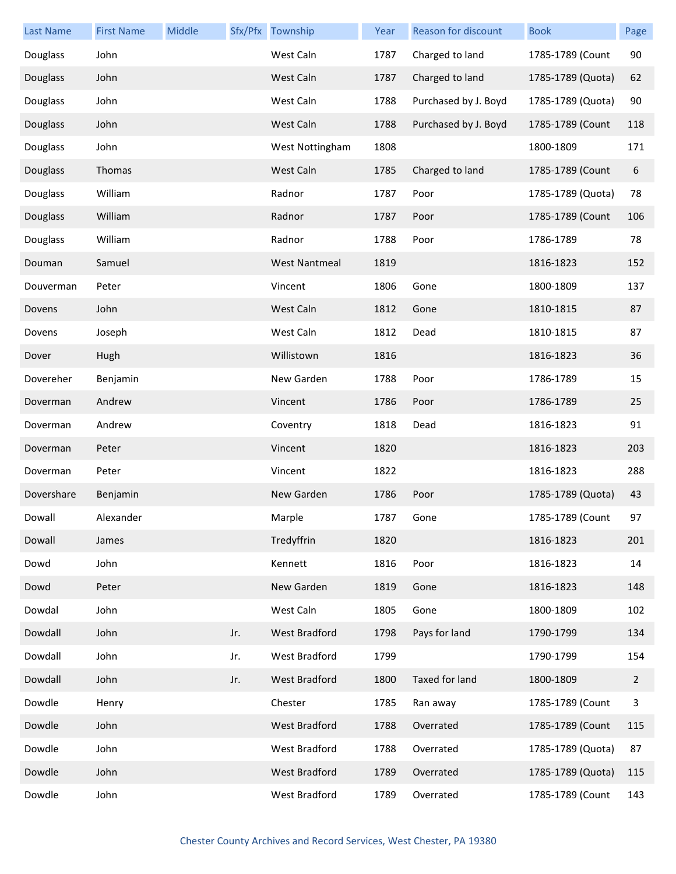| Last Name  | <b>First Name</b> | Middle |     | Sfx/Pfx Township     | Year | Reason for discount  | <b>Book</b>       | Page |
|------------|-------------------|--------|-----|----------------------|------|----------------------|-------------------|------|
| Douglass   | John              |        |     | West Caln            | 1787 | Charged to land      | 1785-1789 (Count  | 90   |
| Douglass   | John              |        |     | West Caln            | 1787 | Charged to land      | 1785-1789 (Quota) | 62   |
| Douglass   | John              |        |     | West Caln            | 1788 | Purchased by J. Boyd | 1785-1789 (Quota) | 90   |
| Douglass   | John              |        |     | West Caln            | 1788 | Purchased by J. Boyd | 1785-1789 (Count  | 118  |
| Douglass   | John              |        |     | West Nottingham      | 1808 |                      | 1800-1809         | 171  |
| Douglass   | Thomas            |        |     | West Caln            | 1785 | Charged to land      | 1785-1789 (Count  | 6    |
| Douglass   | William           |        |     | Radnor               | 1787 | Poor                 | 1785-1789 (Quota) | 78   |
| Douglass   | William           |        |     | Radnor               | 1787 | Poor                 | 1785-1789 (Count  | 106  |
| Douglass   | William           |        |     | Radnor               | 1788 | Poor                 | 1786-1789         | 78   |
| Douman     | Samuel            |        |     | <b>West Nantmeal</b> | 1819 |                      | 1816-1823         | 152  |
| Douverman  | Peter             |        |     | Vincent              | 1806 | Gone                 | 1800-1809         | 137  |
| Dovens     | John              |        |     | West Caln            | 1812 | Gone                 | 1810-1815         | 87   |
| Dovens     | Joseph            |        |     | West Caln            | 1812 | Dead                 | 1810-1815         | 87   |
| Dover      | Hugh              |        |     | Willistown           | 1816 |                      | 1816-1823         | 36   |
| Dovereher  | Benjamin          |        |     | New Garden           | 1788 | Poor                 | 1786-1789         | 15   |
| Doverman   | Andrew            |        |     | Vincent              | 1786 | Poor                 | 1786-1789         | 25   |
| Doverman   | Andrew            |        |     | Coventry             | 1818 | Dead                 | 1816-1823         | 91   |
| Doverman   | Peter             |        |     | Vincent              | 1820 |                      | 1816-1823         | 203  |
| Doverman   | Peter             |        |     | Vincent              | 1822 |                      | 1816-1823         | 288  |
| Dovershare | Benjamin          |        |     | New Garden           | 1786 | Poor                 | 1785-1789 (Quota) | 43   |
| Dowall     | Alexander         |        |     | Marple               | 1787 | Gone                 | 1785-1789 (Count  | 97   |
| Dowall     | James             |        |     | Tredyffrin           | 1820 |                      | 1816-1823         | 201  |
| Dowd       | John              |        |     | Kennett              | 1816 | Poor                 | 1816-1823         | 14   |
| Dowd       | Peter             |        |     | New Garden           | 1819 | Gone                 | 1816-1823         | 148  |
| Dowdal     | John              |        |     | West Caln            | 1805 | Gone                 | 1800-1809         | 102  |
| Dowdall    | John              |        | Jr. | West Bradford        | 1798 | Pays for land        | 1790-1799         | 134  |
| Dowdall    | John              |        | Jr. | West Bradford        | 1799 |                      | 1790-1799         | 154  |
| Dowdall    | John              |        | Jr. | West Bradford        | 1800 | Taxed for land       | 1800-1809         | 2    |
| Dowdle     | Henry             |        |     | Chester              | 1785 | Ran away             | 1785-1789 (Count  | 3    |
| Dowdle     | John              |        |     | West Bradford        | 1788 | Overrated            | 1785-1789 (Count  | 115  |
| Dowdle     | John              |        |     | West Bradford        | 1788 | Overrated            | 1785-1789 (Quota) | 87   |
| Dowdle     | John              |        |     | <b>West Bradford</b> | 1789 | Overrated            | 1785-1789 (Quota) | 115  |
| Dowdle     | John              |        |     | West Bradford        | 1789 | Overrated            | 1785-1789 (Count  | 143  |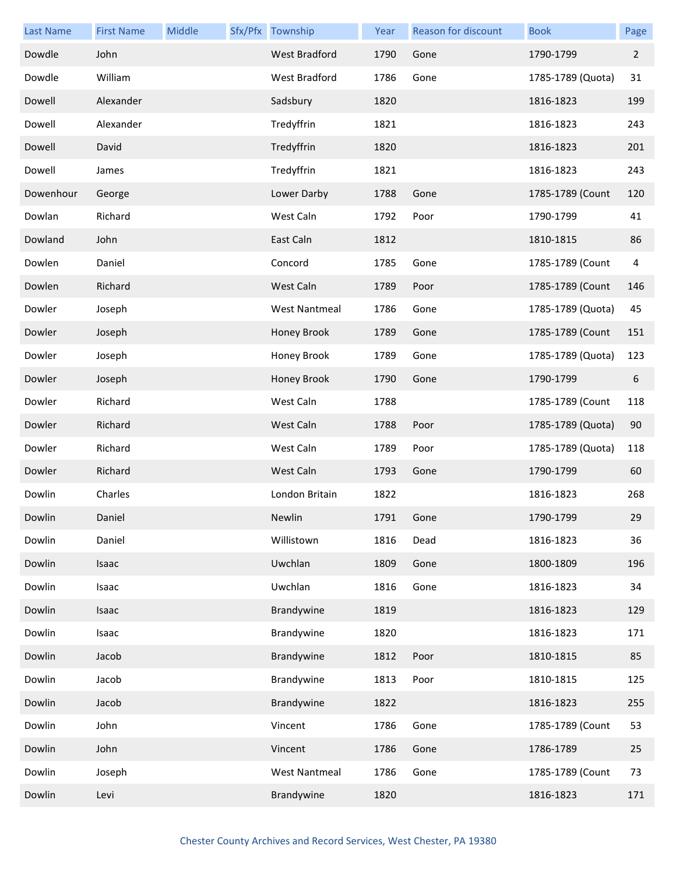| <b>Last Name</b> | <b>First Name</b> | Middle | Sfx/Pfx Township     | Year | <b>Reason for discount</b> | <b>Book</b>       | Page           |
|------------------|-------------------|--------|----------------------|------|----------------------------|-------------------|----------------|
| Dowdle           | John              |        | West Bradford        | 1790 | Gone                       | 1790-1799         | $\overline{2}$ |
| Dowdle           | William           |        | West Bradford        | 1786 | Gone                       | 1785-1789 (Quota) | 31             |
| Dowell           | Alexander         |        | Sadsbury             | 1820 |                            | 1816-1823         | 199            |
| Dowell           | Alexander         |        | Tredyffrin           | 1821 |                            | 1816-1823         | 243            |
| Dowell           | David             |        | Tredyffrin           | 1820 |                            | 1816-1823         | 201            |
| Dowell           | James             |        | Tredyffrin           | 1821 |                            | 1816-1823         | 243            |
| Dowenhour        | George            |        | Lower Darby          | 1788 | Gone                       | 1785-1789 (Count  | 120            |
| Dowlan           | Richard           |        | West Caln            | 1792 | Poor                       | 1790-1799         | 41             |
| Dowland          | John              |        | East Caln            | 1812 |                            | 1810-1815         | 86             |
| Dowlen           | Daniel            |        | Concord              | 1785 | Gone                       | 1785-1789 (Count  | $\overline{4}$ |
| Dowlen           | Richard           |        | West Caln            | 1789 | Poor                       | 1785-1789 (Count  | 146            |
| Dowler           | Joseph            |        | <b>West Nantmeal</b> | 1786 | Gone                       | 1785-1789 (Quota) | 45             |
| Dowler           | Joseph            |        | Honey Brook          | 1789 | Gone                       | 1785-1789 (Count  | 151            |
| Dowler           | Joseph            |        | Honey Brook          | 1789 | Gone                       | 1785-1789 (Quota) | 123            |
| Dowler           | Joseph            |        | Honey Brook          | 1790 | Gone                       | 1790-1799         | 6              |
| Dowler           | Richard           |        | West Caln            | 1788 |                            | 1785-1789 (Count  | 118            |
| Dowler           | Richard           |        | West Caln            | 1788 | Poor                       | 1785-1789 (Quota) | 90             |
| Dowler           | Richard           |        | West Caln            | 1789 | Poor                       | 1785-1789 (Quota) | 118            |
| Dowler           | Richard           |        | West Caln            | 1793 | Gone                       | 1790-1799         | 60             |
| Dowlin           | Charles           |        | London Britain       | 1822 |                            | 1816-1823         | 268            |
| Dowlin           | Daniel            |        | Newlin               | 1791 | Gone                       | 1790-1799         | 29             |
| Dowlin           | Daniel            |        | Willistown           | 1816 | Dead                       | 1816-1823         | 36             |
| Dowlin           | Isaac             |        | Uwchlan              | 1809 | Gone                       | 1800-1809         | 196            |
| Dowlin           | Isaac             |        | Uwchlan              | 1816 | Gone                       | 1816-1823         | 34             |
| Dowlin           | Isaac             |        | Brandywine           | 1819 |                            | 1816-1823         | 129            |
| Dowlin           | Isaac             |        | Brandywine           | 1820 |                            | 1816-1823         | 171            |
| Dowlin           | Jacob             |        | Brandywine           | 1812 | Poor                       | 1810-1815         | 85             |
| Dowlin           | Jacob             |        | Brandywine           | 1813 | Poor                       | 1810-1815         | 125            |
| Dowlin           | Jacob             |        | Brandywine           | 1822 |                            | 1816-1823         | 255            |
| Dowlin           | John              |        | Vincent              | 1786 | Gone                       | 1785-1789 (Count  | 53             |
| Dowlin           | John              |        | Vincent              | 1786 | Gone                       | 1786-1789         | 25             |
| Dowlin           | Joseph            |        | <b>West Nantmeal</b> | 1786 | Gone                       | 1785-1789 (Count  | 73             |
| Dowlin           | Levi              |        | Brandywine           | 1820 |                            | 1816-1823         | 171            |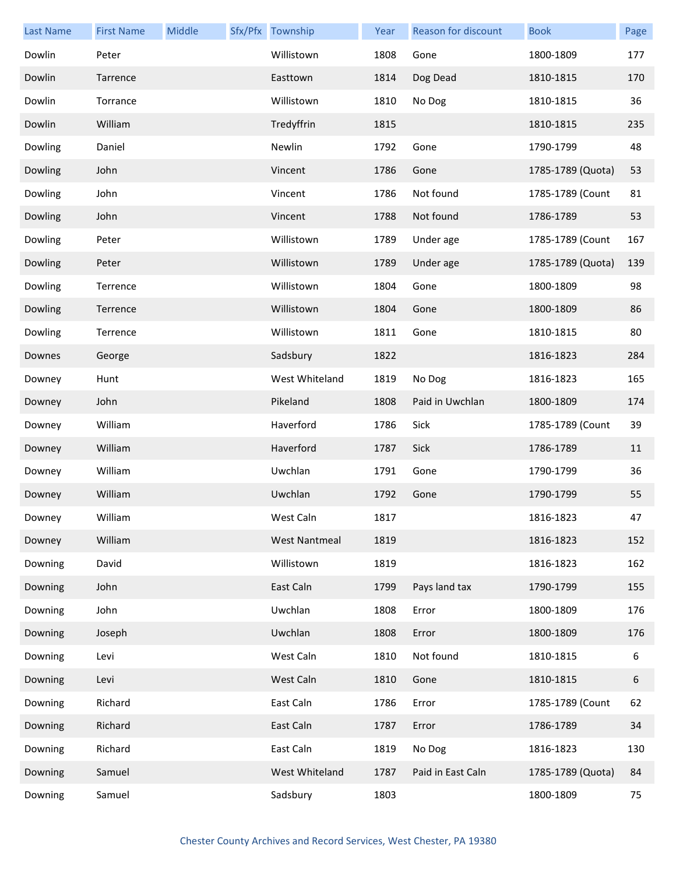| <b>Last Name</b> | <b>First Name</b> | Middle | Sfx/Pfx Township     | Year | Reason for discount | <b>Book</b>       | Page |
|------------------|-------------------|--------|----------------------|------|---------------------|-------------------|------|
| Dowlin           | Peter             |        | Willistown           | 1808 | Gone                | 1800-1809         | 177  |
| Dowlin           | Tarrence          |        | Easttown             | 1814 | Dog Dead            | 1810-1815         | 170  |
| Dowlin           | Torrance          |        | Willistown           | 1810 | No Dog              | 1810-1815         | 36   |
| Dowlin           | William           |        | Tredyffrin           | 1815 |                     | 1810-1815         | 235  |
| Dowling          | Daniel            |        | Newlin               | 1792 | Gone                | 1790-1799         | 48   |
| Dowling          | John              |        | Vincent              | 1786 | Gone                | 1785-1789 (Quota) | 53   |
| Dowling          | John              |        | Vincent              | 1786 | Not found           | 1785-1789 (Count  | 81   |
| Dowling          | John              |        | Vincent              | 1788 | Not found           | 1786-1789         | 53   |
| Dowling          | Peter             |        | Willistown           | 1789 | Under age           | 1785-1789 (Count  | 167  |
| Dowling          | Peter             |        | Willistown           | 1789 | Under age           | 1785-1789 (Quota) | 139  |
| Dowling          | Terrence          |        | Willistown           | 1804 | Gone                | 1800-1809         | 98   |
| Dowling          | Terrence          |        | Willistown           | 1804 | Gone                | 1800-1809         | 86   |
| Dowling          | Terrence          |        | Willistown           | 1811 | Gone                | 1810-1815         | 80   |
| Downes           | George            |        | Sadsbury             | 1822 |                     | 1816-1823         | 284  |
| Downey           | Hunt              |        | West Whiteland       | 1819 | No Dog              | 1816-1823         | 165  |
| Downey           | John              |        | Pikeland             | 1808 | Paid in Uwchlan     | 1800-1809         | 174  |
| Downey           | William           |        | Haverford            | 1786 | Sick                | 1785-1789 (Count  | 39   |
| Downey           | William           |        | Haverford            | 1787 | Sick                | 1786-1789         | 11   |
| Downey           | William           |        | Uwchlan              | 1791 | Gone                | 1790-1799         | 36   |
| Downey           | William           |        | Uwchlan              | 1792 | Gone                | 1790-1799         | 55   |
| Downey           | William           |        | West Caln            | 1817 |                     | 1816-1823         | 47   |
| Downey           | William           |        | <b>West Nantmeal</b> | 1819 |                     | 1816-1823         | 152  |
| Downing          | David             |        | Willistown           | 1819 |                     | 1816-1823         | 162  |
| Downing          | John              |        | East Caln            | 1799 | Pays land tax       | 1790-1799         | 155  |
| Downing          | John              |        | Uwchlan              | 1808 | Error               | 1800-1809         | 176  |
| Downing          | Joseph            |        | Uwchlan              | 1808 | Error               | 1800-1809         | 176  |
| Downing          | Levi              |        | West Caln            | 1810 | Not found           | 1810-1815         | 6    |
| Downing          | Levi              |        | West Caln            | 1810 | Gone                | 1810-1815         | 6    |
| Downing          | Richard           |        | East Caln            | 1786 | Error               | 1785-1789 (Count  | 62   |
| Downing          | Richard           |        | East Caln            | 1787 | Error               | 1786-1789         | 34   |
| Downing          | Richard           |        | East Caln            | 1819 | No Dog              | 1816-1823         | 130  |
| Downing          | Samuel            |        | West Whiteland       | 1787 | Paid in East Caln   | 1785-1789 (Quota) | 84   |
| Downing          | Samuel            |        | Sadsbury             | 1803 |                     | 1800-1809         | 75   |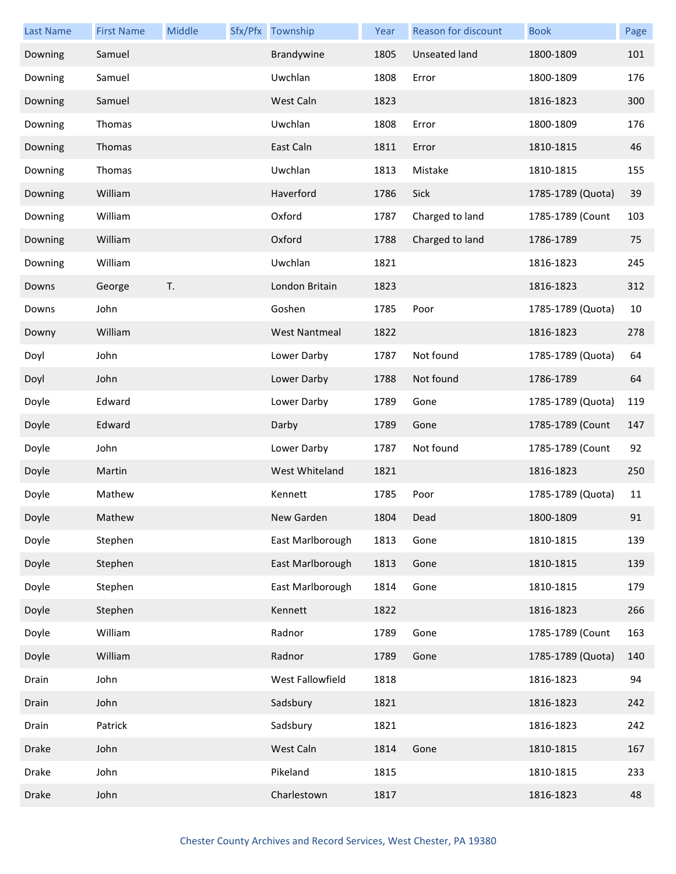| Last Name    | <b>First Name</b> | Middle | Sfx/Pfx Township     | Year | <b>Reason for discount</b> | <b>Book</b>       | Page |
|--------------|-------------------|--------|----------------------|------|----------------------------|-------------------|------|
| Downing      | Samuel            |        | Brandywine           | 1805 | <b>Unseated land</b>       | 1800-1809         | 101  |
| Downing      | Samuel            |        | Uwchlan              | 1808 | Error                      | 1800-1809         | 176  |
| Downing      | Samuel            |        | West Caln            | 1823 |                            | 1816-1823         | 300  |
| Downing      | Thomas            |        | Uwchlan              | 1808 | Error                      | 1800-1809         | 176  |
| Downing      | Thomas            |        | East Caln            | 1811 | Error                      | 1810-1815         | 46   |
| Downing      | Thomas            |        | Uwchlan              | 1813 | Mistake                    | 1810-1815         | 155  |
| Downing      | William           |        | Haverford            | 1786 | Sick                       | 1785-1789 (Quota) | 39   |
| Downing      | William           |        | Oxford               | 1787 | Charged to land            | 1785-1789 (Count  | 103  |
| Downing      | William           |        | Oxford               | 1788 | Charged to land            | 1786-1789         | 75   |
| Downing      | William           |        | Uwchlan              | 1821 |                            | 1816-1823         | 245  |
| Downs        | George            | T.     | London Britain       | 1823 |                            | 1816-1823         | 312  |
| Downs        | John              |        | Goshen               | 1785 | Poor                       | 1785-1789 (Quota) | 10   |
| Downy        | William           |        | <b>West Nantmeal</b> | 1822 |                            | 1816-1823         | 278  |
| Doyl         | John              |        | Lower Darby          | 1787 | Not found                  | 1785-1789 (Quota) | 64   |
| Doyl         | John              |        | Lower Darby          | 1788 | Not found                  | 1786-1789         | 64   |
| Doyle        | Edward            |        | Lower Darby          | 1789 | Gone                       | 1785-1789 (Quota) | 119  |
| Doyle        | Edward            |        | Darby                | 1789 | Gone                       | 1785-1789 (Count  | 147  |
| Doyle        | John              |        | Lower Darby          | 1787 | Not found                  | 1785-1789 (Count  | 92   |
| Doyle        | Martin            |        | West Whiteland       | 1821 |                            | 1816-1823         | 250  |
| Doyle        | Mathew            |        | Kennett              | 1785 | Poor                       | 1785-1789 (Quota) | 11   |
| Doyle        | Mathew            |        | New Garden           | 1804 | Dead                       | 1800-1809         | 91   |
| Doyle        | Stephen           |        | East Marlborough     | 1813 | Gone                       | 1810-1815         | 139  |
| Doyle        | Stephen           |        | East Marlborough     | 1813 | Gone                       | 1810-1815         | 139  |
| Doyle        | Stephen           |        | East Marlborough     | 1814 | Gone                       | 1810-1815         | 179  |
| Doyle        | Stephen           |        | Kennett              | 1822 |                            | 1816-1823         | 266  |
| Doyle        | William           |        | Radnor               | 1789 | Gone                       | 1785-1789 (Count  | 163  |
| Doyle        | William           |        | Radnor               | 1789 | Gone                       | 1785-1789 (Quota) | 140  |
| Drain        | John              |        | West Fallowfield     | 1818 |                            | 1816-1823         | 94   |
| Drain        | John              |        | Sadsbury             | 1821 |                            | 1816-1823         | 242  |
| Drain        | Patrick           |        | Sadsbury             | 1821 |                            | 1816-1823         | 242  |
| Drake        | John              |        | West Caln            | 1814 | Gone                       | 1810-1815         | 167  |
| Drake        | John              |        | Pikeland             | 1815 |                            | 1810-1815         | 233  |
| <b>Drake</b> | John              |        | Charlestown          | 1817 |                            | 1816-1823         | 48   |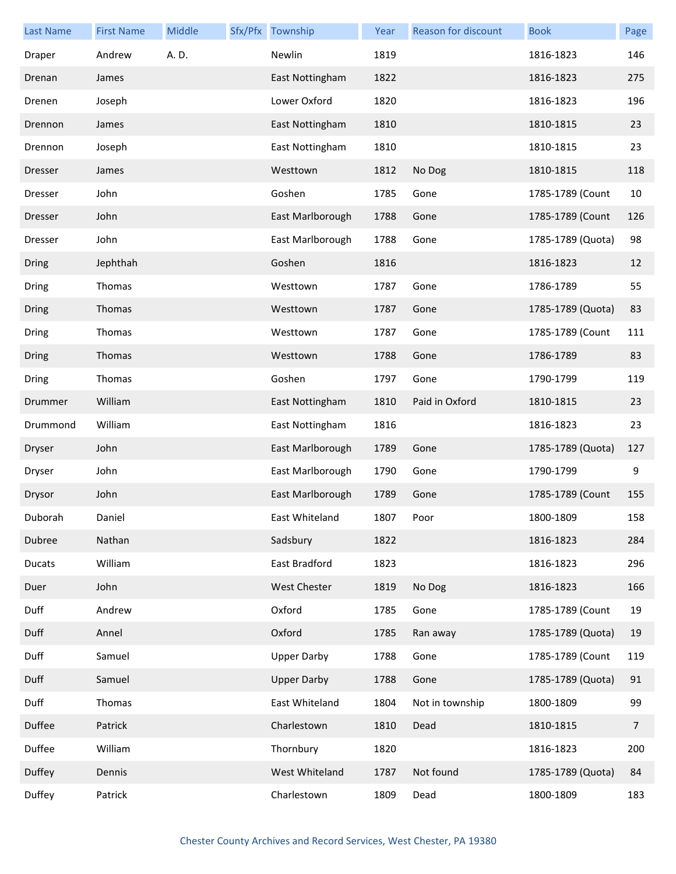| <b>Last Name</b> | <b>First Name</b> | Middle | Sfx/Pfx Township   | Year | <b>Reason for discount</b> | <b>Book</b>       | Page           |
|------------------|-------------------|--------|--------------------|------|----------------------------|-------------------|----------------|
| Draper           | Andrew            | A. D.  | Newlin             | 1819 |                            | 1816-1823         | 146            |
| Drenan           | James             |        | East Nottingham    | 1822 |                            | 1816-1823         | 275            |
| Drenen           | Joseph            |        | Lower Oxford       | 1820 |                            | 1816-1823         | 196            |
| Drennon          | James             |        | East Nottingham    | 1810 |                            | 1810-1815         | 23             |
| Drennon          | Joseph            |        | East Nottingham    | 1810 |                            | 1810-1815         | 23             |
| <b>Dresser</b>   | James             |        | Westtown           | 1812 | No Dog                     | 1810-1815         | 118            |
| Dresser          | John              |        | Goshen             | 1785 | Gone                       | 1785-1789 (Count  | 10             |
| <b>Dresser</b>   | John              |        | East Marlborough   | 1788 | Gone                       | 1785-1789 (Count  | 126            |
| <b>Dresser</b>   | John              |        | East Marlborough   | 1788 | Gone                       | 1785-1789 (Quota) | 98             |
| Dring            | Jephthah          |        | Goshen             | 1816 |                            | 1816-1823         | 12             |
| Dring            | Thomas            |        | Westtown           | 1787 | Gone                       | 1786-1789         | 55             |
| Dring            | Thomas            |        | Westtown           | 1787 | Gone                       | 1785-1789 (Quota) | 83             |
| Dring            | Thomas            |        | Westtown           | 1787 | Gone                       | 1785-1789 (Count  | 111            |
| Dring            | Thomas            |        | Westtown           | 1788 | Gone                       | 1786-1789         | 83             |
| Dring            | Thomas            |        | Goshen             | 1797 | Gone                       | 1790-1799         | 119            |
| Drummer          | William           |        | East Nottingham    | 1810 | Paid in Oxford             | 1810-1815         | 23             |
| Drummond         | William           |        | East Nottingham    | 1816 |                            | 1816-1823         | 23             |
| Dryser           | John              |        | East Marlborough   | 1789 | Gone                       | 1785-1789 (Quota) | 127            |
| Dryser           | John              |        | East Marlborough   | 1790 | Gone                       | 1790-1799         | 9              |
| Drysor           | John              |        | East Marlborough   | 1789 | Gone                       | 1785-1789 (Count  | 155            |
| Duborah          | Daniel            |        | East Whiteland     | 1807 | Poor                       | 1800-1809         | 158            |
| Dubree           | Nathan            |        | Sadsbury           | 1822 |                            | 1816-1823         | 284            |
| <b>Ducats</b>    | William           |        | East Bradford      | 1823 |                            | 1816-1823         | 296            |
| Duer             | John              |        | West Chester       | 1819 | No Dog                     | 1816-1823         | 166            |
| Duff             | Andrew            |        | Oxford             | 1785 | Gone                       | 1785-1789 (Count  | 19             |
| Duff             | Annel             |        | Oxford             | 1785 | Ran away                   | 1785-1789 (Quota) | 19             |
| Duff             | Samuel            |        | <b>Upper Darby</b> | 1788 | Gone                       | 1785-1789 (Count  | 119            |
| Duff             | Samuel            |        | <b>Upper Darby</b> | 1788 | Gone                       | 1785-1789 (Quota) | 91             |
| Duff             | Thomas            |        | East Whiteland     | 1804 | Not in township            | 1800-1809         | 99             |
| Duffee           | Patrick           |        | Charlestown        | 1810 | Dead                       | 1810-1815         | $\overline{7}$ |
| Duffee           | William           |        | Thornbury          | 1820 |                            | 1816-1823         | 200            |
| Duffey           | Dennis            |        | West Whiteland     | 1787 | Not found                  | 1785-1789 (Quota) | 84             |
| Duffey           | Patrick           |        | Charlestown        | 1809 | Dead                       | 1800-1809         | 183            |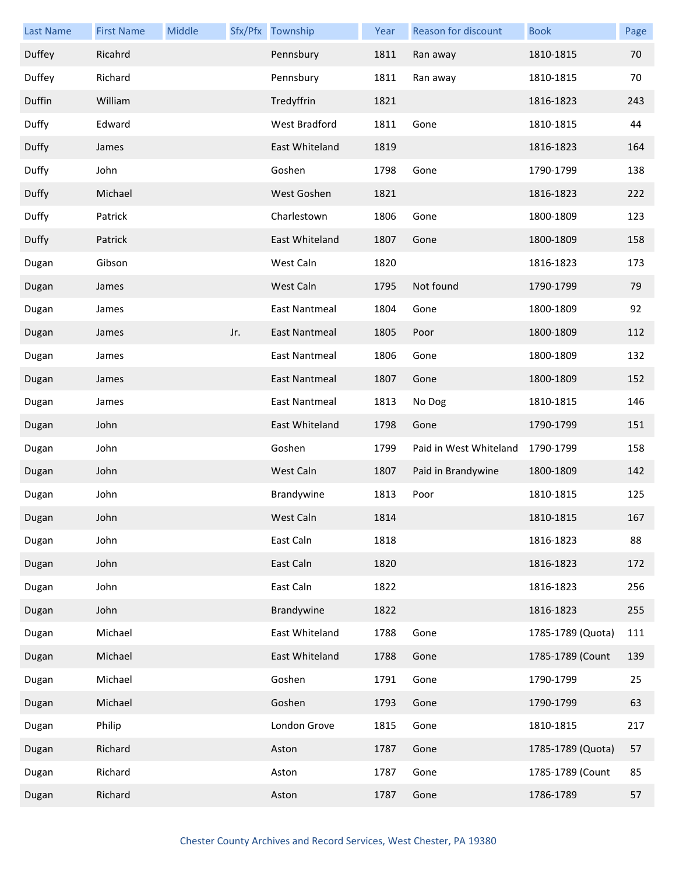| <b>Last Name</b> | <b>First Name</b> | Middle |     | Sfx/Pfx Township     | Year | Reason for discount    | <b>Book</b>       | Page |
|------------------|-------------------|--------|-----|----------------------|------|------------------------|-------------------|------|
| Duffey           | Ricahrd           |        |     | Pennsbury            | 1811 | Ran away               | 1810-1815         | 70   |
| Duffey           | Richard           |        |     | Pennsbury            | 1811 | Ran away               | 1810-1815         | 70   |
| Duffin           | William           |        |     | Tredyffrin           | 1821 |                        | 1816-1823         | 243  |
| Duffy            | Edward            |        |     | West Bradford        | 1811 | Gone                   | 1810-1815         | 44   |
| Duffy            | James             |        |     | East Whiteland       | 1819 |                        | 1816-1823         | 164  |
| Duffy            | John              |        |     | Goshen               | 1798 | Gone                   | 1790-1799         | 138  |
| Duffy            | Michael           |        |     | West Goshen          | 1821 |                        | 1816-1823         | 222  |
| Duffy            | Patrick           |        |     | Charlestown          | 1806 | Gone                   | 1800-1809         | 123  |
| Duffy            | Patrick           |        |     | East Whiteland       | 1807 | Gone                   | 1800-1809         | 158  |
| Dugan            | Gibson            |        |     | West Caln            | 1820 |                        | 1816-1823         | 173  |
| Dugan            | James             |        |     | West Caln            | 1795 | Not found              | 1790-1799         | 79   |
| Dugan            | James             |        |     | <b>East Nantmeal</b> | 1804 | Gone                   | 1800-1809         | 92   |
| Dugan            | James             |        | Jr. | East Nantmeal        | 1805 | Poor                   | 1800-1809         | 112  |
| Dugan            | James             |        |     | East Nantmeal        | 1806 | Gone                   | 1800-1809         | 132  |
| Dugan            | James             |        |     | <b>East Nantmeal</b> | 1807 | Gone                   | 1800-1809         | 152  |
| Dugan            | James             |        |     | <b>East Nantmeal</b> | 1813 | No Dog                 | 1810-1815         | 146  |
| Dugan            | John              |        |     | East Whiteland       | 1798 | Gone                   | 1790-1799         | 151  |
| Dugan            | John              |        |     | Goshen               | 1799 | Paid in West Whiteland | 1790-1799         | 158  |
| Dugan            | John              |        |     | West Caln            | 1807 | Paid in Brandywine     | 1800-1809         | 142  |
| Dugan            | John              |        |     | Brandywine           | 1813 | Poor                   | 1810-1815         | 125  |
| Dugan            | John              |        |     | West Caln            | 1814 |                        | 1810-1815         | 167  |
| Dugan            | John              |        |     | East Caln            | 1818 |                        | 1816-1823         | 88   |
| Dugan            | John              |        |     | East Caln            | 1820 |                        | 1816-1823         | 172  |
| Dugan            | John              |        |     | East Caln            | 1822 |                        | 1816-1823         | 256  |
| Dugan            | John              |        |     | Brandywine           | 1822 |                        | 1816-1823         | 255  |
| Dugan            | Michael           |        |     | East Whiteland       | 1788 | Gone                   | 1785-1789 (Quota) | 111  |
| Dugan            | Michael           |        |     | East Whiteland       | 1788 | Gone                   | 1785-1789 (Count  | 139  |
| Dugan            | Michael           |        |     | Goshen               | 1791 | Gone                   | 1790-1799         | 25   |
| Dugan            | Michael           |        |     | Goshen               | 1793 | Gone                   | 1790-1799         | 63   |
| Dugan            | Philip            |        |     | London Grove         | 1815 | Gone                   | 1810-1815         | 217  |
| Dugan            | Richard           |        |     | Aston                | 1787 | Gone                   | 1785-1789 (Quota) | 57   |
| Dugan            | Richard           |        |     | Aston                | 1787 | Gone                   | 1785-1789 (Count  | 85   |
| Dugan            | Richard           |        |     | Aston                | 1787 | Gone                   | 1786-1789         | 57   |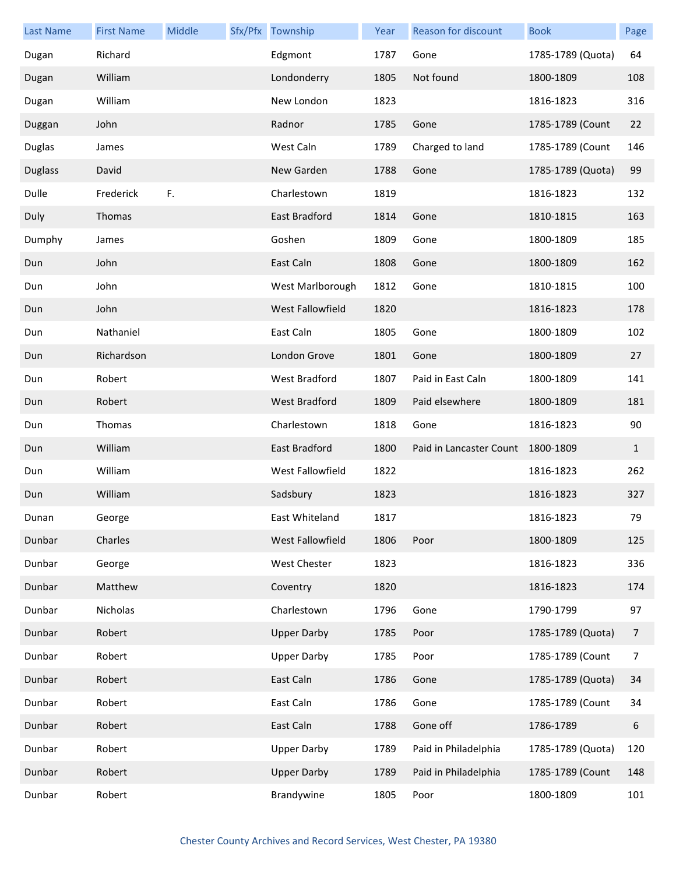| <b>Last Name</b> | <b>First Name</b> | Middle | Sfx/Pfx Township     | Year | Reason for discount     | <b>Book</b>       | Page           |
|------------------|-------------------|--------|----------------------|------|-------------------------|-------------------|----------------|
| Dugan            | Richard           |        | Edgmont              | 1787 | Gone                    | 1785-1789 (Quota) | 64             |
| Dugan            | William           |        | Londonderry          | 1805 | Not found               | 1800-1809         | 108            |
| Dugan            | William           |        | New London           | 1823 |                         | 1816-1823         | 316            |
| Duggan           | John              |        | Radnor               | 1785 | Gone                    | 1785-1789 (Count  | 22             |
| <b>Duglas</b>    | James             |        | West Caln            | 1789 | Charged to land         | 1785-1789 (Count  | 146            |
| <b>Duglass</b>   | David             |        | New Garden           | 1788 | Gone                    | 1785-1789 (Quota) | 99             |
| Dulle            | Frederick         | F.     | Charlestown          | 1819 |                         | 1816-1823         | 132            |
| Duly             | Thomas            |        | East Bradford        | 1814 | Gone                    | 1810-1815         | 163            |
| Dumphy           | James             |        | Goshen               | 1809 | Gone                    | 1800-1809         | 185            |
| Dun              | John              |        | East Caln            | 1808 | Gone                    | 1800-1809         | 162            |
| Dun              | John              |        | West Marlborough     | 1812 | Gone                    | 1810-1815         | 100            |
| Dun              | John              |        | West Fallowfield     | 1820 |                         | 1816-1823         | 178            |
| Dun              | Nathaniel         |        | East Caln            | 1805 | Gone                    | 1800-1809         | 102            |
| Dun              | Richardson        |        | London Grove         | 1801 | Gone                    | 1800-1809         | 27             |
| Dun              | Robert            |        | West Bradford        | 1807 | Paid in East Caln       | 1800-1809         | 141            |
| Dun              | Robert            |        | <b>West Bradford</b> | 1809 | Paid elsewhere          | 1800-1809         | 181            |
| Dun              | Thomas            |        | Charlestown          | 1818 | Gone                    | 1816-1823         | 90             |
| Dun              | William           |        | East Bradford        | 1800 | Paid in Lancaster Count | 1800-1809         | $\mathbf{1}$   |
| Dun              | William           |        | West Fallowfield     | 1822 |                         | 1816-1823         | 262            |
| Dun              | William           |        | Sadsbury             | 1823 |                         | 1816-1823         | 327            |
| Dunan            | George            |        | East Whiteland       | 1817 |                         | 1816-1823         | 79             |
| Dunbar           | Charles           |        | West Fallowfield     | 1806 | Poor                    | 1800-1809         | 125            |
| Dunbar           | George            |        | West Chester         | 1823 |                         | 1816-1823         | 336            |
| Dunbar           | Matthew           |        | Coventry             | 1820 |                         | 1816-1823         | 174            |
| Dunbar           | Nicholas          |        | Charlestown          | 1796 | Gone                    | 1790-1799         | 97             |
| Dunbar           | Robert            |        | <b>Upper Darby</b>   | 1785 | Poor                    | 1785-1789 (Quota) | 7              |
| Dunbar           | Robert            |        | <b>Upper Darby</b>   | 1785 | Poor                    | 1785-1789 (Count  | $\overline{7}$ |
| Dunbar           | Robert            |        | East Caln            | 1786 | Gone                    | 1785-1789 (Quota) | 34             |
| Dunbar           | Robert            |        | East Caln            | 1786 | Gone                    | 1785-1789 (Count  | 34             |
| Dunbar           | Robert            |        | East Caln            | 1788 | Gone off                | 1786-1789         | 6              |
| Dunbar           | Robert            |        | <b>Upper Darby</b>   | 1789 | Paid in Philadelphia    | 1785-1789 (Quota) | 120            |
| Dunbar           | Robert            |        | <b>Upper Darby</b>   | 1789 | Paid in Philadelphia    | 1785-1789 (Count  | 148            |
| Dunbar           | Robert            |        | Brandywine           | 1805 | Poor                    | 1800-1809         | 101            |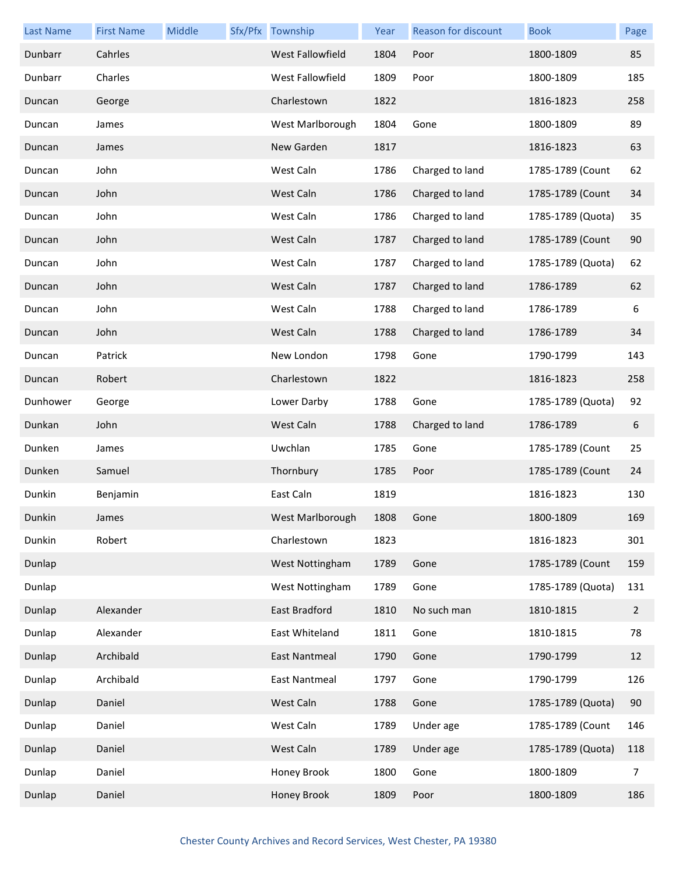| <b>Last Name</b> | <b>First Name</b> | Middle | Sfx/Pfx Township        | Year | <b>Reason for discount</b> | <b>Book</b>       | Page         |
|------------------|-------------------|--------|-------------------------|------|----------------------------|-------------------|--------------|
| Dunbarr          | Cahrles           |        | <b>West Fallowfield</b> | 1804 | Poor                       | 1800-1809         | 85           |
| Dunbarr          | Charles           |        | West Fallowfield        | 1809 | Poor                       | 1800-1809         | 185          |
| Duncan           | George            |        | Charlestown             | 1822 |                            | 1816-1823         | 258          |
| Duncan           | James             |        | West Marlborough        | 1804 | Gone                       | 1800-1809         | 89           |
| Duncan           | James             |        | New Garden              | 1817 |                            | 1816-1823         | 63           |
| Duncan           | John              |        | West Caln               | 1786 | Charged to land            | 1785-1789 (Count  | 62           |
| Duncan           | John              |        | West Caln               | 1786 | Charged to land            | 1785-1789 (Count  | 34           |
| Duncan           | John              |        | West Caln               | 1786 | Charged to land            | 1785-1789 (Quota) | 35           |
| Duncan           | John              |        | West Caln               | 1787 | Charged to land            | 1785-1789 (Count  | 90           |
| Duncan           | John              |        | West Caln               | 1787 | Charged to land            | 1785-1789 (Quota) | 62           |
| Duncan           | John              |        | West Caln               | 1787 | Charged to land            | 1786-1789         | 62           |
| Duncan           | John              |        | West Caln               | 1788 | Charged to land            | 1786-1789         | 6            |
| Duncan           | John              |        | West Caln               | 1788 | Charged to land            | 1786-1789         | 34           |
| Duncan           | Patrick           |        | New London              | 1798 | Gone                       | 1790-1799         | 143          |
| Duncan           | Robert            |        | Charlestown             | 1822 |                            | 1816-1823         | 258          |
| Dunhower         | George            |        | Lower Darby             | 1788 | Gone                       | 1785-1789 (Quota) | 92           |
| Dunkan           | John              |        | West Caln               | 1788 | Charged to land            | 1786-1789         | 6            |
| Dunken           | James             |        | Uwchlan                 | 1785 | Gone                       | 1785-1789 (Count  | 25           |
| Dunken           | Samuel            |        | Thornbury               | 1785 | Poor                       | 1785-1789 (Count  | 24           |
| Dunkin           | Benjamin          |        | East Caln               | 1819 |                            | 1816-1823         | 130          |
| Dunkin           | James             |        | West Marlborough        | 1808 | Gone                       | 1800-1809         | 169          |
| Dunkin           | Robert            |        | Charlestown             | 1823 |                            | 1816-1823         | 301          |
| Dunlap           |                   |        | West Nottingham         | 1789 | Gone                       | 1785-1789 (Count  | 159          |
| Dunlap           |                   |        | West Nottingham         | 1789 | Gone                       | 1785-1789 (Quota) | 131          |
| Dunlap           | Alexander         |        | East Bradford           | 1810 | No such man                | 1810-1815         | $\mathbf{2}$ |
| Dunlap           | Alexander         |        | East Whiteland          | 1811 | Gone                       | 1810-1815         | 78           |
| Dunlap           | Archibald         |        | East Nantmeal           | 1790 | Gone                       | 1790-1799         | 12           |
| Dunlap           | Archibald         |        | East Nantmeal           | 1797 | Gone                       | 1790-1799         | 126          |
| Dunlap           | Daniel            |        | West Caln               | 1788 | Gone                       | 1785-1789 (Quota) | 90           |
| Dunlap           | Daniel            |        | West Caln               | 1789 | Under age                  | 1785-1789 (Count  | 146          |
| Dunlap           | Daniel            |        | West Caln               | 1789 | Under age                  | 1785-1789 (Quota) | 118          |
| Dunlap           | Daniel            |        | Honey Brook             | 1800 | Gone                       | 1800-1809         | 7            |
| Dunlap           | Daniel            |        | Honey Brook             | 1809 | Poor                       | 1800-1809         | 186          |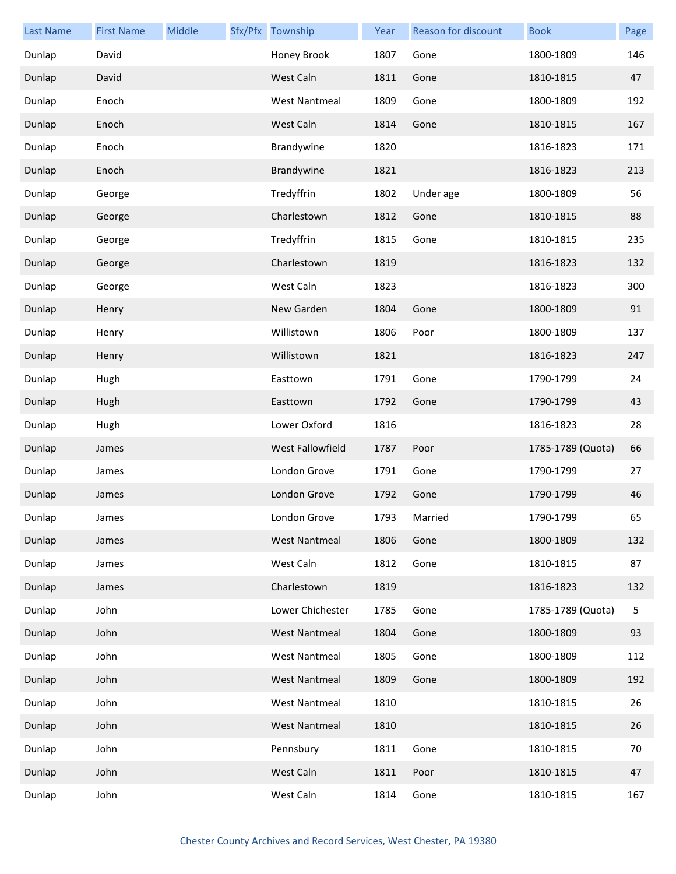| <b>Last Name</b> | <b>First Name</b> | Middle | Sfx/Pfx Township     | Year | Reason for discount | <b>Book</b>       | Page |
|------------------|-------------------|--------|----------------------|------|---------------------|-------------------|------|
| Dunlap           | David             |        | Honey Brook          | 1807 | Gone                | 1800-1809         | 146  |
| Dunlap           | David             |        | West Caln            | 1811 | Gone                | 1810-1815         | 47   |
| Dunlap           | Enoch             |        | <b>West Nantmeal</b> | 1809 | Gone                | 1800-1809         | 192  |
| Dunlap           | Enoch             |        | West Caln            | 1814 | Gone                | 1810-1815         | 167  |
| Dunlap           | Enoch             |        | Brandywine           | 1820 |                     | 1816-1823         | 171  |
| Dunlap           | Enoch             |        | Brandywine           | 1821 |                     | 1816-1823         | 213  |
| Dunlap           | George            |        | Tredyffrin           | 1802 | Under age           | 1800-1809         | 56   |
| Dunlap           | George            |        | Charlestown          | 1812 | Gone                | 1810-1815         | 88   |
| Dunlap           | George            |        | Tredyffrin           | 1815 | Gone                | 1810-1815         | 235  |
| Dunlap           | George            |        | Charlestown          | 1819 |                     | 1816-1823         | 132  |
| Dunlap           | George            |        | West Caln            | 1823 |                     | 1816-1823         | 300  |
| Dunlap           | Henry             |        | New Garden           | 1804 | Gone                | 1800-1809         | 91   |
| Dunlap           | Henry             |        | Willistown           | 1806 | Poor                | 1800-1809         | 137  |
| Dunlap           | Henry             |        | Willistown           | 1821 |                     | 1816-1823         | 247  |
| Dunlap           | Hugh              |        | Easttown             | 1791 | Gone                | 1790-1799         | 24   |
| Dunlap           | Hugh              |        | Easttown             | 1792 | Gone                | 1790-1799         | 43   |
| Dunlap           | Hugh              |        | Lower Oxford         | 1816 |                     | 1816-1823         | 28   |
| Dunlap           | James             |        | West Fallowfield     | 1787 | Poor                | 1785-1789 (Quota) | 66   |
| Dunlap           | James             |        | London Grove         | 1791 | Gone                | 1790-1799         | 27   |
| Dunlap           | James             |        | London Grove         | 1792 | Gone                | 1790-1799         | 46   |
| Dunlap           | James             |        | London Grove         | 1793 | Married             | 1790-1799         | 65   |
| Dunlap           | James             |        | <b>West Nantmeal</b> | 1806 | Gone                | 1800-1809         | 132  |
| Dunlap           | James             |        | West Caln            | 1812 | Gone                | 1810-1815         | 87   |
| Dunlap           | James             |        | Charlestown          | 1819 |                     | 1816-1823         | 132  |
| Dunlap           | John              |        | Lower Chichester     | 1785 | Gone                | 1785-1789 (Quota) | 5    |
| Dunlap           | John              |        | <b>West Nantmeal</b> | 1804 | Gone                | 1800-1809         | 93   |
| Dunlap           | John              |        | <b>West Nantmeal</b> | 1805 | Gone                | 1800-1809         | 112  |
| Dunlap           | John              |        | <b>West Nantmeal</b> | 1809 | Gone                | 1800-1809         | 192  |
| Dunlap           | John              |        | <b>West Nantmeal</b> | 1810 |                     | 1810-1815         | 26   |
| Dunlap           | John              |        | <b>West Nantmeal</b> | 1810 |                     | 1810-1815         | 26   |
| Dunlap           | John              |        | Pennsbury            | 1811 | Gone                | 1810-1815         | 70   |
| Dunlap           | John              |        | West Caln            | 1811 | Poor                | 1810-1815         | 47   |
| Dunlap           | John              |        | West Caln            | 1814 | Gone                | 1810-1815         | 167  |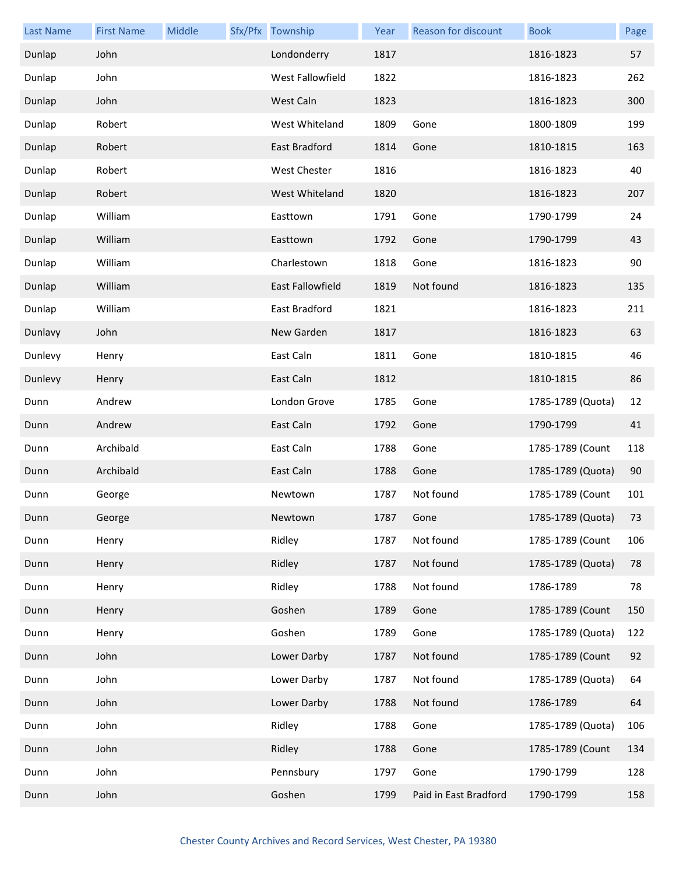| <b>Last Name</b> | <b>First Name</b> | Middle | Sfx/Pfx Township        | Year | <b>Reason for discount</b> | <b>Book</b>       | Page |
|------------------|-------------------|--------|-------------------------|------|----------------------------|-------------------|------|
| Dunlap           | John              |        | Londonderry             | 1817 |                            | 1816-1823         | 57   |
| Dunlap           | John              |        | West Fallowfield        | 1822 |                            | 1816-1823         | 262  |
| Dunlap           | John              |        | West Caln               | 1823 |                            | 1816-1823         | 300  |
| Dunlap           | Robert            |        | West Whiteland          | 1809 | Gone                       | 1800-1809         | 199  |
| Dunlap           | Robert            |        | East Bradford           | 1814 | Gone                       | 1810-1815         | 163  |
| Dunlap           | Robert            |        | West Chester            | 1816 |                            | 1816-1823         | 40   |
| Dunlap           | Robert            |        | West Whiteland          | 1820 |                            | 1816-1823         | 207  |
| Dunlap           | William           |        | Easttown                | 1791 | Gone                       | 1790-1799         | 24   |
| Dunlap           | William           |        | Easttown                | 1792 | Gone                       | 1790-1799         | 43   |
| Dunlap           | William           |        | Charlestown             | 1818 | Gone                       | 1816-1823         | 90   |
| Dunlap           | William           |        | <b>East Fallowfield</b> | 1819 | Not found                  | 1816-1823         | 135  |
| Dunlap           | William           |        | East Bradford           | 1821 |                            | 1816-1823         | 211  |
| Dunlavy          | John              |        | New Garden              | 1817 |                            | 1816-1823         | 63   |
| Dunlevy          | Henry             |        | East Caln               | 1811 | Gone                       | 1810-1815         | 46   |
| Dunlevy          | Henry             |        | East Caln               | 1812 |                            | 1810-1815         | 86   |
| Dunn             | Andrew            |        | London Grove            | 1785 | Gone                       | 1785-1789 (Quota) | 12   |
| Dunn             | Andrew            |        | East Caln               | 1792 | Gone                       | 1790-1799         | 41   |
| Dunn             | Archibald         |        | East Caln               | 1788 | Gone                       | 1785-1789 (Count  | 118  |
| Dunn             | Archibald         |        | East Caln               | 1788 | Gone                       | 1785-1789 (Quota) | 90   |
| Dunn             | George            |        | Newtown                 | 1787 | Not found                  | 1785-1789 (Count  | 101  |
| Dunn             | George            |        | Newtown                 | 1787 | Gone                       | 1785-1789 (Quota) | 73   |
| Dunn             | Henry             |        | Ridley                  | 1787 | Not found                  | 1785-1789 (Count  | 106  |
| Dunn             | Henry             |        | Ridley                  | 1787 | Not found                  | 1785-1789 (Quota) | 78   |
| Dunn             | Henry             |        | Ridley                  | 1788 | Not found                  | 1786-1789         | 78   |
| Dunn             | Henry             |        | Goshen                  | 1789 | Gone                       | 1785-1789 (Count  | 150  |
| Dunn             | Henry             |        | Goshen                  | 1789 | Gone                       | 1785-1789 (Quota) | 122  |
| Dunn             | John              |        | Lower Darby             | 1787 | Not found                  | 1785-1789 (Count  | 92   |
| Dunn             | John              |        | Lower Darby             | 1787 | Not found                  | 1785-1789 (Quota) | 64   |
| Dunn             | John              |        | Lower Darby             | 1788 | Not found                  | 1786-1789         | 64   |
| Dunn             | John              |        | Ridley                  | 1788 | Gone                       | 1785-1789 (Quota) | 106  |
| Dunn             | John              |        | Ridley                  | 1788 | Gone                       | 1785-1789 (Count  | 134  |
| Dunn             | John              |        | Pennsbury               | 1797 | Gone                       | 1790-1799         | 128  |
| Dunn             | John              |        | Goshen                  | 1799 | Paid in East Bradford      | 1790-1799         | 158  |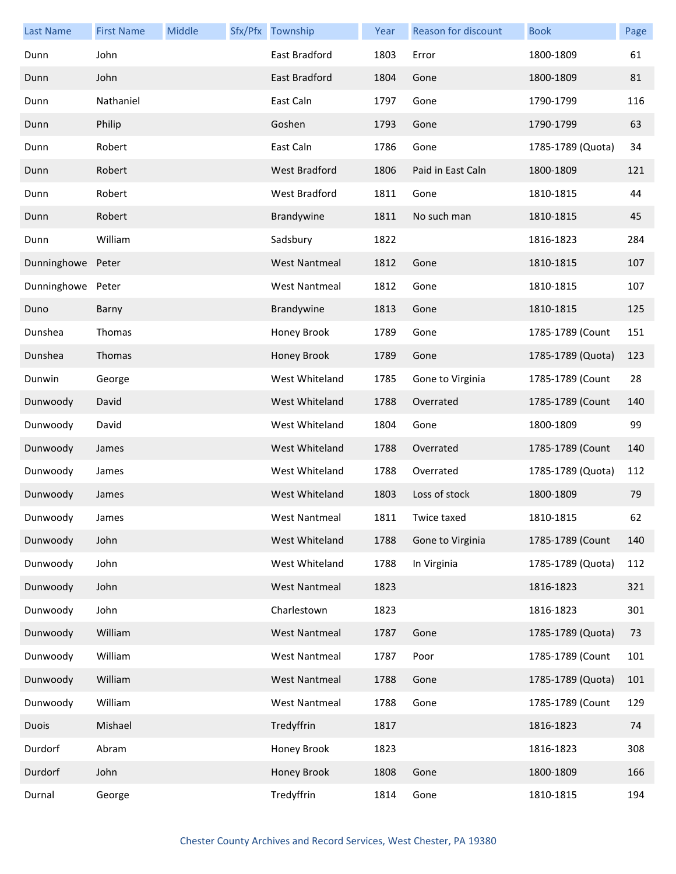| <b>Last Name</b> | <b>First Name</b> | Middle | Sfx/Pfx Township     | Year | Reason for discount | <b>Book</b>       | Page |
|------------------|-------------------|--------|----------------------|------|---------------------|-------------------|------|
| Dunn             | John              |        | East Bradford        | 1803 | Error               | 1800-1809         | 61   |
| Dunn             | John              |        | East Bradford        | 1804 | Gone                | 1800-1809         | 81   |
| Dunn             | Nathaniel         |        | East Caln            | 1797 | Gone                | 1790-1799         | 116  |
| Dunn             | Philip            |        | Goshen               | 1793 | Gone                | 1790-1799         | 63   |
| Dunn             | Robert            |        | East Caln            | 1786 | Gone                | 1785-1789 (Quota) | 34   |
| Dunn             | Robert            |        | <b>West Bradford</b> | 1806 | Paid in East Caln   | 1800-1809         | 121  |
| Dunn             | Robert            |        | West Bradford        | 1811 | Gone                | 1810-1815         | 44   |
| Dunn             | Robert            |        | Brandywine           | 1811 | No such man         | 1810-1815         | 45   |
| Dunn             | William           |        | Sadsbury             | 1822 |                     | 1816-1823         | 284  |
| Dunninghowe      | Peter             |        | <b>West Nantmeal</b> | 1812 | Gone                | 1810-1815         | 107  |
| Dunninghowe      | Peter             |        | <b>West Nantmeal</b> | 1812 | Gone                | 1810-1815         | 107  |
| Duno             | Barny             |        | Brandywine           | 1813 | Gone                | 1810-1815         | 125  |
| Dunshea          | Thomas            |        | Honey Brook          | 1789 | Gone                | 1785-1789 (Count  | 151  |
| Dunshea          | Thomas            |        | Honey Brook          | 1789 | Gone                | 1785-1789 (Quota) | 123  |
| Dunwin           | George            |        | West Whiteland       | 1785 | Gone to Virginia    | 1785-1789 (Count  | 28   |
| Dunwoody         | David             |        | West Whiteland       | 1788 | Overrated           | 1785-1789 (Count  | 140  |
| Dunwoody         | David             |        | West Whiteland       | 1804 | Gone                | 1800-1809         | 99   |
| Dunwoody         | James             |        | West Whiteland       | 1788 | Overrated           | 1785-1789 (Count  | 140  |
| Dunwoody         | James             |        | West Whiteland       | 1788 | Overrated           | 1785-1789 (Quota) | 112  |
| Dunwoody         | James             |        | West Whiteland       | 1803 | Loss of stock       | 1800-1809         | 79   |
| Dunwoody         | James             |        | West Nantmeal        | 1811 | Twice taxed         | 1810-1815         | 62   |
| Dunwoody         | John              |        | West Whiteland       | 1788 | Gone to Virginia    | 1785-1789 (Count  | 140  |
| Dunwoody         | John              |        | West Whiteland       | 1788 | In Virginia         | 1785-1789 (Quota) | 112  |
| Dunwoody         | John              |        | <b>West Nantmeal</b> | 1823 |                     | 1816-1823         | 321  |
| Dunwoody         | John              |        | Charlestown          | 1823 |                     | 1816-1823         | 301  |
| Dunwoody         | William           |        | <b>West Nantmeal</b> | 1787 | Gone                | 1785-1789 (Quota) | 73   |
| Dunwoody         | William           |        | <b>West Nantmeal</b> | 1787 | Poor                | 1785-1789 (Count  | 101  |
| Dunwoody         | William           |        | <b>West Nantmeal</b> | 1788 | Gone                | 1785-1789 (Quota) | 101  |
| Dunwoody         | William           |        | <b>West Nantmeal</b> | 1788 | Gone                | 1785-1789 (Count  | 129  |
| <b>Duois</b>     | Mishael           |        | Tredyffrin           | 1817 |                     | 1816-1823         | 74   |
| Durdorf          | Abram             |        | Honey Brook          | 1823 |                     | 1816-1823         | 308  |
| Durdorf          | John              |        | Honey Brook          | 1808 | Gone                | 1800-1809         | 166  |
| Durnal           | George            |        | Tredyffrin           | 1814 | Gone                | 1810-1815         | 194  |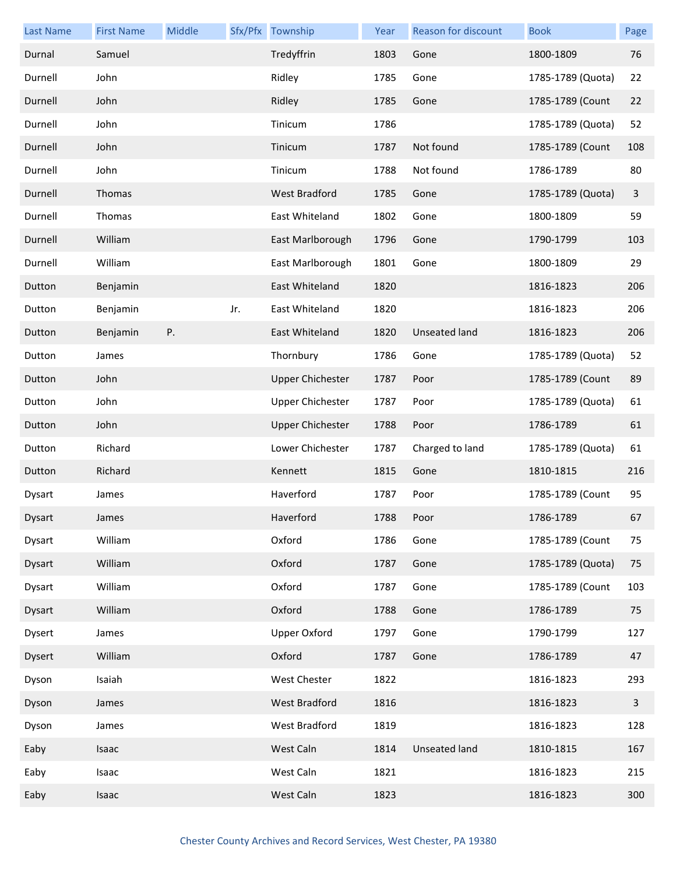| <b>Last Name</b> | <b>First Name</b> | Middle |     | Sfx/Pfx Township        | Year | <b>Reason for discount</b> | <b>Book</b>       | Page                    |
|------------------|-------------------|--------|-----|-------------------------|------|----------------------------|-------------------|-------------------------|
| Durnal           | Samuel            |        |     | Tredyffrin              | 1803 | Gone                       | 1800-1809         | 76                      |
| Durnell          | John              |        |     | Ridley                  | 1785 | Gone                       | 1785-1789 (Quota) | 22                      |
| Durnell          | John              |        |     | Ridley                  | 1785 | Gone                       | 1785-1789 (Count  | 22                      |
| Durnell          | John              |        |     | Tinicum                 | 1786 |                            | 1785-1789 (Quota) | 52                      |
| Durnell          | John              |        |     | Tinicum                 | 1787 | Not found                  | 1785-1789 (Count  | 108                     |
| Durnell          | John              |        |     | Tinicum                 | 1788 | Not found                  | 1786-1789         | 80                      |
| Durnell          | Thomas            |        |     | West Bradford           | 1785 | Gone                       | 1785-1789 (Quota) | 3                       |
| Durnell          | Thomas            |        |     | East Whiteland          | 1802 | Gone                       | 1800-1809         | 59                      |
| Durnell          | William           |        |     | East Marlborough        | 1796 | Gone                       | 1790-1799         | 103                     |
| Durnell          | William           |        |     | East Marlborough        | 1801 | Gone                       | 1800-1809         | 29                      |
| Dutton           | Benjamin          |        |     | East Whiteland          | 1820 |                            | 1816-1823         | 206                     |
| Dutton           | Benjamin          |        | Jr. | East Whiteland          | 1820 |                            | 1816-1823         | 206                     |
| Dutton           | Benjamin          | Ρ.     |     | East Whiteland          | 1820 | <b>Unseated land</b>       | 1816-1823         | 206                     |
| Dutton           | James             |        |     | Thornbury               | 1786 | Gone                       | 1785-1789 (Quota) | 52                      |
| Dutton           | John              |        |     | <b>Upper Chichester</b> | 1787 | Poor                       | 1785-1789 (Count  | 89                      |
| Dutton           | John              |        |     | <b>Upper Chichester</b> | 1787 | Poor                       | 1785-1789 (Quota) | 61                      |
| Dutton           | John              |        |     | <b>Upper Chichester</b> | 1788 | Poor                       | 1786-1789         | 61                      |
| Dutton           | Richard           |        |     | Lower Chichester        | 1787 | Charged to land            | 1785-1789 (Quota) | 61                      |
| Dutton           | Richard           |        |     | Kennett                 | 1815 | Gone                       | 1810-1815         | 216                     |
| Dysart           | James             |        |     | Haverford               | 1787 | Poor                       | 1785-1789 (Count  | 95                      |
| Dysart           | James             |        |     | Haverford               | 1788 | Poor                       | 1786-1789         | 67                      |
| Dysart           | William           |        |     | Oxford                  | 1786 | Gone                       | 1785-1789 (Count  | 75                      |
| Dysart           | William           |        |     | Oxford                  | 1787 | Gone                       | 1785-1789 (Quota) | 75                      |
| Dysart           | William           |        |     | Oxford                  | 1787 | Gone                       | 1785-1789 (Count  | 103                     |
| Dysart           | William           |        |     | Oxford                  | 1788 | Gone                       | 1786-1789         | 75                      |
| Dysert           | James             |        |     | <b>Upper Oxford</b>     | 1797 | Gone                       | 1790-1799         | 127                     |
| Dysert           | William           |        |     | Oxford                  | 1787 | Gone                       | 1786-1789         | 47                      |
| Dyson            | Isaiah            |        |     | West Chester            | 1822 |                            | 1816-1823         | 293                     |
| Dyson            | James             |        |     | West Bradford           | 1816 |                            | 1816-1823         | $\overline{\mathbf{3}}$ |
| Dyson            | James             |        |     | West Bradford           | 1819 |                            | 1816-1823         | 128                     |
| Eaby             | Isaac             |        |     | West Caln               | 1814 | <b>Unseated land</b>       | 1810-1815         | 167                     |
| Eaby             | Isaac             |        |     | West Caln               | 1821 |                            | 1816-1823         | 215                     |
| Eaby             | Isaac             |        |     | West Caln               | 1823 |                            | 1816-1823         | 300                     |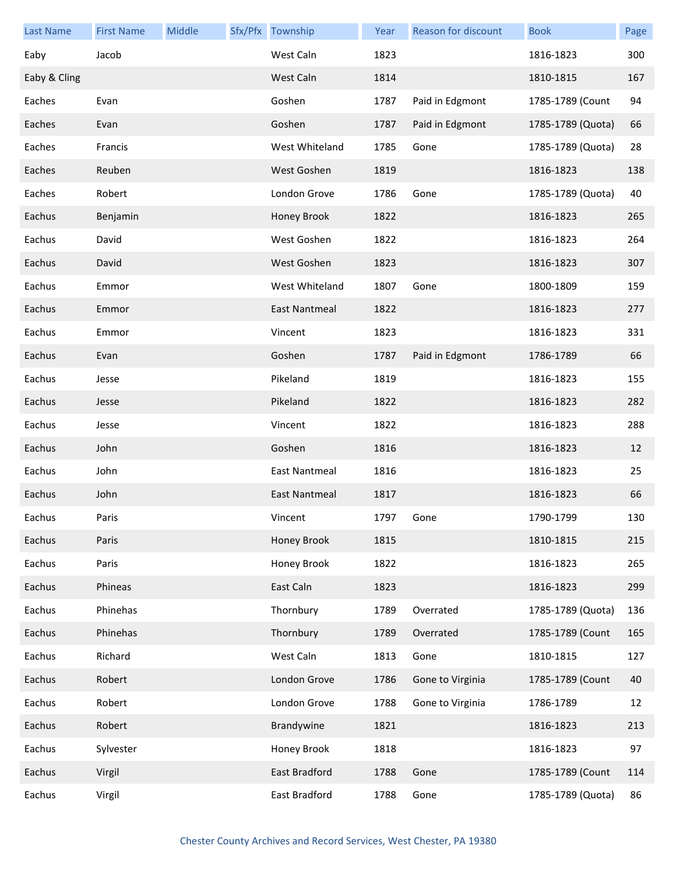| <b>Last Name</b> | <b>First Name</b> | Middle | Sfx/Pfx Township     | Year | Reason for discount | <b>Book</b>       | Page |
|------------------|-------------------|--------|----------------------|------|---------------------|-------------------|------|
| Eaby             | Jacob             |        | West Caln            | 1823 |                     | 1816-1823         | 300  |
| Eaby & Cling     |                   |        | West Caln            | 1814 |                     | 1810-1815         | 167  |
| Eaches           | Evan              |        | Goshen               | 1787 | Paid in Edgmont     | 1785-1789 (Count  | 94   |
| Eaches           | Evan              |        | Goshen               | 1787 | Paid in Edgmont     | 1785-1789 (Quota) | 66   |
| Eaches           | Francis           |        | West Whiteland       | 1785 | Gone                | 1785-1789 (Quota) | 28   |
| Eaches           | Reuben            |        | West Goshen          | 1819 |                     | 1816-1823         | 138  |
| Eaches           | Robert            |        | London Grove         | 1786 | Gone                | 1785-1789 (Quota) | 40   |
| Eachus           | Benjamin          |        | Honey Brook          | 1822 |                     | 1816-1823         | 265  |
| Eachus           | David             |        | West Goshen          | 1822 |                     | 1816-1823         | 264  |
| Eachus           | David             |        | West Goshen          | 1823 |                     | 1816-1823         | 307  |
| Eachus           | Emmor             |        | West Whiteland       | 1807 | Gone                | 1800-1809         | 159  |
| Eachus           | Emmor             |        | <b>East Nantmeal</b> | 1822 |                     | 1816-1823         | 277  |
| Eachus           | Emmor             |        | Vincent              | 1823 |                     | 1816-1823         | 331  |
| Eachus           | Evan              |        | Goshen               | 1787 | Paid in Edgmont     | 1786-1789         | 66   |
| Eachus           | Jesse             |        | Pikeland             | 1819 |                     | 1816-1823         | 155  |
| Eachus           | Jesse             |        | Pikeland             | 1822 |                     | 1816-1823         | 282  |
| Eachus           | Jesse             |        | Vincent              | 1822 |                     | 1816-1823         | 288  |
| Eachus           | John              |        | Goshen               | 1816 |                     | 1816-1823         | 12   |
| Eachus           | John              |        | East Nantmeal        | 1816 |                     | 1816-1823         | 25   |
| Eachus           | John              |        | East Nantmeal        | 1817 |                     | 1816-1823         | 66   |
| Eachus           | Paris             |        | Vincent              | 1797 | Gone                | 1790-1799         | 130  |
| Eachus           | Paris             |        | Honey Brook          | 1815 |                     | 1810-1815         | 215  |
| Eachus           | Paris             |        | Honey Brook          | 1822 |                     | 1816-1823         | 265  |
| Eachus           | Phineas           |        | East Caln            | 1823 |                     | 1816-1823         | 299  |
| Eachus           | Phinehas          |        | Thornbury            | 1789 | Overrated           | 1785-1789 (Quota) | 136  |
| Eachus           | Phinehas          |        | Thornbury            | 1789 | Overrated           | 1785-1789 (Count  | 165  |
| Eachus           | Richard           |        | West Caln            | 1813 | Gone                | 1810-1815         | 127  |
| Eachus           | Robert            |        | London Grove         | 1786 | Gone to Virginia    | 1785-1789 (Count  | 40   |
| Eachus           | Robert            |        | London Grove         | 1788 | Gone to Virginia    | 1786-1789         | 12   |
| Eachus           | Robert            |        | Brandywine           | 1821 |                     | 1816-1823         | 213  |
| Eachus           | Sylvester         |        | Honey Brook          | 1818 |                     | 1816-1823         | 97   |
| Eachus           | Virgil            |        | East Bradford        | 1788 | Gone                | 1785-1789 (Count  | 114  |
| Eachus           | Virgil            |        | East Bradford        | 1788 | Gone                | 1785-1789 (Quota) | 86   |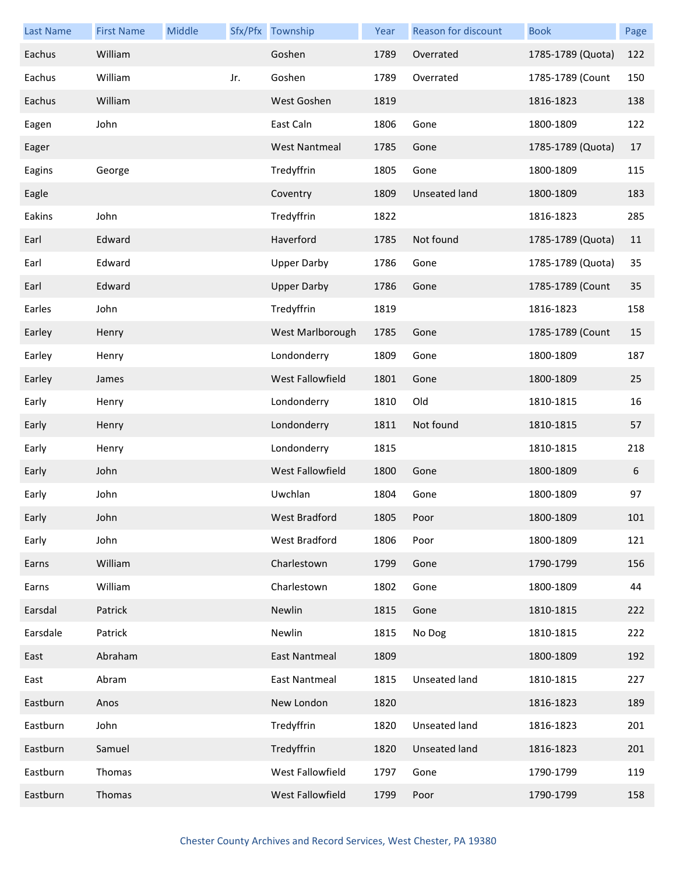| <b>Last Name</b> | <b>First Name</b> | Middle |     | Sfx/Pfx Township     | Year | Reason for discount  | <b>Book</b>       | Page |
|------------------|-------------------|--------|-----|----------------------|------|----------------------|-------------------|------|
| Eachus           | William           |        |     | Goshen               | 1789 | Overrated            | 1785-1789 (Quota) | 122  |
| Eachus           | William           |        | Jr. | Goshen               | 1789 | Overrated            | 1785-1789 (Count  | 150  |
| Eachus           | William           |        |     | West Goshen          | 1819 |                      | 1816-1823         | 138  |
| Eagen            | John              |        |     | East Caln            | 1806 | Gone                 | 1800-1809         | 122  |
| Eager            |                   |        |     | <b>West Nantmeal</b> | 1785 | Gone                 | 1785-1789 (Quota) | 17   |
| Eagins           | George            |        |     | Tredyffrin           | 1805 | Gone                 | 1800-1809         | 115  |
| Eagle            |                   |        |     | Coventry             | 1809 | <b>Unseated land</b> | 1800-1809         | 183  |
| Eakins           | John              |        |     | Tredyffrin           | 1822 |                      | 1816-1823         | 285  |
| Earl             | Edward            |        |     | Haverford            | 1785 | Not found            | 1785-1789 (Quota) | 11   |
| Earl             | Edward            |        |     | <b>Upper Darby</b>   | 1786 | Gone                 | 1785-1789 (Quota) | 35   |
| Earl             | Edward            |        |     | <b>Upper Darby</b>   | 1786 | Gone                 | 1785-1789 (Count  | 35   |
| Earles           | John              |        |     | Tredyffrin           | 1819 |                      | 1816-1823         | 158  |
| Earley           | Henry             |        |     | West Marlborough     | 1785 | Gone                 | 1785-1789 (Count  | 15   |
| Earley           | Henry             |        |     | Londonderry          | 1809 | Gone                 | 1800-1809         | 187  |
| Earley           | James             |        |     | West Fallowfield     | 1801 | Gone                 | 1800-1809         | 25   |
| Early            | Henry             |        |     | Londonderry          | 1810 | Old                  | 1810-1815         | 16   |
| Early            | Henry             |        |     | Londonderry          | 1811 | Not found            | 1810-1815         | 57   |
| Early            | Henry             |        |     | Londonderry          | 1815 |                      | 1810-1815         | 218  |
| Early            | John              |        |     | West Fallowfield     | 1800 | Gone                 | 1800-1809         | 6    |
| Early            | John              |        |     | Uwchlan              | 1804 | Gone                 | 1800-1809         | 97   |
| Early            | John              |        |     | West Bradford        | 1805 | Poor                 | 1800-1809         | 101  |
| Early            | John              |        |     | West Bradford        | 1806 | Poor                 | 1800-1809         | 121  |
| Earns            | William           |        |     | Charlestown          | 1799 | Gone                 | 1790-1799         | 156  |
| Earns            | William           |        |     | Charlestown          | 1802 | Gone                 | 1800-1809         | 44   |
| Earsdal          | Patrick           |        |     | Newlin               | 1815 | Gone                 | 1810-1815         | 222  |
| Earsdale         | Patrick           |        |     | Newlin               | 1815 | No Dog               | 1810-1815         | 222  |
| East             | Abraham           |        |     | East Nantmeal        | 1809 |                      | 1800-1809         | 192  |
| East             | Abram             |        |     | East Nantmeal        | 1815 | Unseated land        | 1810-1815         | 227  |
| Eastburn         | Anos              |        |     | New London           | 1820 |                      | 1816-1823         | 189  |
| Eastburn         | John              |        |     | Tredyffrin           | 1820 | Unseated land        | 1816-1823         | 201  |
| Eastburn         | Samuel            |        |     | Tredyffrin           | 1820 | Unseated land        | 1816-1823         | 201  |
| Eastburn         | Thomas            |        |     | West Fallowfield     | 1797 | Gone                 | 1790-1799         | 119  |
| Eastburn         | Thomas            |        |     | West Fallowfield     | 1799 | Poor                 | 1790-1799         | 158  |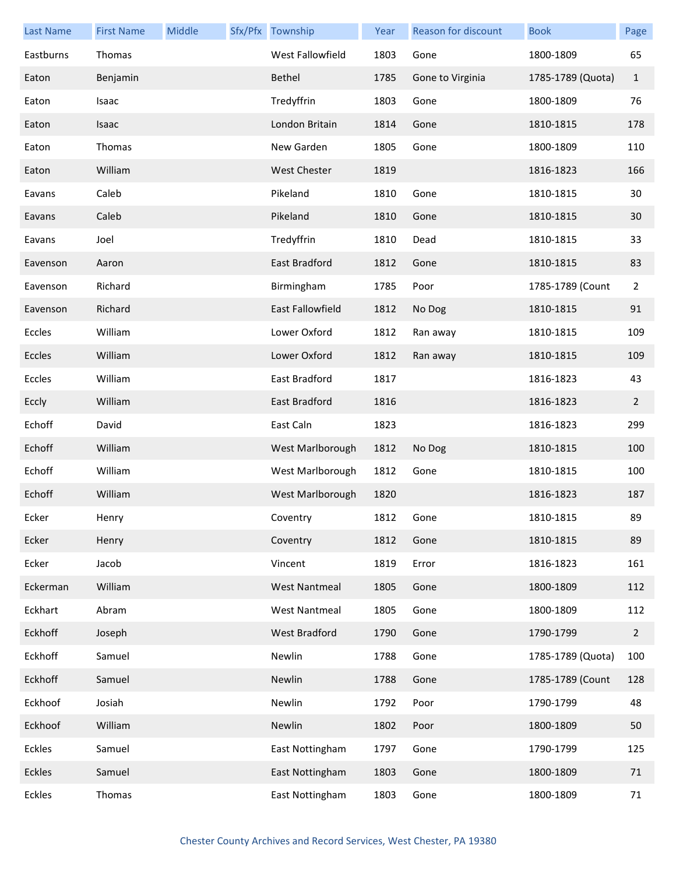| <b>Last Name</b> | <b>First Name</b> | Middle | Sfx/Pfx Township     | Year | Reason for discount | <b>Book</b>       | Page           |
|------------------|-------------------|--------|----------------------|------|---------------------|-------------------|----------------|
| Eastburns        | Thomas            |        | West Fallowfield     | 1803 | Gone                | 1800-1809         | 65             |
| Eaton            | Benjamin          |        | Bethel               | 1785 | Gone to Virginia    | 1785-1789 (Quota) | $\mathbf{1}$   |
| Eaton            | Isaac             |        | Tredyffrin           | 1803 | Gone                | 1800-1809         | 76             |
| Eaton            | Isaac             |        | London Britain       | 1814 | Gone                | 1810-1815         | 178            |
| Eaton            | Thomas            |        | New Garden           | 1805 | Gone                | 1800-1809         | 110            |
| Eaton            | William           |        | <b>West Chester</b>  | 1819 |                     | 1816-1823         | 166            |
| Eavans           | Caleb             |        | Pikeland             | 1810 | Gone                | 1810-1815         | 30             |
| Eavans           | Caleb             |        | Pikeland             | 1810 | Gone                | 1810-1815         | 30             |
| Eavans           | Joel              |        | Tredyffrin           | 1810 | Dead                | 1810-1815         | 33             |
| Eavenson         | Aaron             |        | East Bradford        | 1812 | Gone                | 1810-1815         | 83             |
| Eavenson         | Richard           |        | Birmingham           | 1785 | Poor                | 1785-1789 (Count  | $\overline{2}$ |
| Eavenson         | Richard           |        | East Fallowfield     | 1812 | No Dog              | 1810-1815         | 91             |
| Eccles           | William           |        | Lower Oxford         | 1812 | Ran away            | 1810-1815         | 109            |
| Eccles           | William           |        | Lower Oxford         | 1812 | Ran away            | 1810-1815         | 109            |
| Eccles           | William           |        | East Bradford        | 1817 |                     | 1816-1823         | 43             |
| Eccly            | William           |        | East Bradford        | 1816 |                     | 1816-1823         | $\overline{2}$ |
| Echoff           | David             |        | East Caln            | 1823 |                     | 1816-1823         | 299            |
| Echoff           | William           |        | West Marlborough     | 1812 | No Dog              | 1810-1815         | 100            |
| Echoff           | William           |        | West Marlborough     | 1812 | Gone                | 1810-1815         | 100            |
| Echoff           | William           |        | West Marlborough     | 1820 |                     | 1816-1823         | 187            |
| Ecker            | Henry             |        | Coventry             | 1812 | Gone                | 1810-1815         | 89             |
| Ecker            | Henry             |        | Coventry             | 1812 | Gone                | 1810-1815         | 89             |
| Ecker            | Jacob             |        | Vincent              | 1819 | Error               | 1816-1823         | 161            |
| Eckerman         | William           |        | <b>West Nantmeal</b> | 1805 | Gone                | 1800-1809         | 112            |
| Eckhart          | Abram             |        | <b>West Nantmeal</b> | 1805 | Gone                | 1800-1809         | 112            |
| Eckhoff          | Joseph            |        | West Bradford        | 1790 | Gone                | 1790-1799         | $\overline{2}$ |
| Eckhoff          | Samuel            |        | Newlin               | 1788 | Gone                | 1785-1789 (Quota) | 100            |
| Eckhoff          | Samuel            |        | Newlin               | 1788 | Gone                | 1785-1789 (Count  | 128            |
| Eckhoof          | Josiah            |        | Newlin               | 1792 | Poor                | 1790-1799         | 48             |
| Eckhoof          | William           |        | Newlin               | 1802 | Poor                | 1800-1809         | 50             |
| Eckles           | Samuel            |        | East Nottingham      | 1797 | Gone                | 1790-1799         | 125            |
| Eckles           | Samuel            |        | East Nottingham      | 1803 | Gone                | 1800-1809         | 71             |
| <b>Eckles</b>    | Thomas            |        | East Nottingham      | 1803 | Gone                | 1800-1809         | 71             |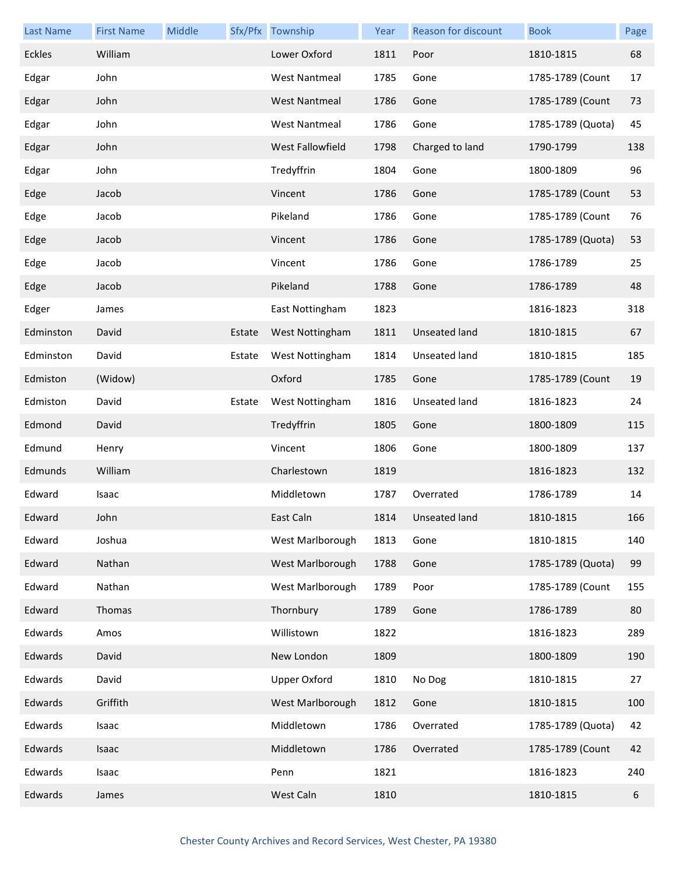| <b>Last Name</b> | <b>First Name</b> | Middle |        | Sfx/Pfx Township     | Year | <b>Reason for discount</b> | <b>Book</b>       | Page |
|------------------|-------------------|--------|--------|----------------------|------|----------------------------|-------------------|------|
| <b>Eckles</b>    | William           |        |        | Lower Oxford         | 1811 | Poor                       | 1810-1815         | 68   |
| Edgar            | John              |        |        | <b>West Nantmeal</b> | 1785 | Gone                       | 1785-1789 (Count  | 17   |
| Edgar            | John              |        |        | <b>West Nantmeal</b> | 1786 | Gone                       | 1785-1789 (Count  | 73   |
| Edgar            | John              |        |        | <b>West Nantmeal</b> | 1786 | Gone                       | 1785-1789 (Quota) | 45   |
| Edgar            | John              |        |        | West Fallowfield     | 1798 | Charged to land            | 1790-1799         | 138  |
| Edgar            | John              |        |        | Tredyffrin           | 1804 | Gone                       | 1800-1809         | 96   |
| Edge             | Jacob             |        |        | Vincent              | 1786 | Gone                       | 1785-1789 (Count  | 53   |
| Edge             | Jacob             |        |        | Pikeland             | 1786 | Gone                       | 1785-1789 (Count  | 76   |
| Edge             | Jacob             |        |        | Vincent              | 1786 | Gone                       | 1785-1789 (Quota) | 53   |
| Edge             | Jacob             |        |        | Vincent              | 1786 | Gone                       | 1786-1789         | 25   |
| Edge             | Jacob             |        |        | Pikeland             | 1788 | Gone                       | 1786-1789         | 48   |
| Edger            | James             |        |        | East Nottingham      | 1823 |                            | 1816-1823         | 318  |
| Edminston        | David             |        | Estate | West Nottingham      | 1811 | <b>Unseated land</b>       | 1810-1815         | 67   |
| Edminston        | David             |        | Estate | West Nottingham      | 1814 | Unseated land              | 1810-1815         | 185  |
| Edmiston         | (Widow)           |        |        | Oxford               | 1785 | Gone                       | 1785-1789 (Count  | 19   |
| Edmiston         | David             |        | Estate | West Nottingham      | 1816 | Unseated land              | 1816-1823         | 24   |
| Edmond           | David             |        |        | Tredyffrin           | 1805 | Gone                       | 1800-1809         | 115  |
| Edmund           | Henry             |        |        | Vincent              | 1806 | Gone                       | 1800-1809         | 137  |
| Edmunds          | William           |        |        | Charlestown          | 1819 |                            | 1816-1823         | 132  |
| Edward           | Isaac             |        |        | Middletown           | 1787 | Overrated                  | 1786-1789         | 14   |
| Edward           | John              |        |        | East Caln            | 1814 | Unseated land              | 1810-1815         | 166  |
| Edward           | Joshua            |        |        | West Marlborough     | 1813 | Gone                       | 1810-1815         | 140  |
| Edward           | Nathan            |        |        | West Marlborough     | 1788 | Gone                       | 1785-1789 (Quota) | 99   |
| Edward           | Nathan            |        |        | West Marlborough     | 1789 | Poor                       | 1785-1789 (Count  | 155  |
| Edward           | Thomas            |        |        | Thornbury            | 1789 | Gone                       | 1786-1789         | 80   |
| Edwards          | Amos              |        |        | Willistown           | 1822 |                            | 1816-1823         | 289  |
| Edwards          | David             |        |        | New London           | 1809 |                            | 1800-1809         | 190  |
| Edwards          | David             |        |        | <b>Upper Oxford</b>  | 1810 | No Dog                     | 1810-1815         | 27   |
| Edwards          | Griffith          |        |        | West Marlborough     | 1812 | Gone                       | 1810-1815         | 100  |
| Edwards          | Isaac             |        |        | Middletown           | 1786 | Overrated                  | 1785-1789 (Quota) | 42   |
| Edwards          | Isaac             |        |        | Middletown           | 1786 | Overrated                  | 1785-1789 (Count  | 42   |
| Edwards          | Isaac             |        |        | Penn                 | 1821 |                            | 1816-1823         | 240  |
| Edwards          | James             |        |        | West Caln            | 1810 |                            | 1810-1815         | 6    |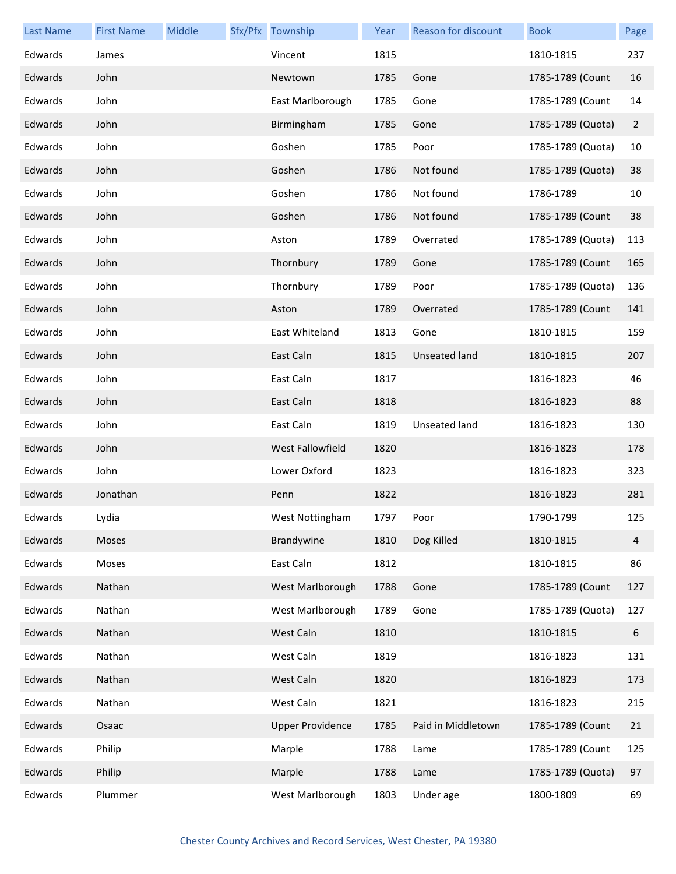| <b>Last Name</b> | <b>First Name</b> | Middle | Sfx/Pfx Township        | Year | Reason for discount  | <b>Book</b>       | Page             |
|------------------|-------------------|--------|-------------------------|------|----------------------|-------------------|------------------|
| Edwards          | James             |        | Vincent                 | 1815 |                      | 1810-1815         | 237              |
| Edwards          | John              |        | Newtown                 | 1785 | Gone                 | 1785-1789 (Count  | 16               |
| Edwards          | John              |        | East Marlborough        | 1785 | Gone                 | 1785-1789 (Count  | 14               |
| Edwards          | John              |        | Birmingham              | 1785 | Gone                 | 1785-1789 (Quota) | $\overline{2}$   |
| Edwards          | John              |        | Goshen                  | 1785 | Poor                 | 1785-1789 (Quota) | 10               |
| Edwards          | John              |        | Goshen                  | 1786 | Not found            | 1785-1789 (Quota) | 38               |
| Edwards          | John              |        | Goshen                  | 1786 | Not found            | 1786-1789         | 10               |
| Edwards          | John              |        | Goshen                  | 1786 | Not found            | 1785-1789 (Count  | 38               |
| Edwards          | John              |        | Aston                   | 1789 | Overrated            | 1785-1789 (Quota) | 113              |
| Edwards          | John              |        | Thornbury               | 1789 | Gone                 | 1785-1789 (Count  | 165              |
| Edwards          | John              |        | Thornbury               | 1789 | Poor                 | 1785-1789 (Quota) | 136              |
| Edwards          | John              |        | Aston                   | 1789 | Overrated            | 1785-1789 (Count  | 141              |
| Edwards          | John              |        | East Whiteland          | 1813 | Gone                 | 1810-1815         | 159              |
| Edwards          | John              |        | East Caln               | 1815 | <b>Unseated land</b> | 1810-1815         | 207              |
| Edwards          | John              |        | East Caln               | 1817 |                      | 1816-1823         | 46               |
| Edwards          | John              |        | East Caln               | 1818 |                      | 1816-1823         | 88               |
| Edwards          | John              |        | East Caln               | 1819 | Unseated land        | 1816-1823         | 130              |
| Edwards          | John              |        | West Fallowfield        | 1820 |                      | 1816-1823         | 178              |
| Edwards          | John              |        | Lower Oxford            | 1823 |                      | 1816-1823         | 323              |
| Edwards          | Jonathan          |        | Penn                    | 1822 |                      | 1816-1823         | 281              |
| Edwards          | Lydia             |        | West Nottingham         | 1797 | Poor                 | 1790-1799         | 125              |
| Edwards          | Moses             |        | Brandywine              | 1810 | Dog Killed           | 1810-1815         | 4                |
| Edwards          | Moses             |        | East Caln               | 1812 |                      | 1810-1815         | 86               |
| Edwards          | Nathan            |        | West Marlborough        | 1788 | Gone                 | 1785-1789 (Count  | 127              |
| Edwards          | Nathan            |        | West Marlborough        | 1789 | Gone                 | 1785-1789 (Quota) | 127              |
| Edwards          | Nathan            |        | West Caln               | 1810 |                      | 1810-1815         | $\boldsymbol{6}$ |
| Edwards          | Nathan            |        | West Caln               | 1819 |                      | 1816-1823         | 131              |
| Edwards          | Nathan            |        | West Caln               | 1820 |                      | 1816-1823         | 173              |
| Edwards          | Nathan            |        | West Caln               | 1821 |                      | 1816-1823         | 215              |
| Edwards          | Osaac             |        | <b>Upper Providence</b> | 1785 | Paid in Middletown   | 1785-1789 (Count  | 21               |
| Edwards          | Philip            |        | Marple                  | 1788 | Lame                 | 1785-1789 (Count  | 125              |
| Edwards          | Philip            |        | Marple                  | 1788 | Lame                 | 1785-1789 (Quota) | 97               |
| Edwards          | Plummer           |        | West Marlborough        | 1803 | Under age            | 1800-1809         | 69               |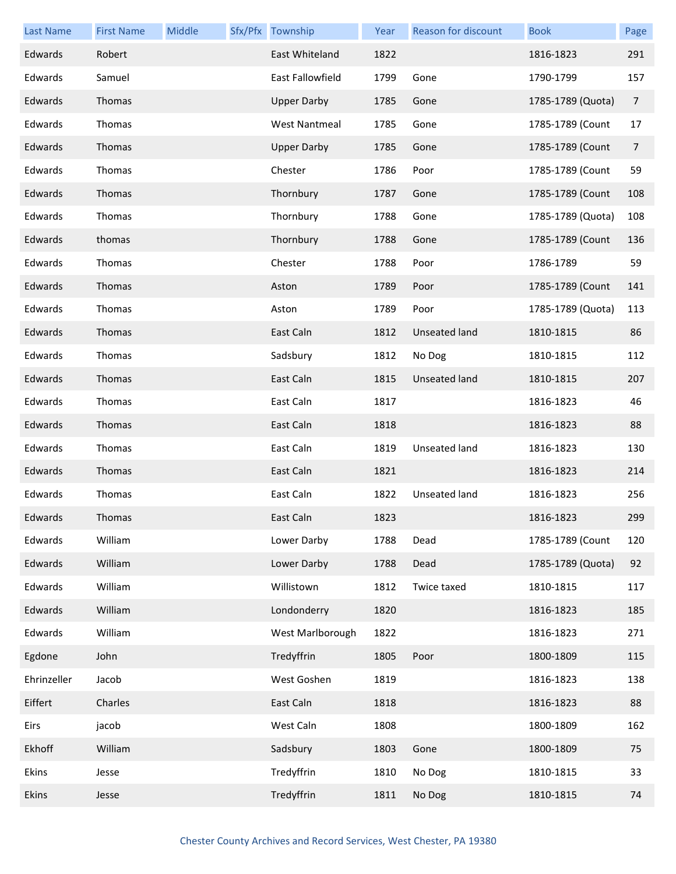| <b>Last Name</b> | <b>First Name</b> | Middle | Sfx/Pfx Township     | Year | <b>Reason for discount</b> | <b>Book</b>       | Page           |
|------------------|-------------------|--------|----------------------|------|----------------------------|-------------------|----------------|
| Edwards          | Robert            |        | East Whiteland       | 1822 |                            | 1816-1823         | 291            |
| Edwards          | Samuel            |        | East Fallowfield     | 1799 | Gone                       | 1790-1799         | 157            |
| Edwards          | Thomas            |        | <b>Upper Darby</b>   | 1785 | Gone                       | 1785-1789 (Quota) | 7              |
| Edwards          | Thomas            |        | <b>West Nantmeal</b> | 1785 | Gone                       | 1785-1789 (Count  | 17             |
| Edwards          | Thomas            |        | <b>Upper Darby</b>   | 1785 | Gone                       | 1785-1789 (Count  | $\overline{7}$ |
| Edwards          | Thomas            |        | Chester              | 1786 | Poor                       | 1785-1789 (Count  | 59             |
| Edwards          | Thomas            |        | Thornbury            | 1787 | Gone                       | 1785-1789 (Count  | 108            |
| Edwards          | Thomas            |        | Thornbury            | 1788 | Gone                       | 1785-1789 (Quota) | 108            |
| Edwards          | thomas            |        | Thornbury            | 1788 | Gone                       | 1785-1789 (Count  | 136            |
| Edwards          | Thomas            |        | Chester              | 1788 | Poor                       | 1786-1789         | 59             |
| Edwards          | Thomas            |        | Aston                | 1789 | Poor                       | 1785-1789 (Count  | 141            |
| Edwards          | Thomas            |        | Aston                | 1789 | Poor                       | 1785-1789 (Quota) | 113            |
| Edwards          | Thomas            |        | East Caln            | 1812 | <b>Unseated land</b>       | 1810-1815         | 86             |
| Edwards          | Thomas            |        | Sadsbury             | 1812 | No Dog                     | 1810-1815         | 112            |
| Edwards          | Thomas            |        | East Caln            | 1815 | <b>Unseated land</b>       | 1810-1815         | 207            |
| Edwards          | Thomas            |        | East Caln            | 1817 |                            | 1816-1823         | 46             |
| Edwards          | Thomas            |        | East Caln            | 1818 |                            | 1816-1823         | 88             |
| Edwards          | Thomas            |        | East Caln            | 1819 | Unseated land              | 1816-1823         | 130            |
| Edwards          | Thomas            |        | East Caln            | 1821 |                            | 1816-1823         | 214            |
| Edwards          | Thomas            |        | East Caln            | 1822 | Unseated land              | 1816-1823         | 256            |
| Edwards          | Thomas            |        | East Caln            | 1823 |                            | 1816-1823         | 299            |
| Edwards          | William           |        | Lower Darby          | 1788 | Dead                       | 1785-1789 (Count  | 120            |
| Edwards          | William           |        | Lower Darby          | 1788 | Dead                       | 1785-1789 (Quota) | 92             |
| Edwards          | William           |        | Willistown           | 1812 | Twice taxed                | 1810-1815         | 117            |
| Edwards          | William           |        | Londonderry          | 1820 |                            | 1816-1823         | 185            |
| Edwards          | William           |        | West Marlborough     | 1822 |                            | 1816-1823         | 271            |
| Egdone           | John              |        | Tredyffrin           | 1805 | Poor                       | 1800-1809         | 115            |
| Ehrinzeller      | Jacob             |        | West Goshen          | 1819 |                            | 1816-1823         | 138            |
| Eiffert          | Charles           |        | East Caln            | 1818 |                            | 1816-1823         | 88             |
| Eirs             | jacob             |        | West Caln            | 1808 |                            | 1800-1809         | 162            |
| Ekhoff           | William           |        | Sadsbury             | 1803 | Gone                       | 1800-1809         | 75             |
| Ekins            | Jesse             |        | Tredyffrin           | 1810 | No Dog                     | 1810-1815         | 33             |
| Ekins            | Jesse             |        | Tredyffrin           | 1811 | No Dog                     | 1810-1815         | 74             |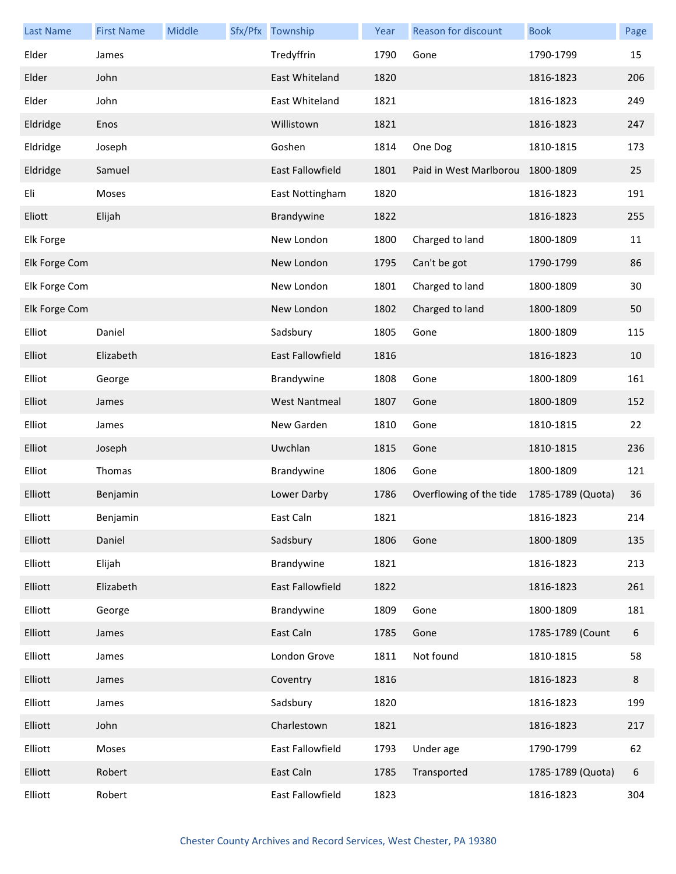| <b>Last Name</b> | <b>First Name</b> | Middle | Sfx/Pfx Township        | Year | Reason for discount     | <b>Book</b>       | Page |
|------------------|-------------------|--------|-------------------------|------|-------------------------|-------------------|------|
| Elder            | James             |        | Tredyffrin              | 1790 | Gone                    | 1790-1799         | 15   |
| Elder            | John              |        | East Whiteland          | 1820 |                         | 1816-1823         | 206  |
| Elder            | John              |        | East Whiteland          | 1821 |                         | 1816-1823         | 249  |
| Eldridge         | Enos              |        | Willistown              | 1821 |                         | 1816-1823         | 247  |
| Eldridge         | Joseph            |        | Goshen                  | 1814 | One Dog                 | 1810-1815         | 173  |
| Eldridge         | Samuel            |        | <b>East Fallowfield</b> | 1801 | Paid in West Marlborou  | 1800-1809         | 25   |
| Eli              | Moses             |        | East Nottingham         | 1820 |                         | 1816-1823         | 191  |
| Eliott           | Elijah            |        | Brandywine              | 1822 |                         | 1816-1823         | 255  |
| Elk Forge        |                   |        | New London              | 1800 | Charged to land         | 1800-1809         | 11   |
| Elk Forge Com    |                   |        | New London              | 1795 | Can't be got            | 1790-1799         | 86   |
| Elk Forge Com    |                   |        | New London              | 1801 | Charged to land         | 1800-1809         | 30   |
| Elk Forge Com    |                   |        | New London              | 1802 | Charged to land         | 1800-1809         | 50   |
| Elliot           | Daniel            |        | Sadsbury                | 1805 | Gone                    | 1800-1809         | 115  |
| Elliot           | Elizabeth         |        | <b>East Fallowfield</b> | 1816 |                         | 1816-1823         | 10   |
| Elliot           | George            |        | Brandywine              | 1808 | Gone                    | 1800-1809         | 161  |
| Elliot           | James             |        | <b>West Nantmeal</b>    | 1807 | Gone                    | 1800-1809         | 152  |
| Elliot           | James             |        | New Garden              | 1810 | Gone                    | 1810-1815         | 22   |
| Elliot           | Joseph            |        | Uwchlan                 | 1815 | Gone                    | 1810-1815         | 236  |
| Elliot           | Thomas            |        | Brandywine              | 1806 | Gone                    | 1800-1809         | 121  |
| Elliott          | Benjamin          |        | Lower Darby             | 1786 | Overflowing of the tide | 1785-1789 (Quota) | 36   |
| Elliott          | Benjamin          |        | East Caln               | 1821 |                         | 1816-1823         | 214  |
| Elliott          | Daniel            |        | Sadsbury                | 1806 | Gone                    | 1800-1809         | 135  |
| Elliott          | Elijah            |        | Brandywine              | 1821 |                         | 1816-1823         | 213  |
| Elliott          | Elizabeth         |        | East Fallowfield        | 1822 |                         | 1816-1823         | 261  |
| Elliott          | George            |        | Brandywine              | 1809 | Gone                    | 1800-1809         | 181  |
| Elliott          | James             |        | East Caln               | 1785 | Gone                    | 1785-1789 (Count  | 6    |
| Elliott          | James             |        | London Grove            | 1811 | Not found               | 1810-1815         | 58   |
| Elliott          | James             |        | Coventry                | 1816 |                         | 1816-1823         | 8    |
| Elliott          | James             |        | Sadsbury                | 1820 |                         | 1816-1823         | 199  |
| Elliott          | John              |        | Charlestown             | 1821 |                         | 1816-1823         | 217  |
| Elliott          | Moses             |        | East Fallowfield        | 1793 | Under age               | 1790-1799         | 62   |
| Elliott          | Robert            |        | East Caln               | 1785 | Transported             | 1785-1789 (Quota) | 6    |
| Elliott          | Robert            |        | East Fallowfield        | 1823 |                         | 1816-1823         | 304  |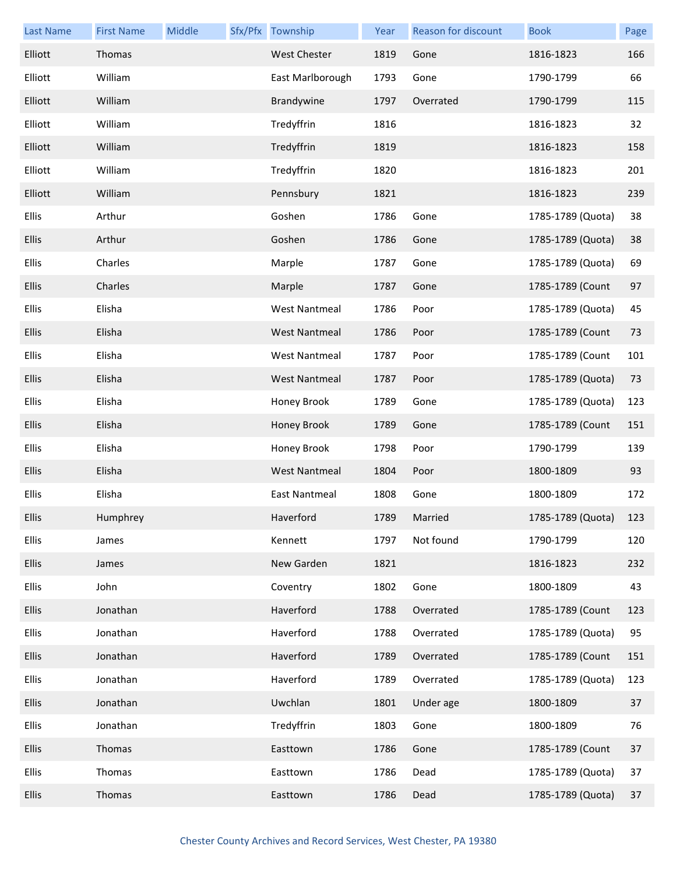| <b>Last Name</b> | <b>First Name</b> | Middle | Sfx/Pfx Township     | Year | <b>Reason for discount</b> | <b>Book</b>       | Page |
|------------------|-------------------|--------|----------------------|------|----------------------------|-------------------|------|
| Elliott          | Thomas            |        | <b>West Chester</b>  | 1819 | Gone                       | 1816-1823         | 166  |
| Elliott          | William           |        | East Marlborough     | 1793 | Gone                       | 1790-1799         | 66   |
| Elliott          | William           |        | Brandywine           | 1797 | Overrated                  | 1790-1799         | 115  |
| Elliott          | William           |        | Tredyffrin           | 1816 |                            | 1816-1823         | 32   |
| Elliott          | William           |        | Tredyffrin           | 1819 |                            | 1816-1823         | 158  |
| Elliott          | William           |        | Tredyffrin           | 1820 |                            | 1816-1823         | 201  |
| Elliott          | William           |        | Pennsbury            | 1821 |                            | 1816-1823         | 239  |
| <b>Ellis</b>     | Arthur            |        | Goshen               | 1786 | Gone                       | 1785-1789 (Quota) | 38   |
| Ellis            | Arthur            |        | Goshen               | 1786 | Gone                       | 1785-1789 (Quota) | 38   |
| Ellis            | Charles           |        | Marple               | 1787 | Gone                       | 1785-1789 (Quota) | 69   |
| <b>Ellis</b>     | Charles           |        | Marple               | 1787 | Gone                       | 1785-1789 (Count  | 97   |
| Ellis            | Elisha            |        | <b>West Nantmeal</b> | 1786 | Poor                       | 1785-1789 (Quota) | 45   |
| Ellis            | Elisha            |        | <b>West Nantmeal</b> | 1786 | Poor                       | 1785-1789 (Count  | 73   |
| Ellis            | Elisha            |        | <b>West Nantmeal</b> | 1787 | Poor                       | 1785-1789 (Count  | 101  |
| <b>Ellis</b>     | Elisha            |        | <b>West Nantmeal</b> | 1787 | Poor                       | 1785-1789 (Quota) | 73   |
| <b>Ellis</b>     | Elisha            |        | Honey Brook          | 1789 | Gone                       | 1785-1789 (Quota) | 123  |
| Ellis            | Elisha            |        | Honey Brook          | 1789 | Gone                       | 1785-1789 (Count  | 151  |
| Ellis            | Elisha            |        | Honey Brook          | 1798 | Poor                       | 1790-1799         | 139  |
| <b>Ellis</b>     | Elisha            |        | <b>West Nantmeal</b> | 1804 | Poor                       | 1800-1809         | 93   |
| Ellis            | Elisha            |        | <b>East Nantmeal</b> | 1808 | Gone                       | 1800-1809         | 172  |
| <b>Ellis</b>     | Humphrey          |        | Haverford            | 1789 | Married                    | 1785-1789 (Quota) | 123  |
| Ellis            | James             |        | Kennett              | 1797 | Not found                  | 1790-1799         | 120  |
| <b>Ellis</b>     | James             |        | New Garden           | 1821 |                            | 1816-1823         | 232  |
| Ellis            | John              |        | Coventry             | 1802 | Gone                       | 1800-1809         | 43   |
| <b>Ellis</b>     | Jonathan          |        | Haverford            | 1788 | Overrated                  | 1785-1789 (Count  | 123  |
| Ellis            | Jonathan          |        | Haverford            | 1788 | Overrated                  | 1785-1789 (Quota) | 95   |
| Ellis            | Jonathan          |        | Haverford            | 1789 | Overrated                  | 1785-1789 (Count  | 151  |
| Ellis            | Jonathan          |        | Haverford            | 1789 | Overrated                  | 1785-1789 (Quota) | 123  |
| <b>Ellis</b>     | Jonathan          |        | Uwchlan              | 1801 | Under age                  | 1800-1809         | 37   |
| Ellis            | Jonathan          |        | Tredyffrin           | 1803 | Gone                       | 1800-1809         | 76   |
| <b>Ellis</b>     | Thomas            |        | Easttown             | 1786 | Gone                       | 1785-1789 (Count  | 37   |
| Ellis            | Thomas            |        | Easttown             | 1786 | Dead                       | 1785-1789 (Quota) | 37   |
| <b>Ellis</b>     | Thomas            |        | Easttown             | 1786 | Dead                       | 1785-1789 (Quota) | 37   |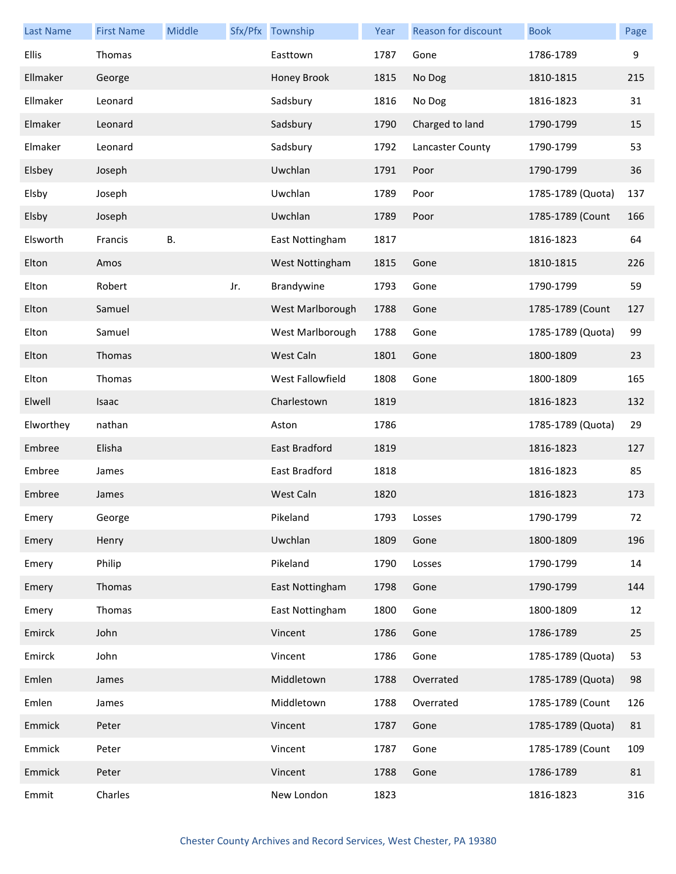| <b>Last Name</b> | <b>First Name</b> | Middle    |     | Sfx/Pfx Township | Year | Reason for discount | <b>Book</b>       | Page |
|------------------|-------------------|-----------|-----|------------------|------|---------------------|-------------------|------|
| <b>Ellis</b>     | Thomas            |           |     | Easttown         | 1787 | Gone                | 1786-1789         | 9    |
| Ellmaker         | George            |           |     | Honey Brook      | 1815 | No Dog              | 1810-1815         | 215  |
| Ellmaker         | Leonard           |           |     | Sadsbury         | 1816 | No Dog              | 1816-1823         | 31   |
| Elmaker          | Leonard           |           |     | Sadsbury         | 1790 | Charged to land     | 1790-1799         | 15   |
| Elmaker          | Leonard           |           |     | Sadsbury         | 1792 | Lancaster County    | 1790-1799         | 53   |
| Elsbey           | Joseph            |           |     | Uwchlan          | 1791 | Poor                | 1790-1799         | 36   |
| Elsby            | Joseph            |           |     | Uwchlan          | 1789 | Poor                | 1785-1789 (Quota) | 137  |
| Elsby            | Joseph            |           |     | Uwchlan          | 1789 | Poor                | 1785-1789 (Count  | 166  |
| Elsworth         | Francis           | <b>B.</b> |     | East Nottingham  | 1817 |                     | 1816-1823         | 64   |
| Elton            | Amos              |           |     | West Nottingham  | 1815 | Gone                | 1810-1815         | 226  |
| Elton            | Robert            |           | Jr. | Brandywine       | 1793 | Gone                | 1790-1799         | 59   |
| Elton            | Samuel            |           |     | West Marlborough | 1788 | Gone                | 1785-1789 (Count  | 127  |
| Elton            | Samuel            |           |     | West Marlborough | 1788 | Gone                | 1785-1789 (Quota) | 99   |
| Elton            | Thomas            |           |     | West Caln        | 1801 | Gone                | 1800-1809         | 23   |
| Elton            | Thomas            |           |     | West Fallowfield | 1808 | Gone                | 1800-1809         | 165  |
| Elwell           | Isaac             |           |     | Charlestown      | 1819 |                     | 1816-1823         | 132  |
| Elworthey        | nathan            |           |     | Aston            | 1786 |                     | 1785-1789 (Quota) | 29   |
| Embree           | Elisha            |           |     | East Bradford    | 1819 |                     | 1816-1823         | 127  |
| Embree           | James             |           |     | East Bradford    | 1818 |                     | 1816-1823         | 85   |
| Embree           | James             |           |     | West Caln        | 1820 |                     | 1816-1823         | 173  |
| Emery            | George            |           |     | Pikeland         | 1793 | Losses              | 1790-1799         | 72   |
| Emery            | Henry             |           |     | Uwchlan          | 1809 | Gone                | 1800-1809         | 196  |
| Emery            | Philip            |           |     | Pikeland         | 1790 | Losses              | 1790-1799         | 14   |
| Emery            | Thomas            |           |     | East Nottingham  | 1798 | Gone                | 1790-1799         | 144  |
| Emery            | Thomas            |           |     | East Nottingham  | 1800 | Gone                | 1800-1809         | 12   |
| Emirck           | John              |           |     | Vincent          | 1786 | Gone                | 1786-1789         | 25   |
| Emirck           | John              |           |     | Vincent          | 1786 | Gone                | 1785-1789 (Quota) | 53   |
| Emlen            | James             |           |     | Middletown       | 1788 | Overrated           | 1785-1789 (Quota) | 98   |
| Emlen            | James             |           |     | Middletown       | 1788 | Overrated           | 1785-1789 (Count  | 126  |
| Emmick           | Peter             |           |     | Vincent          | 1787 | Gone                | 1785-1789 (Quota) | 81   |
| Emmick           | Peter             |           |     | Vincent          | 1787 | Gone                | 1785-1789 (Count  | 109  |
| Emmick           | Peter             |           |     | Vincent          | 1788 | Gone                | 1786-1789         | 81   |
| Emmit            | Charles           |           |     | New London       | 1823 |                     | 1816-1823         | 316  |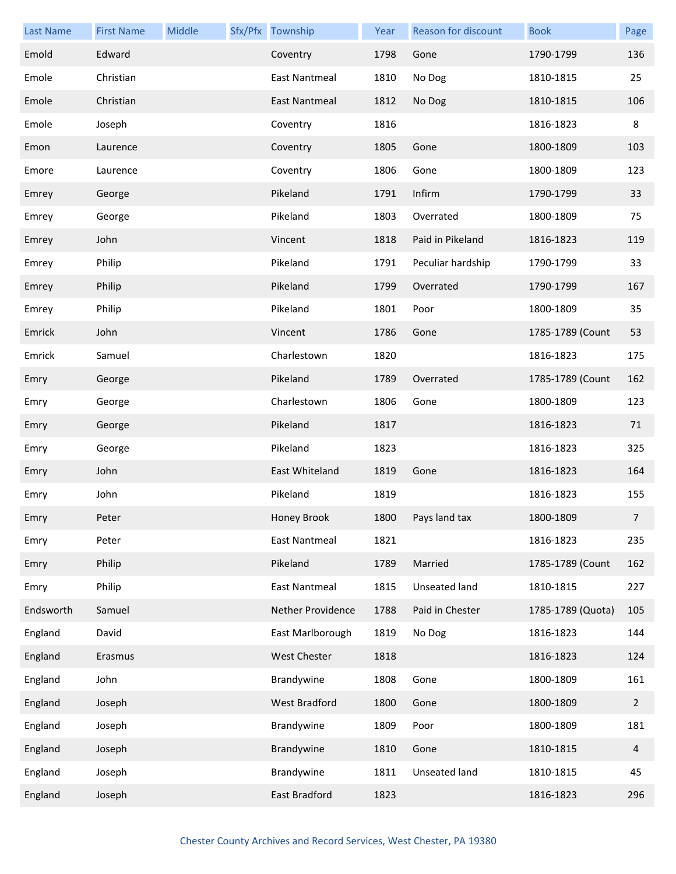| <b>Last Name</b> | <b>First Name</b> | Middle | Sfx/Pfx Township     | Year | Reason for discount | <b>Book</b>       | Page           |
|------------------|-------------------|--------|----------------------|------|---------------------|-------------------|----------------|
| Emold            | Edward            |        | Coventry             | 1798 | Gone                | 1790-1799         | 136            |
| Emole            | Christian         |        | East Nantmeal        | 1810 | No Dog              | 1810-1815         | 25             |
| Emole            | Christian         |        | East Nantmeal        | 1812 | No Dog              | 1810-1815         | 106            |
| Emole            | Joseph            |        | Coventry             | 1816 |                     | 1816-1823         | 8              |
| Emon             | Laurence          |        | Coventry             | 1805 | Gone                | 1800-1809         | 103            |
| Emore            | Laurence          |        | Coventry             | 1806 | Gone                | 1800-1809         | 123            |
| Emrey            | George            |        | Pikeland             | 1791 | Infirm              | 1790-1799         | 33             |
| Emrey            | George            |        | Pikeland             | 1803 | Overrated           | 1800-1809         | 75             |
| Emrey            | John              |        | Vincent              | 1818 | Paid in Pikeland    | 1816-1823         | 119            |
| Emrey            | Philip            |        | Pikeland             | 1791 | Peculiar hardship   | 1790-1799         | 33             |
| Emrey            | Philip            |        | Pikeland             | 1799 | Overrated           | 1790-1799         | 167            |
| Emrey            | Philip            |        | Pikeland             | 1801 | Poor                | 1800-1809         | 35             |
| Emrick           | John              |        | Vincent              | 1786 | Gone                | 1785-1789 (Count  | 53             |
| Emrick           | Samuel            |        | Charlestown          | 1820 |                     | 1816-1823         | 175            |
| Emry             | George            |        | Pikeland             | 1789 | Overrated           | 1785-1789 (Count  | 162            |
| Emry             | George            |        | Charlestown          | 1806 | Gone                | 1800-1809         | 123            |
| Emry             | George            |        | Pikeland             | 1817 |                     | 1816-1823         | 71             |
| Emry             | George            |        | Pikeland             | 1823 |                     | 1816-1823         | 325            |
| Emry             | John              |        | East Whiteland       | 1819 | Gone                | 1816-1823         | 164            |
| Emry             | John              |        | Pikeland             | 1819 |                     | 1816-1823         | 155            |
| Emry             | Peter             |        | Honey Brook          |      | 1800 Pays land tax  | 1800-1809         | $7^{\circ}$    |
| Emry             | Peter             |        | East Nantmeal        | 1821 |                     | 1816-1823         | 235            |
| Emry             | Philip            |        | Pikeland             | 1789 | Married             | 1785-1789 (Count  | 162            |
| Emry             | Philip            |        | <b>East Nantmeal</b> | 1815 | Unseated land       | 1810-1815         | 227            |
| Endsworth        | Samuel            |        | Nether Providence    | 1788 | Paid in Chester     | 1785-1789 (Quota) | 105            |
| England          | David             |        | East Marlborough     | 1819 | No Dog              | 1816-1823         | 144            |
| England          | Erasmus           |        | West Chester         | 1818 |                     | 1816-1823         | 124            |
| England          | John              |        | Brandywine           | 1808 | Gone                | 1800-1809         | 161            |
| England          | Joseph            |        | <b>West Bradford</b> | 1800 | Gone                | 1800-1809         | $\overline{2}$ |
| England          | Joseph            |        | Brandywine           | 1809 | Poor                | 1800-1809         | 181            |
| England          | Joseph            |        | Brandywine           | 1810 | Gone                | 1810-1815         | $\overline{4}$ |
| England          | Joseph            |        | Brandywine           | 1811 | Unseated land       | 1810-1815         | 45             |
| England          | Joseph            |        | East Bradford        | 1823 |                     | 1816-1823         | 296            |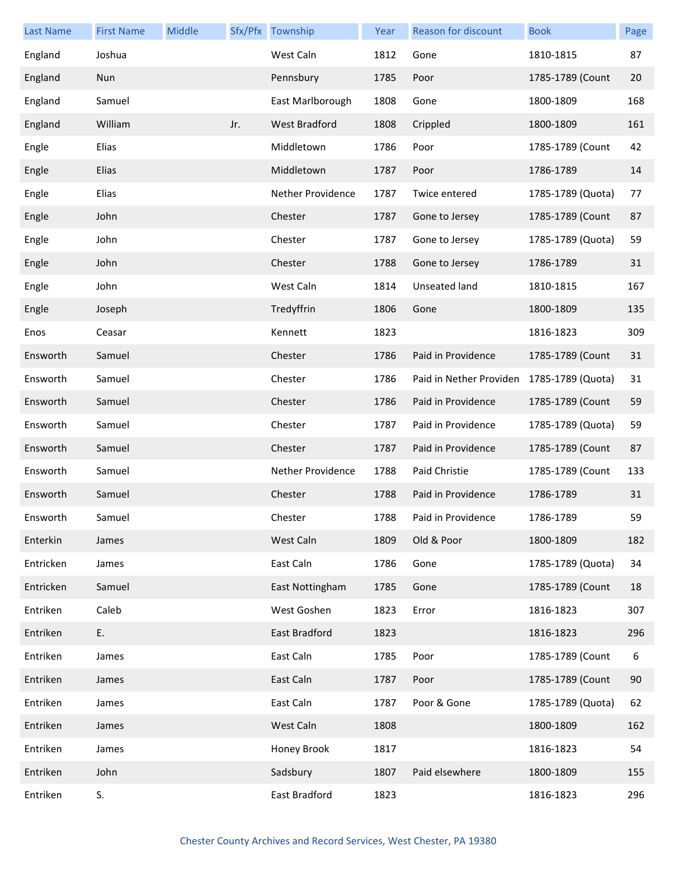| <b>Last Name</b> | <b>First Name</b> | Middle |     | Sfx/Pfx Township     | Year | <b>Reason for discount</b> | <b>Book</b>       | Page |
|------------------|-------------------|--------|-----|----------------------|------|----------------------------|-------------------|------|
| England          | Joshua            |        |     | West Caln            | 1812 | Gone                       | 1810-1815         | 87   |
| England          | Nun               |        |     | Pennsbury            | 1785 | Poor                       | 1785-1789 (Count  | 20   |
| England          | Samuel            |        |     | East Marlborough     | 1808 | Gone                       | 1800-1809         | 168  |
| England          | William           |        | Jr. | <b>West Bradford</b> | 1808 | Crippled                   | 1800-1809         | 161  |
| Engle            | Elias             |        |     | Middletown           | 1786 | Poor                       | 1785-1789 (Count  | 42   |
| Engle            | Elias             |        |     | Middletown           | 1787 | Poor                       | 1786-1789         | 14   |
| Engle            | Elias             |        |     | Nether Providence    | 1787 | Twice entered              | 1785-1789 (Quota) | 77   |
| Engle            | John              |        |     | Chester              | 1787 | Gone to Jersey             | 1785-1789 (Count  | 87   |
| Engle            | John              |        |     | Chester              | 1787 | Gone to Jersey             | 1785-1789 (Quota) | 59   |
| Engle            | John              |        |     | Chester              | 1788 | Gone to Jersey             | 1786-1789         | 31   |
| Engle            | John              |        |     | West Caln            | 1814 | Unseated land              | 1810-1815         | 167  |
| Engle            | Joseph            |        |     | Tredyffrin           | 1806 | Gone                       | 1800-1809         | 135  |
| Enos             | Ceasar            |        |     | Kennett              | 1823 |                            | 1816-1823         | 309  |
| Ensworth         | Samuel            |        |     | Chester              | 1786 | Paid in Providence         | 1785-1789 (Count  | 31   |
| Ensworth         | Samuel            |        |     | Chester              | 1786 | Paid in Nether Providen    | 1785-1789 (Quota) | 31   |
| Ensworth         | Samuel            |        |     | Chester              | 1786 | Paid in Providence         | 1785-1789 (Count  | 59   |
| Ensworth         | Samuel            |        |     | Chester              | 1787 | Paid in Providence         | 1785-1789 (Quota) | 59   |
| Ensworth         | Samuel            |        |     | Chester              | 1787 | Paid in Providence         | 1785-1789 (Count  | 87   |
| Ensworth         | Samuel            |        |     | Nether Providence    | 1788 | Paid Christie              | 1785-1789 (Count  | 133  |
| Ensworth         | Samuel            |        |     | Chester              | 1788 | Paid in Providence         | 1786-1789         | 31   |
| Ensworth         | Samuel            |        |     | Chester              | 1788 | Paid in Providence         | 1786-1789         | 59   |
| Enterkin         | James             |        |     | West Caln            | 1809 | Old & Poor                 | 1800-1809         | 182  |
| Entricken        | James             |        |     | East Caln            | 1786 | Gone                       | 1785-1789 (Quota) | 34   |
| Entricken        | Samuel            |        |     | East Nottingham      | 1785 | Gone                       | 1785-1789 (Count  | 18   |
| Entriken         | Caleb             |        |     | West Goshen          | 1823 | Error                      | 1816-1823         | 307  |
| Entriken         | Ε.                |        |     | East Bradford        | 1823 |                            | 1816-1823         | 296  |
| Entriken         | James             |        |     | East Caln            | 1785 | Poor                       | 1785-1789 (Count  | 6    |
| Entriken         | James             |        |     | East Caln            | 1787 | Poor                       | 1785-1789 (Count  | 90   |
| Entriken         | James             |        |     | East Caln            | 1787 | Poor & Gone                | 1785-1789 (Quota) | 62   |
| Entriken         | James             |        |     | West Caln            | 1808 |                            | 1800-1809         | 162  |
| Entriken         | James             |        |     | Honey Brook          | 1817 |                            | 1816-1823         | 54   |
| Entriken         | John              |        |     | Sadsbury             | 1807 | Paid elsewhere             | 1800-1809         | 155  |
| Entriken         | S.                |        |     | East Bradford        | 1823 |                            | 1816-1823         | 296  |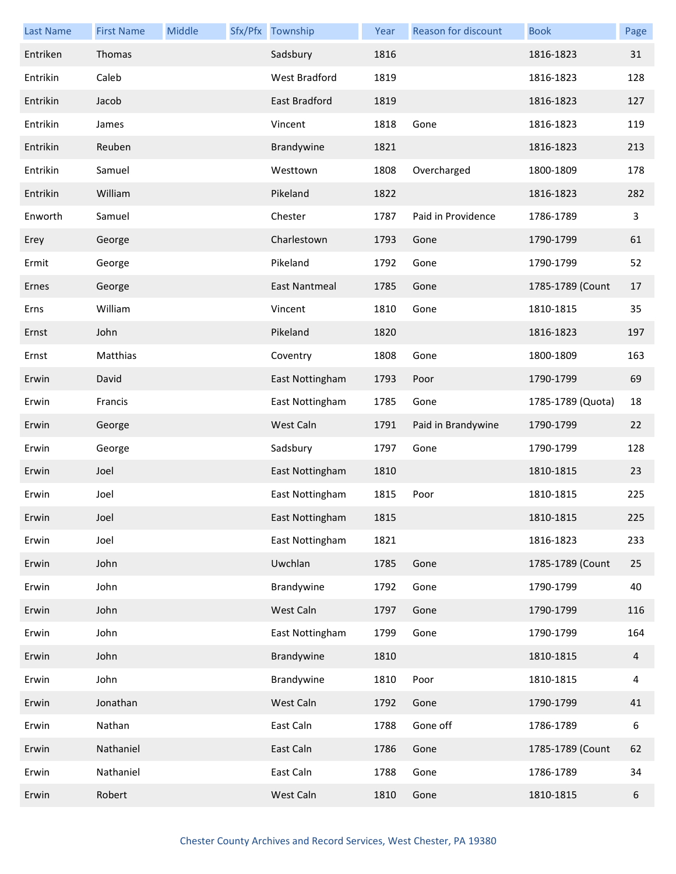| <b>Last Name</b> | <b>First Name</b> | Middle | Sfx/Pfx Township     | Year | Reason for discount | <b>Book</b>       | Page         |
|------------------|-------------------|--------|----------------------|------|---------------------|-------------------|--------------|
| Entriken         | Thomas            |        | Sadsbury             | 1816 |                     | 1816-1823         | 31           |
| Entrikin         | Caleb             |        | <b>West Bradford</b> | 1819 |                     | 1816-1823         | 128          |
| Entrikin         | Jacob             |        | East Bradford        | 1819 |                     | 1816-1823         | 127          |
| Entrikin         | James             |        | Vincent              | 1818 | Gone                | 1816-1823         | 119          |
| Entrikin         | Reuben            |        | Brandywine           | 1821 |                     | 1816-1823         | 213          |
| Entrikin         | Samuel            |        | Westtown             | 1808 | Overcharged         | 1800-1809         | 178          |
| Entrikin         | William           |        | Pikeland             | 1822 |                     | 1816-1823         | 282          |
| Enworth          | Samuel            |        | Chester              | 1787 | Paid in Providence  | 1786-1789         | $\mathbf{3}$ |
| Erey             | George            |        | Charlestown          | 1793 | Gone                | 1790-1799         | 61           |
| Ermit            | George            |        | Pikeland             | 1792 | Gone                | 1790-1799         | 52           |
| Ernes            | George            |        | East Nantmeal        | 1785 | Gone                | 1785-1789 (Count  | 17           |
| Erns             | William           |        | Vincent              | 1810 | Gone                | 1810-1815         | 35           |
| Ernst            | John              |        | Pikeland             | 1820 |                     | 1816-1823         | 197          |
| Ernst            | Matthias          |        | Coventry             | 1808 | Gone                | 1800-1809         | 163          |
| Erwin            | David             |        | East Nottingham      | 1793 | Poor                | 1790-1799         | 69           |
| Erwin            | Francis           |        | East Nottingham      | 1785 | Gone                | 1785-1789 (Quota) | 18           |
| Erwin            | George            |        | West Caln            | 1791 | Paid in Brandywine  | 1790-1799         | 22           |
| Erwin            | George            |        | Sadsbury             | 1797 | Gone                | 1790-1799         | 128          |
| Erwin            | Joel              |        | East Nottingham      | 1810 |                     | 1810-1815         | 23           |
| Erwin            | Joel              |        | East Nottingham      | 1815 | Poor                | 1810-1815         | 225          |
| Erwin            | Joel              |        | East Nottingham      | 1815 |                     | 1810-1815         | 225          |
| Erwin            | Joel              |        | East Nottingham      | 1821 |                     | 1816-1823         | 233          |
| Erwin            | John              |        | Uwchlan              | 1785 | Gone                | 1785-1789 (Count  | 25           |
| Erwin            | John              |        | Brandywine           | 1792 | Gone                | 1790-1799         | 40           |
| Erwin            | John              |        | West Caln            | 1797 | Gone                | 1790-1799         | 116          |
| Erwin            | John              |        | East Nottingham      | 1799 | Gone                | 1790-1799         | 164          |
| Erwin            | John              |        | Brandywine           | 1810 |                     | 1810-1815         | 4            |
| Erwin            | John              |        | Brandywine           | 1810 | Poor                | 1810-1815         | 4            |
| Erwin            | Jonathan          |        | West Caln            | 1792 | Gone                | 1790-1799         | 41           |
| Erwin            | Nathan            |        | East Caln            | 1788 | Gone off            | 1786-1789         | 6            |
| Erwin            | Nathaniel         |        | East Caln            | 1786 | Gone                | 1785-1789 (Count  | 62           |
| Erwin            | Nathaniel         |        | East Caln            | 1788 | Gone                | 1786-1789         | 34           |
| Erwin            | Robert            |        | West Caln            | 1810 | Gone                | 1810-1815         | 6            |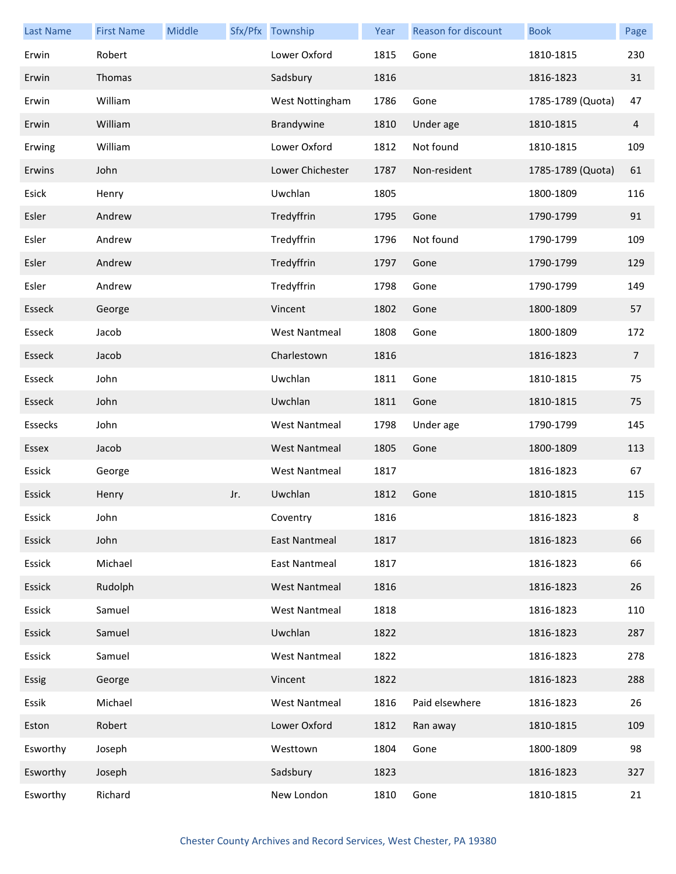| <b>Last Name</b> | <b>First Name</b> | Middle |     | Sfx/Pfx Township     | Year | Reason for discount | <b>Book</b>       | Page           |
|------------------|-------------------|--------|-----|----------------------|------|---------------------|-------------------|----------------|
| Erwin            | Robert            |        |     | Lower Oxford         | 1815 | Gone                | 1810-1815         | 230            |
| Erwin            | Thomas            |        |     | Sadsbury             | 1816 |                     | 1816-1823         | 31             |
| Erwin            | William           |        |     | West Nottingham      | 1786 | Gone                | 1785-1789 (Quota) | 47             |
| Erwin            | William           |        |     | Brandywine           | 1810 | Under age           | 1810-1815         | $\overline{4}$ |
| Erwing           | William           |        |     | Lower Oxford         | 1812 | Not found           | 1810-1815         | 109            |
| Erwins           | John              |        |     | Lower Chichester     | 1787 | Non-resident        | 1785-1789 (Quota) | 61             |
| Esick            | Henry             |        |     | Uwchlan              | 1805 |                     | 1800-1809         | 116            |
| Esler            | Andrew            |        |     | Tredyffrin           | 1795 | Gone                | 1790-1799         | 91             |
| Esler            | Andrew            |        |     | Tredyffrin           | 1796 | Not found           | 1790-1799         | 109            |
| Esler            | Andrew            |        |     | Tredyffrin           | 1797 | Gone                | 1790-1799         | 129            |
| Esler            | Andrew            |        |     | Tredyffrin           | 1798 | Gone                | 1790-1799         | 149            |
| Esseck           | George            |        |     | Vincent              | 1802 | Gone                | 1800-1809         | 57             |
| Esseck           | Jacob             |        |     | <b>West Nantmeal</b> | 1808 | Gone                | 1800-1809         | 172            |
| Esseck           | Jacob             |        |     | Charlestown          | 1816 |                     | 1816-1823         | $\overline{7}$ |
| Esseck           | John              |        |     | Uwchlan              | 1811 | Gone                | 1810-1815         | 75             |
| Esseck           | John              |        |     | Uwchlan              | 1811 | Gone                | 1810-1815         | 75             |
| Essecks          | John              |        |     | <b>West Nantmeal</b> | 1798 | Under age           | 1790-1799         | 145            |
| Essex            | Jacob             |        |     | <b>West Nantmeal</b> | 1805 | Gone                | 1800-1809         | 113            |
| Essick           | George            |        |     | <b>West Nantmeal</b> | 1817 |                     | 1816-1823         | 67             |
| Essick           | Henry             |        | Jr. | Uwchlan              | 1812 | Gone                | 1810-1815         | 115            |
| Essick           | John              |        |     | Coventry             | 1816 |                     | 1816-1823         | 8              |
| Essick           | John              |        |     | <b>East Nantmeal</b> | 1817 |                     | 1816-1823         | 66             |
| Essick           | Michael           |        |     | East Nantmeal        | 1817 |                     | 1816-1823         | 66             |
| Essick           | Rudolph           |        |     | <b>West Nantmeal</b> | 1816 |                     | 1816-1823         | 26             |
| Essick           | Samuel            |        |     | <b>West Nantmeal</b> | 1818 |                     | 1816-1823         | 110            |
| Essick           | Samuel            |        |     | Uwchlan              | 1822 |                     | 1816-1823         | 287            |
| Essick           | Samuel            |        |     | <b>West Nantmeal</b> | 1822 |                     | 1816-1823         | 278            |
| Essig            | George            |        |     | Vincent              | 1822 |                     | 1816-1823         | 288            |
| Essik            | Michael           |        |     | <b>West Nantmeal</b> | 1816 | Paid elsewhere      | 1816-1823         | 26             |
| Eston            | Robert            |        |     | Lower Oxford         | 1812 | Ran away            | 1810-1815         | 109            |
| Esworthy         | Joseph            |        |     | Westtown             | 1804 | Gone                | 1800-1809         | 98             |
| Esworthy         | Joseph            |        |     | Sadsbury             | 1823 |                     | 1816-1823         | 327            |
| Esworthy         | Richard           |        |     | New London           | 1810 | Gone                | 1810-1815         | 21             |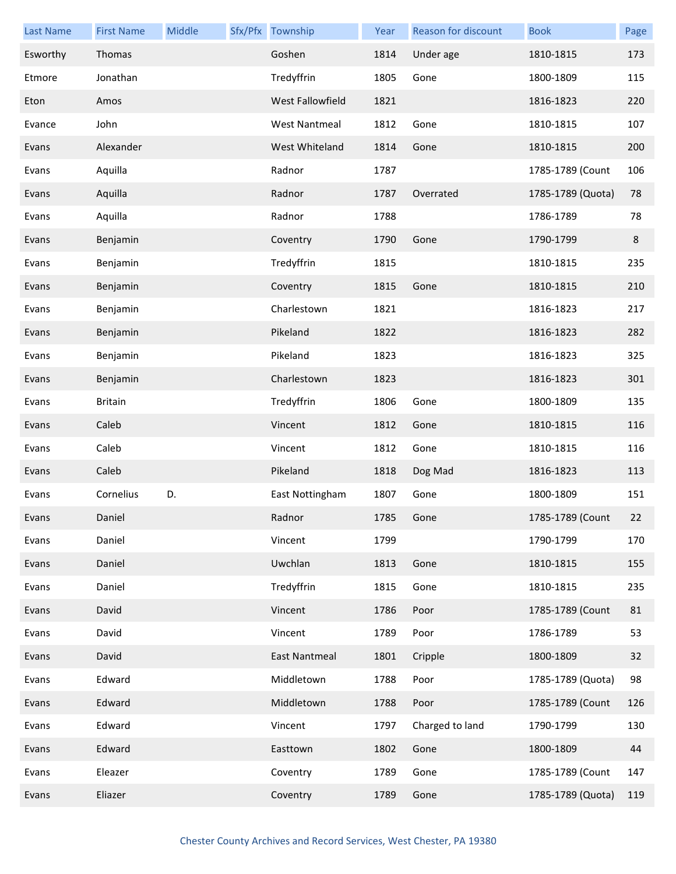| <b>Last Name</b> | <b>First Name</b> | Middle | Sfx/Pfx Township     | Year | Reason for discount | <b>Book</b>       | Page |
|------------------|-------------------|--------|----------------------|------|---------------------|-------------------|------|
| Esworthy         | Thomas            |        | Goshen               | 1814 | Under age           | 1810-1815         | 173  |
| Etmore           | Jonathan          |        | Tredyffrin           | 1805 | Gone                | 1800-1809         | 115  |
| Eton             | Amos              |        | West Fallowfield     | 1821 |                     | 1816-1823         | 220  |
| Evance           | John              |        | <b>West Nantmeal</b> | 1812 | Gone                | 1810-1815         | 107  |
| Evans            | Alexander         |        | West Whiteland       | 1814 | Gone                | 1810-1815         | 200  |
| Evans            | Aquilla           |        | Radnor               | 1787 |                     | 1785-1789 (Count  | 106  |
| Evans            | Aquilla           |        | Radnor               | 1787 | Overrated           | 1785-1789 (Quota) | 78   |
| Evans            | Aquilla           |        | Radnor               | 1788 |                     | 1786-1789         | 78   |
| Evans            | Benjamin          |        | Coventry             | 1790 | Gone                | 1790-1799         | 8    |
| Evans            | Benjamin          |        | Tredyffrin           | 1815 |                     | 1810-1815         | 235  |
| Evans            | Benjamin          |        | Coventry             | 1815 | Gone                | 1810-1815         | 210  |
| Evans            | Benjamin          |        | Charlestown          | 1821 |                     | 1816-1823         | 217  |
| Evans            | Benjamin          |        | Pikeland             | 1822 |                     | 1816-1823         | 282  |
| Evans            | Benjamin          |        | Pikeland             | 1823 |                     | 1816-1823         | 325  |
| Evans            | Benjamin          |        | Charlestown          | 1823 |                     | 1816-1823         | 301  |
| Evans            | <b>Britain</b>    |        | Tredyffrin           | 1806 | Gone                | 1800-1809         | 135  |
| Evans            | Caleb             |        | Vincent              | 1812 | Gone                | 1810-1815         | 116  |
| Evans            | Caleb             |        | Vincent              | 1812 | Gone                | 1810-1815         | 116  |
| Evans            | Caleb             |        | Pikeland             | 1818 | Dog Mad             | 1816-1823         | 113  |
| Evans            | Cornelius         | D.     | East Nottingham      | 1807 | Gone                | 1800-1809         | 151  |
| Evans            | Daniel            |        | Radnor               | 1785 | Gone                | 1785-1789 (Count  | 22   |
| Evans            | Daniel            |        | Vincent              | 1799 |                     | 1790-1799         | 170  |
| Evans            | Daniel            |        | Uwchlan              | 1813 | Gone                | 1810-1815         | 155  |
| Evans            | Daniel            |        | Tredyffrin           | 1815 | Gone                | 1810-1815         | 235  |
| Evans            | David             |        | Vincent              | 1786 | Poor                | 1785-1789 (Count  | 81   |
| Evans            | David             |        | Vincent              | 1789 | Poor                | 1786-1789         | 53   |
| Evans            | David             |        | East Nantmeal        | 1801 | Cripple             | 1800-1809         | 32   |
| Evans            | Edward            |        | Middletown           | 1788 | Poor                | 1785-1789 (Quota) | 98   |
| Evans            | Edward            |        | Middletown           | 1788 | Poor                | 1785-1789 (Count  | 126  |
| Evans            | Edward            |        | Vincent              | 1797 | Charged to land     | 1790-1799         | 130  |
| Evans            | Edward            |        | Easttown             | 1802 | Gone                | 1800-1809         | 44   |
| Evans            | Eleazer           |        | Coventry             | 1789 | Gone                | 1785-1789 (Count  | 147  |
| Evans            | Eliazer           |        | Coventry             | 1789 | Gone                | 1785-1789 (Quota) | 119  |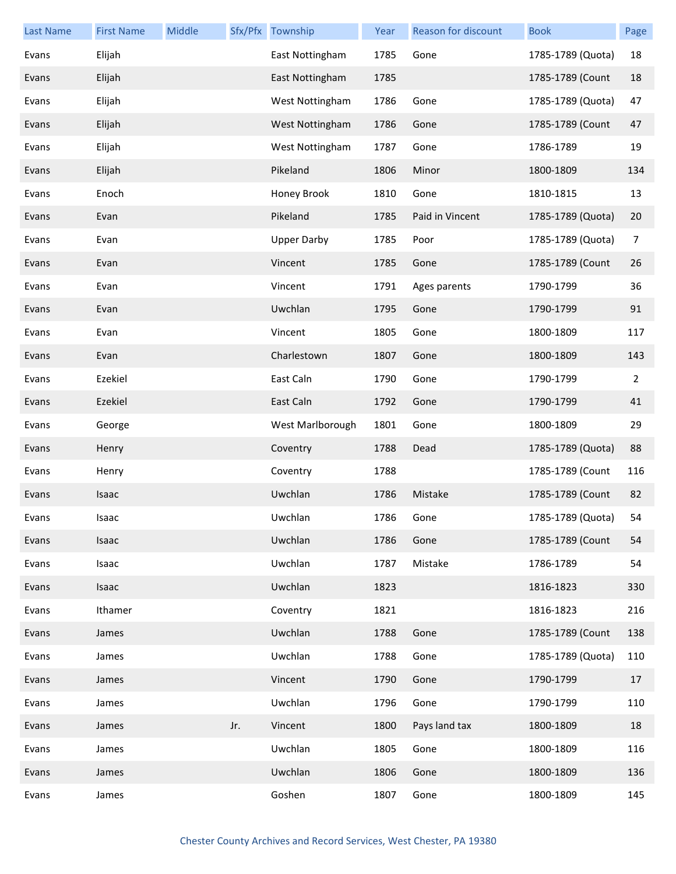| <b>Last Name</b> | <b>First Name</b> | Middle |     | Sfx/Pfx Township   | Year | Reason for discount | <b>Book</b>       | Page           |
|------------------|-------------------|--------|-----|--------------------|------|---------------------|-------------------|----------------|
| Evans            | Elijah            |        |     | East Nottingham    | 1785 | Gone                | 1785-1789 (Quota) | 18             |
| Evans            | Elijah            |        |     | East Nottingham    | 1785 |                     | 1785-1789 (Count  | 18             |
| Evans            | Elijah            |        |     | West Nottingham    | 1786 | Gone                | 1785-1789 (Quota) | 47             |
| Evans            | Elijah            |        |     | West Nottingham    | 1786 | Gone                | 1785-1789 (Count  | 47             |
| Evans            | Elijah            |        |     | West Nottingham    | 1787 | Gone                | 1786-1789         | 19             |
| Evans            | Elijah            |        |     | Pikeland           | 1806 | Minor               | 1800-1809         | 134            |
| Evans            | Enoch             |        |     | Honey Brook        | 1810 | Gone                | 1810-1815         | 13             |
| Evans            | Evan              |        |     | Pikeland           | 1785 | Paid in Vincent     | 1785-1789 (Quota) | 20             |
| Evans            | Evan              |        |     | <b>Upper Darby</b> | 1785 | Poor                | 1785-1789 (Quota) | $\overline{7}$ |
| Evans            | Evan              |        |     | Vincent            | 1785 | Gone                | 1785-1789 (Count  | 26             |
| Evans            | Evan              |        |     | Vincent            | 1791 | Ages parents        | 1790-1799         | 36             |
| Evans            | Evan              |        |     | Uwchlan            | 1795 | Gone                | 1790-1799         | 91             |
| Evans            | Evan              |        |     | Vincent            | 1805 | Gone                | 1800-1809         | 117            |
| Evans            | Evan              |        |     | Charlestown        | 1807 | Gone                | 1800-1809         | 143            |
| Evans            | Ezekiel           |        |     | East Caln          | 1790 | Gone                | 1790-1799         | 2              |
| Evans            | Ezekiel           |        |     | East Caln          | 1792 | Gone                | 1790-1799         | 41             |
| Evans            | George            |        |     | West Marlborough   | 1801 | Gone                | 1800-1809         | 29             |
| Evans            | Henry             |        |     | Coventry           | 1788 | Dead                | 1785-1789 (Quota) | 88             |
| Evans            | Henry             |        |     | Coventry           | 1788 |                     | 1785-1789 (Count  | 116            |
| Evans            | Isaac             |        |     | Uwchlan            | 1786 | Mistake             | 1785-1789 (Count  | 82             |
| Evans            | Isaac             |        |     | Uwchlan            | 1786 | Gone                | 1785-1789 (Quota) | 54             |
| Evans            | Isaac             |        |     | Uwchlan            | 1786 | Gone                | 1785-1789 (Count  | 54             |
| Evans            | Isaac             |        |     | Uwchlan            | 1787 | Mistake             | 1786-1789         | 54             |
| Evans            | Isaac             |        |     | Uwchlan            | 1823 |                     | 1816-1823         | 330            |
| Evans            | Ithamer           |        |     | Coventry           | 1821 |                     | 1816-1823         | 216            |
| Evans            | James             |        |     | Uwchlan            | 1788 | Gone                | 1785-1789 (Count  | 138            |
| Evans            | James             |        |     | Uwchlan            | 1788 | Gone                | 1785-1789 (Quota) | 110            |
| Evans            | James             |        |     | Vincent            | 1790 | Gone                | 1790-1799         | 17             |
| Evans            | James             |        |     | Uwchlan            | 1796 | Gone                | 1790-1799         | 110            |
| Evans            | James             |        | Jr. | Vincent            | 1800 | Pays land tax       | 1800-1809         | 18             |
| Evans            | James             |        |     | Uwchlan            | 1805 | Gone                | 1800-1809         | 116            |
| Evans            | James             |        |     | Uwchlan            | 1806 | Gone                | 1800-1809         | 136            |
| Evans            | James             |        |     | Goshen             | 1807 | Gone                | 1800-1809         | 145            |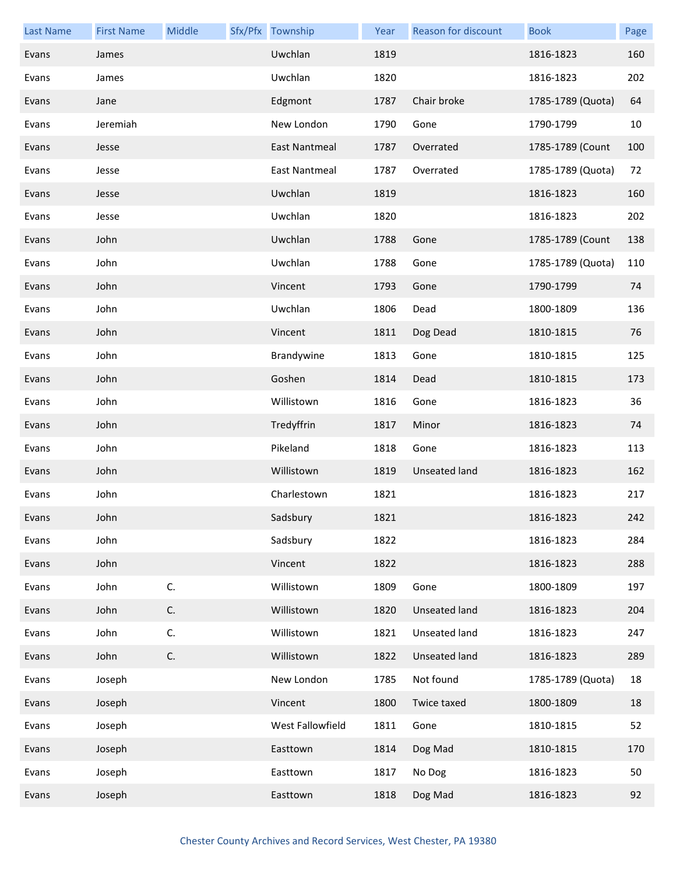| <b>Last Name</b> | <b>First Name</b> | Middle | Sfx/Pfx Township | Year | Reason for discount  | <b>Book</b>       | Page |
|------------------|-------------------|--------|------------------|------|----------------------|-------------------|------|
| Evans            | James             |        | Uwchlan          | 1819 |                      | 1816-1823         | 160  |
| Evans            | James             |        | Uwchlan          | 1820 |                      | 1816-1823         | 202  |
| Evans            | Jane              |        | Edgmont          | 1787 | Chair broke          | 1785-1789 (Quota) | 64   |
| Evans            | Jeremiah          |        | New London       | 1790 | Gone                 | 1790-1799         | 10   |
| Evans            | Jesse             |        | East Nantmeal    | 1787 | Overrated            | 1785-1789 (Count  | 100  |
| Evans            | Jesse             |        | East Nantmeal    | 1787 | Overrated            | 1785-1789 (Quota) | 72   |
| Evans            | Jesse             |        | Uwchlan          | 1819 |                      | 1816-1823         | 160  |
| Evans            | Jesse             |        | Uwchlan          | 1820 |                      | 1816-1823         | 202  |
| Evans            | John              |        | Uwchlan          | 1788 | Gone                 | 1785-1789 (Count  | 138  |
| Evans            | John              |        | Uwchlan          | 1788 | Gone                 | 1785-1789 (Quota) | 110  |
| Evans            | John              |        | Vincent          | 1793 | Gone                 | 1790-1799         | 74   |
| Evans            | John              |        | Uwchlan          | 1806 | Dead                 | 1800-1809         | 136  |
| Evans            | John              |        | Vincent          | 1811 | Dog Dead             | 1810-1815         | 76   |
| Evans            | John              |        | Brandywine       | 1813 | Gone                 | 1810-1815         | 125  |
| Evans            | John              |        | Goshen           | 1814 | Dead                 | 1810-1815         | 173  |
| Evans            | John              |        | Willistown       | 1816 | Gone                 | 1816-1823         | 36   |
| Evans            | John              |        | Tredyffrin       | 1817 | Minor                | 1816-1823         | 74   |
| Evans            | John              |        | Pikeland         | 1818 | Gone                 | 1816-1823         | 113  |
| Evans            | John              |        | Willistown       | 1819 | <b>Unseated land</b> | 1816-1823         | 162  |
| Evans            | John              |        | Charlestown      | 1821 |                      | 1816-1823         | 217  |
| Evans            | John              |        | Sadsbury         | 1821 |                      | 1816-1823         | 242  |
| Evans            | John              |        | Sadsbury         | 1822 |                      | 1816-1823         | 284  |
| Evans            | John              |        | Vincent          | 1822 |                      | 1816-1823         | 288  |
| Evans            | John              | C.     | Willistown       | 1809 | Gone                 | 1800-1809         | 197  |
| Evans            | John              | C.     | Willistown       | 1820 | Unseated land        | 1816-1823         | 204  |
| Evans            | John              | C.     | Willistown       | 1821 | Unseated land        | 1816-1823         | 247  |
| Evans            | John              | C.     | Willistown       | 1822 | Unseated land        | 1816-1823         | 289  |
| Evans            | Joseph            |        | New London       | 1785 | Not found            | 1785-1789 (Quota) | 18   |
| Evans            | Joseph            |        | Vincent          | 1800 | Twice taxed          | 1800-1809         | 18   |
| Evans            | Joseph            |        | West Fallowfield | 1811 | Gone                 | 1810-1815         | 52   |
| Evans            | Joseph            |        | Easttown         | 1814 | Dog Mad              | 1810-1815         | 170  |
| Evans            | Joseph            |        | Easttown         | 1817 | No Dog               | 1816-1823         | 50   |
| Evans            | Joseph            |        | Easttown         | 1818 | Dog Mad              | 1816-1823         | 92   |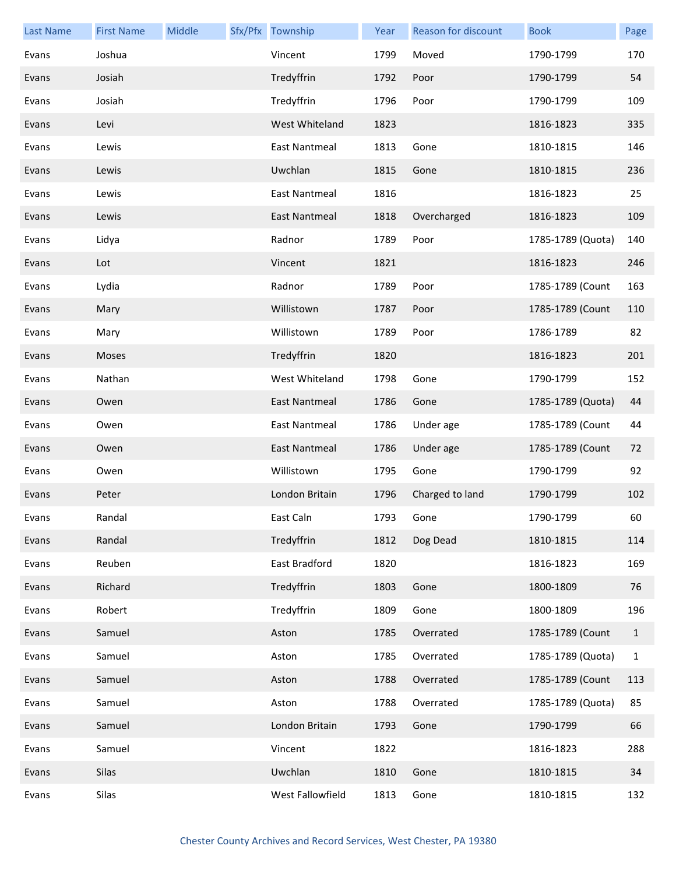| <b>Last Name</b> | <b>First Name</b> | Middle | Sfx/Pfx Township     | Year | <b>Reason for discount</b> | <b>Book</b>       | Page         |
|------------------|-------------------|--------|----------------------|------|----------------------------|-------------------|--------------|
| Evans            | Joshua            |        | Vincent              | 1799 | Moved                      | 1790-1799         | 170          |
| Evans            | Josiah            |        | Tredyffrin           | 1792 | Poor                       | 1790-1799         | 54           |
| Evans            | Josiah            |        | Tredyffrin           | 1796 | Poor                       | 1790-1799         | 109          |
| Evans            | Levi              |        | West Whiteland       | 1823 |                            | 1816-1823         | 335          |
| Evans            | Lewis             |        | <b>East Nantmeal</b> | 1813 | Gone                       | 1810-1815         | 146          |
| Evans            | Lewis             |        | Uwchlan              | 1815 | Gone                       | 1810-1815         | 236          |
| Evans            | Lewis             |        | East Nantmeal        | 1816 |                            | 1816-1823         | 25           |
| Evans            | Lewis             |        | East Nantmeal        | 1818 | Overcharged                | 1816-1823         | 109          |
| Evans            | Lidya             |        | Radnor               | 1789 | Poor                       | 1785-1789 (Quota) | 140          |
| Evans            | Lot               |        | Vincent              | 1821 |                            | 1816-1823         | 246          |
| Evans            | Lydia             |        | Radnor               | 1789 | Poor                       | 1785-1789 (Count  | 163          |
| Evans            | Mary              |        | Willistown           | 1787 | Poor                       | 1785-1789 (Count  | 110          |
| Evans            | Mary              |        | Willistown           | 1789 | Poor                       | 1786-1789         | 82           |
| Evans            | Moses             |        | Tredyffrin           | 1820 |                            | 1816-1823         | 201          |
| Evans            | Nathan            |        | West Whiteland       | 1798 | Gone                       | 1790-1799         | 152          |
| Evans            | Owen              |        | East Nantmeal        | 1786 | Gone                       | 1785-1789 (Quota) | 44           |
| Evans            | Owen              |        | <b>East Nantmeal</b> | 1786 | Under age                  | 1785-1789 (Count  | 44           |
| Evans            | Owen              |        | East Nantmeal        | 1786 | Under age                  | 1785-1789 (Count  | 72           |
| Evans            | Owen              |        | Willistown           | 1795 | Gone                       | 1790-1799         | 92           |
| Evans            | Peter             |        | London Britain       | 1796 | Charged to land            | 1790-1799         | 102          |
| Evans            | Randal            |        | East Caln            | 1793 | Gone                       | 1790-1799         | 60           |
| Evans            | Randal            |        | Tredyffrin           | 1812 | Dog Dead                   | 1810-1815         | 114          |
| Evans            | Reuben            |        | East Bradford        | 1820 |                            | 1816-1823         | 169          |
| Evans            | Richard           |        | Tredyffrin           | 1803 | Gone                       | 1800-1809         | 76           |
| Evans            | Robert            |        | Tredyffrin           | 1809 | Gone                       | 1800-1809         | 196          |
| Evans            | Samuel            |        | Aston                | 1785 | Overrated                  | 1785-1789 (Count  | $\mathbf{1}$ |
| Evans            | Samuel            |        | Aston                | 1785 | Overrated                  | 1785-1789 (Quota) | $\mathbf{1}$ |
| Evans            | Samuel            |        | Aston                | 1788 | Overrated                  | 1785-1789 (Count  | 113          |
| Evans            | Samuel            |        | Aston                | 1788 | Overrated                  | 1785-1789 (Quota) | 85           |
| Evans            | Samuel            |        | London Britain       | 1793 | Gone                       | 1790-1799         | 66           |
| Evans            | Samuel            |        | Vincent              | 1822 |                            | 1816-1823         | 288          |
| Evans            | Silas             |        | Uwchlan              | 1810 | Gone                       | 1810-1815         | 34           |
| Evans            | Silas             |        | West Fallowfield     | 1813 | Gone                       | 1810-1815         | 132          |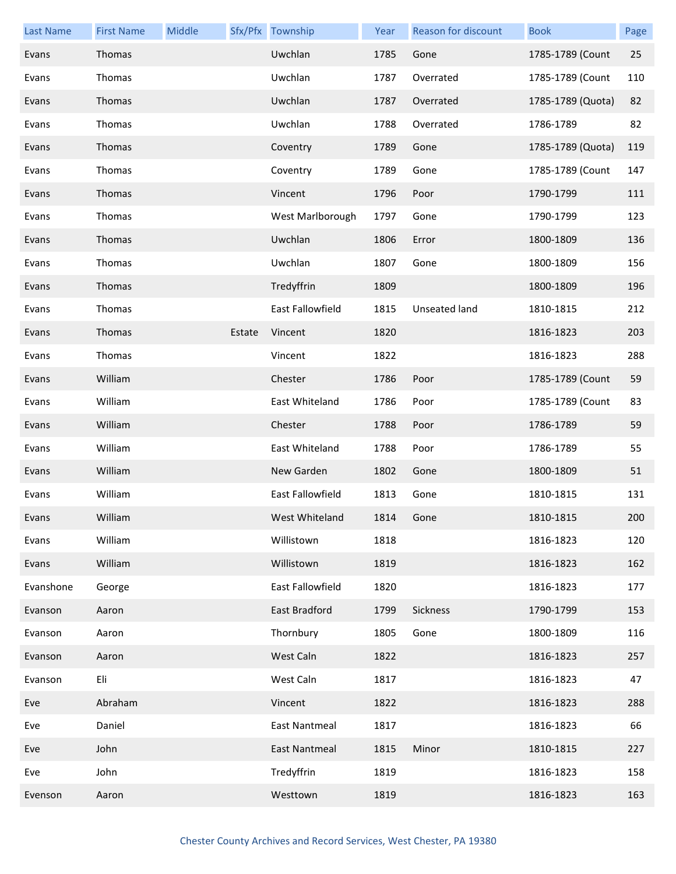| <b>Last Name</b> | <b>First Name</b> | Middle |        | Sfx/Pfx Township     | Year | Reason for discount | <b>Book</b>       | Page |
|------------------|-------------------|--------|--------|----------------------|------|---------------------|-------------------|------|
| Evans            | Thomas            |        |        | Uwchlan              | 1785 | Gone                | 1785-1789 (Count  | 25   |
| Evans            | Thomas            |        |        | Uwchlan              | 1787 | Overrated           | 1785-1789 (Count  | 110  |
| Evans            | Thomas            |        |        | Uwchlan              | 1787 | Overrated           | 1785-1789 (Quota) | 82   |
| Evans            | Thomas            |        |        | Uwchlan              | 1788 | Overrated           | 1786-1789         | 82   |
| Evans            | Thomas            |        |        | Coventry             | 1789 | Gone                | 1785-1789 (Quota) | 119  |
| Evans            | Thomas            |        |        | Coventry             | 1789 | Gone                | 1785-1789 (Count  | 147  |
| Evans            | Thomas            |        |        | Vincent              | 1796 | Poor                | 1790-1799         | 111  |
| Evans            | Thomas            |        |        | West Marlborough     | 1797 | Gone                | 1790-1799         | 123  |
| Evans            | Thomas            |        |        | Uwchlan              | 1806 | Error               | 1800-1809         | 136  |
| Evans            | Thomas            |        |        | Uwchlan              | 1807 | Gone                | 1800-1809         | 156  |
| Evans            | Thomas            |        |        | Tredyffrin           | 1809 |                     | 1800-1809         | 196  |
| Evans            | Thomas            |        |        | East Fallowfield     | 1815 | Unseated land       | 1810-1815         | 212  |
| Evans            | Thomas            |        | Estate | Vincent              | 1820 |                     | 1816-1823         | 203  |
| Evans            | Thomas            |        |        | Vincent              | 1822 |                     | 1816-1823         | 288  |
| Evans            | William           |        |        | Chester              | 1786 | Poor                | 1785-1789 (Count  | 59   |
| Evans            | William           |        |        | East Whiteland       | 1786 | Poor                | 1785-1789 (Count  | 83   |
| Evans            | William           |        |        | Chester              | 1788 | Poor                | 1786-1789         | 59   |
| Evans            | William           |        |        | East Whiteland       | 1788 | Poor                | 1786-1789         | 55   |
| Evans            | William           |        |        | New Garden           | 1802 | Gone                | 1800-1809         | 51   |
| Evans            | William           |        |        | East Fallowfield     | 1813 | Gone                | 1810-1815         | 131  |
| Evans            | William           |        |        | West Whiteland       | 1814 | Gone                | 1810-1815         | 200  |
| Evans            | William           |        |        | Willistown           | 1818 |                     | 1816-1823         | 120  |
| Evans            | William           |        |        | Willistown           | 1819 |                     | 1816-1823         | 162  |
| Evanshone        | George            |        |        | East Fallowfield     | 1820 |                     | 1816-1823         | 177  |
| Evanson          | Aaron             |        |        | East Bradford        | 1799 | Sickness            | 1790-1799         | 153  |
| Evanson          | Aaron             |        |        | Thornbury            | 1805 | Gone                | 1800-1809         | 116  |
| Evanson          | Aaron             |        |        | West Caln            | 1822 |                     | 1816-1823         | 257  |
| Evanson          | Eli               |        |        | West Caln            | 1817 |                     | 1816-1823         | 47   |
| Eve              | Abraham           |        |        | Vincent              | 1822 |                     | 1816-1823         | 288  |
| Eve              | Daniel            |        |        | <b>East Nantmeal</b> | 1817 |                     | 1816-1823         | 66   |
| Eve              | John              |        |        | East Nantmeal        | 1815 | Minor               | 1810-1815         | 227  |
| Eve              | John              |        |        | Tredyffrin           | 1819 |                     | 1816-1823         | 158  |
| Evenson          | Aaron             |        |        | Westtown             | 1819 |                     | 1816-1823         | 163  |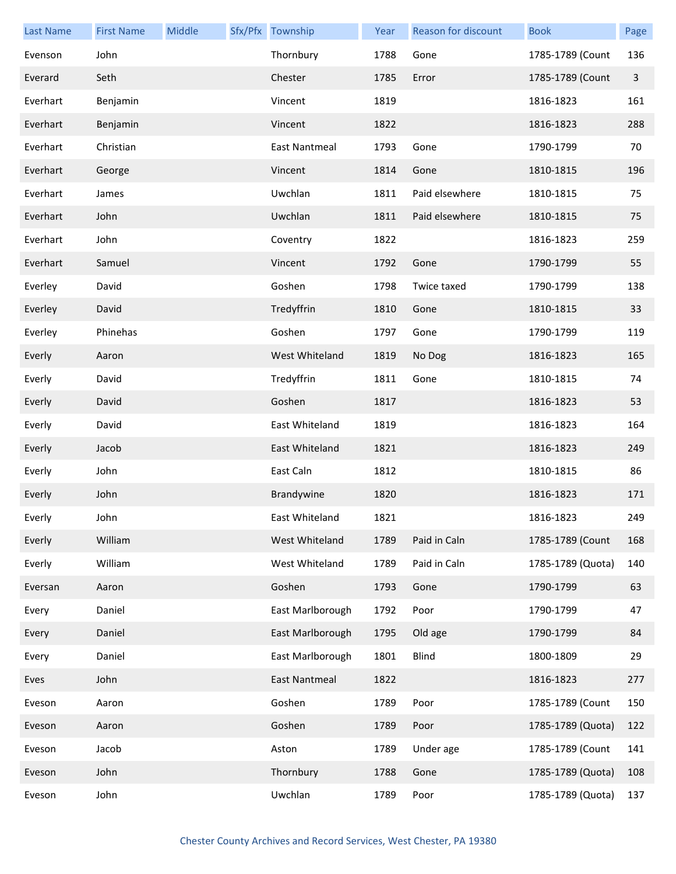| <b>Last Name</b> | <b>First Name</b> | Middle | Sfx/Pfx Township     | Year | Reason for discount | <b>Book</b>       | Page           |
|------------------|-------------------|--------|----------------------|------|---------------------|-------------------|----------------|
| Evenson          | John              |        | Thornbury            | 1788 | Gone                | 1785-1789 (Count  | 136            |
| Everard          | Seth              |        | Chester              | 1785 | Error               | 1785-1789 (Count  | $\overline{3}$ |
| Everhart         | Benjamin          |        | Vincent              | 1819 |                     | 1816-1823         | 161            |
| Everhart         | Benjamin          |        | Vincent              | 1822 |                     | 1816-1823         | 288            |
| Everhart         | Christian         |        | East Nantmeal        | 1793 | Gone                | 1790-1799         | 70             |
| Everhart         | George            |        | Vincent              | 1814 | Gone                | 1810-1815         | 196            |
| Everhart         | James             |        | Uwchlan              | 1811 | Paid elsewhere      | 1810-1815         | 75             |
| Everhart         | John              |        | Uwchlan              | 1811 | Paid elsewhere      | 1810-1815         | 75             |
| Everhart         | John              |        | Coventry             | 1822 |                     | 1816-1823         | 259            |
| Everhart         | Samuel            |        | Vincent              | 1792 | Gone                | 1790-1799         | 55             |
| Everley          | David             |        | Goshen               | 1798 | Twice taxed         | 1790-1799         | 138            |
| Everley          | David             |        | Tredyffrin           | 1810 | Gone                | 1810-1815         | 33             |
| Everley          | Phinehas          |        | Goshen               | 1797 | Gone                | 1790-1799         | 119            |
| Everly           | Aaron             |        | West Whiteland       | 1819 | No Dog              | 1816-1823         | 165            |
| Everly           | David             |        | Tredyffrin           | 1811 | Gone                | 1810-1815         | 74             |
| Everly           | David             |        | Goshen               | 1817 |                     | 1816-1823         | 53             |
| Everly           | David             |        | East Whiteland       | 1819 |                     | 1816-1823         | 164            |
| Everly           | Jacob             |        | East Whiteland       | 1821 |                     | 1816-1823         | 249            |
| Everly           | John              |        | East Caln            | 1812 |                     | 1810-1815         | 86             |
| Everly           | John              |        | Brandywine           | 1820 |                     | 1816-1823         | 171            |
| Everly           | John              |        | East Whiteland       | 1821 |                     | 1816-1823         | 249            |
| Everly           | William           |        | West Whiteland       | 1789 | Paid in Caln        | 1785-1789 (Count  | 168            |
| Everly           | William           |        | West Whiteland       | 1789 | Paid in Caln        | 1785-1789 (Quota) | 140            |
| Eversan          | Aaron             |        | Goshen               | 1793 | Gone                | 1790-1799         | 63             |
| Every            | Daniel            |        | East Marlborough     | 1792 | Poor                | 1790-1799         | 47             |
| Every            | Daniel            |        | East Marlborough     | 1795 | Old age             | 1790-1799         | 84             |
| Every            | Daniel            |        | East Marlborough     | 1801 | <b>Blind</b>        | 1800-1809         | 29             |
| Eves             | John              |        | <b>East Nantmeal</b> | 1822 |                     | 1816-1823         | 277            |
| Eveson           | Aaron             |        | Goshen               | 1789 | Poor                | 1785-1789 (Count  | 150            |
| Eveson           | Aaron             |        | Goshen               | 1789 | Poor                | 1785-1789 (Quota) | 122            |
| Eveson           | Jacob             |        | Aston                | 1789 | Under age           | 1785-1789 (Count  | 141            |
| Eveson           | John              |        | Thornbury            | 1788 | Gone                | 1785-1789 (Quota) | 108            |
| Eveson           | John              |        | Uwchlan              | 1789 | Poor                | 1785-1789 (Quota) | 137            |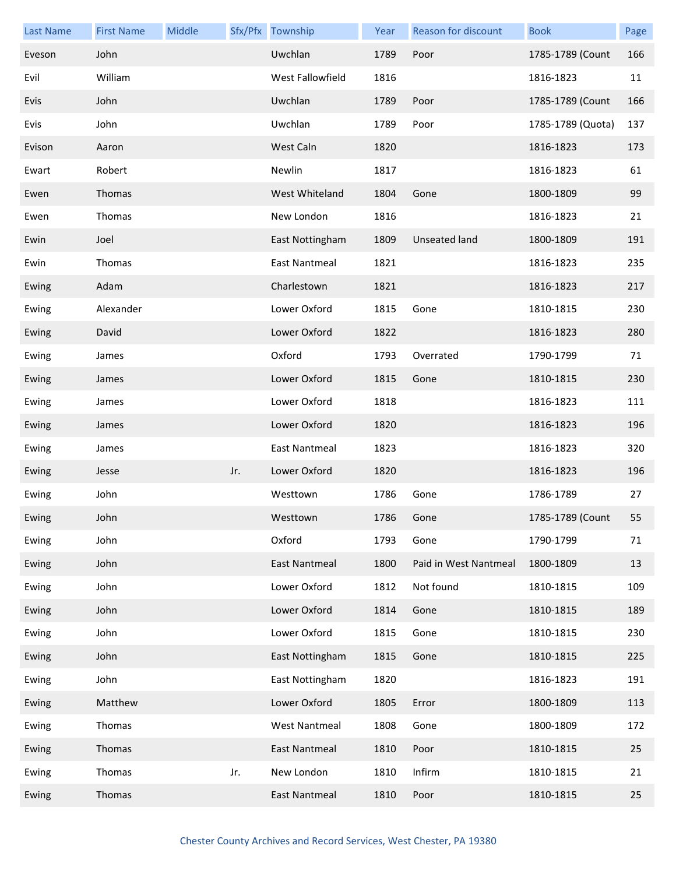| <b>Last Name</b> | <b>First Name</b> | Middle |     | Sfx/Pfx Township     | Year | Reason for discount   | <b>Book</b>       | Page |
|------------------|-------------------|--------|-----|----------------------|------|-----------------------|-------------------|------|
| Eveson           | John              |        |     | Uwchlan              | 1789 | Poor                  | 1785-1789 (Count  | 166  |
| Evil             | William           |        |     | West Fallowfield     | 1816 |                       | 1816-1823         | 11   |
| Evis             | John              |        |     | Uwchlan              | 1789 | Poor                  | 1785-1789 (Count  | 166  |
| Evis             | John              |        |     | Uwchlan              | 1789 | Poor                  | 1785-1789 (Quota) | 137  |
| Evison           | Aaron             |        |     | West Caln            | 1820 |                       | 1816-1823         | 173  |
| Ewart            | Robert            |        |     | Newlin               | 1817 |                       | 1816-1823         | 61   |
| Ewen             | Thomas            |        |     | West Whiteland       | 1804 | Gone                  | 1800-1809         | 99   |
| Ewen             | Thomas            |        |     | New London           | 1816 |                       | 1816-1823         | 21   |
| Ewin             | Joel              |        |     | East Nottingham      | 1809 | <b>Unseated land</b>  | 1800-1809         | 191  |
| Ewin             | Thomas            |        |     | East Nantmeal        | 1821 |                       | 1816-1823         | 235  |
| Ewing            | Adam              |        |     | Charlestown          | 1821 |                       | 1816-1823         | 217  |
| Ewing            | Alexander         |        |     | Lower Oxford         | 1815 | Gone                  | 1810-1815         | 230  |
| Ewing            | David             |        |     | Lower Oxford         | 1822 |                       | 1816-1823         | 280  |
| Ewing            | James             |        |     | Oxford               | 1793 | Overrated             | 1790-1799         | 71   |
| Ewing            | James             |        |     | Lower Oxford         | 1815 | Gone                  | 1810-1815         | 230  |
| Ewing            | James             |        |     | Lower Oxford         | 1818 |                       | 1816-1823         | 111  |
| Ewing            | James             |        |     | Lower Oxford         | 1820 |                       | 1816-1823         | 196  |
| Ewing            | James             |        |     | East Nantmeal        | 1823 |                       | 1816-1823         | 320  |
| Ewing            | Jesse             |        | Jr. | Lower Oxford         | 1820 |                       | 1816-1823         | 196  |
| Ewing            | John              |        |     | Westtown             | 1786 | Gone                  | 1786-1789         | 27   |
| Ewing            | John              |        |     | Westtown             | 1786 | Gone                  | 1785-1789 (Count  | 55   |
| Ewing            | John              |        |     | Oxford               | 1793 | Gone                  | 1790-1799         | 71   |
| Ewing            | John              |        |     | East Nantmeal        | 1800 | Paid in West Nantmeal | 1800-1809         | 13   |
| Ewing            | John              |        |     | Lower Oxford         | 1812 | Not found             | 1810-1815         | 109  |
| Ewing            | John              |        |     | Lower Oxford         | 1814 | Gone                  | 1810-1815         | 189  |
| Ewing            | John              |        |     | Lower Oxford         | 1815 | Gone                  | 1810-1815         | 230  |
| Ewing            | John              |        |     | East Nottingham      | 1815 | Gone                  | 1810-1815         | 225  |
| Ewing            | John              |        |     | East Nottingham      | 1820 |                       | 1816-1823         | 191  |
| Ewing            | Matthew           |        |     | Lower Oxford         | 1805 | Error                 | 1800-1809         | 113  |
| Ewing            | Thomas            |        |     | <b>West Nantmeal</b> | 1808 | Gone                  | 1800-1809         | 172  |
| Ewing            | Thomas            |        |     | East Nantmeal        | 1810 | Poor                  | 1810-1815         | 25   |
| Ewing            | Thomas            |        | Jr. | New London           | 1810 | Infirm                | 1810-1815         | 21   |
| Ewing            | Thomas            |        |     | East Nantmeal        | 1810 | Poor                  | 1810-1815         | 25   |